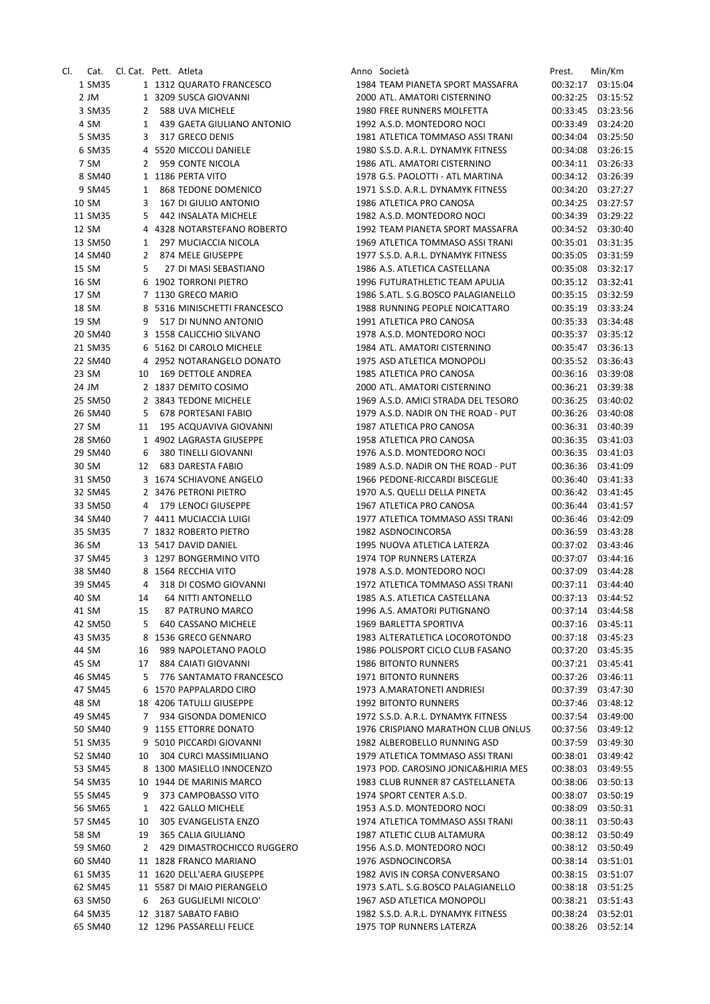| CI. | Cat.    | Cl. Cat. Pett. Atleta |                              | Anno Società                        | Prest.   | Min/Km            |
|-----|---------|-----------------------|------------------------------|-------------------------------------|----------|-------------------|
|     | 1 SM35  |                       | 1 1312 QUARATO FRANCESCO     | 1984 TEAM PIANETA SPORT MASSAFRA    |          | 00:32:17 03:15:04 |
|     | 2 JM    |                       | 1 3209 SUSCA GIOVANNI        | 2000 ATL. AMATORI CISTERNINO        | 00:32:25 | 03:15:52          |
|     | 3 SM35  |                       | 2 588 UVA MICHELE            | 1980 FREE RUNNERS MOLFETTA          | 00:33:45 | 03:23:56          |
|     | 4 SM    |                       | 1 439 GAETA GIULIANO ANTONIO | 1992 A.S.D. MONTEDORO NOCI          | 00:33:49 | 03:24:20          |
|     | 5 SM35  |                       | 3 317 GRECO DENIS            | 1981 ATLETICA TOMMASO ASSI TRANI    | 00:34:04 | 03:25:50          |
|     |         |                       |                              |                                     |          |                   |
|     | 6 SM35  |                       | 4 5520 MICCOLI DANIELE       | 1980 S.S.D. A.R.L. DYNAMYK FITNESS  | 00:34:08 | 03:26:15          |
|     | 7 SM    | $\mathbf{2}$          | 959 CONTE NICOLA             | 1986 ATL. AMATORI CISTERNINO        | 00:34:11 | 03:26:33          |
|     | 8 SM40  |                       | 1 1186 PERTA VITO            | 1978 G.S. PAOLOTTI - ATL MARTINA    | 00:34:12 | 03:26:39          |
|     | 9 SM45  | 1                     | 868 TEDONE DOMENICO          | 1971 S.S.D. A.R.L. DYNAMYK FITNESS  | 00:34:20 | 03:27:27          |
|     | 10 SM   | 3                     | 167 DI GIULIO ANTONIO        | 1986 ATLETICA PRO CANOSA            | 00:34:25 | 03:27:57          |
|     | 11 SM35 |                       | 5 442 INSALATA MICHELE       | 1982 A.S.D. MONTEDORO NOCI          | 00:34:39 | 03:29:22          |
|     | 12 SM   |                       | 4 4328 NOTARSTEFANO ROBERTO  | 1992 TEAM PIANETA SPORT MASSAFRA    | 00:34:52 | 03:30:40          |
|     | 13 SM50 | 1                     | 297 MUCIACCIA NICOLA         | 1969 ATLETICA TOMMASO ASSI TRANI    | 00:35:01 | 03:31:35          |
|     | 14 SM40 |                       | 2 874 MELE GIUSEPPE          | 1977 S.S.D. A.R.L. DYNAMYK FITNESS  | 00:35:05 | 03:31:59          |
|     | 15 SM   | 5                     | 27 DI MASI SEBASTIANO        | 1986 A.S. ATLETICA CASTELLANA       | 00:35:08 | 03:32:17          |
|     | 16 SM   |                       | 6 1902 TORRONI PIETRO        | 1996 FUTURATHLETIC TEAM APULIA      |          | 00:35:12 03:32:41 |
|     |         |                       |                              |                                     |          |                   |
|     | 17 SM   |                       | 7 1130 GRECO MARIO           | 1986 S.ATL. S.G.BOSCO PALAGIANELLO  | 00:35:15 | 03:32:59          |
|     | 18 SM   |                       | 8 5316 MINISCHETTI FRANCESCO | 1988 RUNNING PEOPLE NOICATTARO      | 00:35:19 | 03:33:24          |
|     | 19 SM   | 9                     | 517 DI NUNNO ANTONIO         | 1991 ATLETICA PRO CANOSA            | 00:35:33 | 03:34:48          |
|     | 20 SM40 |                       | 3 1558 CALICCHIO SILVANO     | 1978 A.S.D. MONTEDORO NOCI          | 00:35:37 | 03:35:12          |
|     | 21 SM35 |                       | 6 5162 DI CAROLO MICHELE     | 1984 ATL. AMATORI CISTERNINO        | 00:35:47 | 03:36:13          |
|     | 22 SM40 |                       | 4 2952 NOTARANGELO DONATO    | 1975 ASD ATLETICA MONOPOLI          |          | 00:35:52 03:36:43 |
|     | 23 SM   | 10                    | 169 DETTOLE ANDREA           | 1985 ATLETICA PRO CANOSA            |          | 00:36:16 03:39:08 |
|     | 24 JM   |                       | 2 1837 DEMITO COSIMO         | 2000 ATL, AMATORI CISTERNINO        | 00:36:21 | 03:39:38          |
|     | 25 SM50 |                       | 2 3843 TEDONE MICHELE        | 1969 A.S.D. AMICI STRADA DEL TESORO | 00:36:25 | 03:40:02          |
|     |         |                       | 678 PORTESANI FABIO          | 1979 A.S.D. NADIR ON THE ROAD - PUT | 00:36:26 |                   |
|     | 26 SM40 | 5.                    |                              |                                     |          | 03:40:08          |
|     | 27 SM   | 11                    | 195 ACQUAVIVA GIOVANNI       | 1987 ATLETICA PRO CANOSA            | 00:36:31 | 03:40:39          |
|     | 28 SM60 |                       | 1 4902 LAGRASTA GIUSEPPE     | 1958 ATLETICA PRO CANOSA            | 00:36:35 | 03:41:03          |
|     | 29 SM40 | 6                     | 380 TINELLI GIOVANNI         | 1976 A.S.D. MONTEDORO NOCI          | 00:36:35 | 03:41:03          |
|     | 30 SM   |                       | 12 683 DARESTA FABIO         | 1989 A.S.D. NADIR ON THE ROAD - PUT | 00:36:36 | 03:41:09          |
|     | 31 SM50 |                       | 3 1674 SCHIAVONE ANGELO      | 1966 PEDONE-RICCARDI BISCEGLIE      | 00:36:40 | 03:41:33          |
|     | 32 SM45 |                       | 2 3476 PETRONI PIETRO        | 1970 A.S. QUELLI DELLA PINETA       | 00:36:42 | 03:41:45          |
|     | 33 SM50 | 4                     | 179 LENOCI GIUSEPPE          | 1967 ATLETICA PRO CANOSA            | 00:36:44 | 03:41:57          |
|     | 34 SM40 |                       | 7 4411 MUCIACCIA LUIGI       | 1977 ATLETICA TOMMASO ASSI TRANI    | 00:36:46 | 03:42:09          |
|     | 35 SM35 |                       | 7 1832 ROBERTO PIETRO        | 1982 ASDNOCINCORSA                  | 00:36:59 | 03:43:28          |
|     | 36 SM   |                       | 13 5417 DAVID DANIEL         | 1995 NUOVA ATLETICA LATERZA         | 00:37:02 | 03:43:46          |
|     |         |                       |                              |                                     |          |                   |
|     | 37 SM45 |                       | 3 1297 BONGERMINO VITO       | 1974 TOP RUNNERS LATERZA            | 00:37:07 | 03:44:16          |
|     | 38 SM40 |                       | 8 1564 RECCHIA VITO          | 1978 A.S.D. MONTEDORO NOCI          | 00:37:09 | 03:44:28          |
|     | 39 SM45 | 4                     | 318 DI COSMO GIOVANNI        | 1972 ATLETICA TOMMASO ASSI TRANI    | 00:37:11 | 03:44:40          |
|     | 40 SM   | 14                    | <b>64 NITTI ANTONELLO</b>    | 1985 A.S. ATLETICA CASTELLANA       | 00:37:13 | 03:44:52          |
|     | 41 SM   | 15                    | 87 PATRUNO MARCO             | 1996 A.S. AMATORI PUTIGNANO         |          | 00:37:14 03:44:58 |
|     | 42 SM50 | 5                     | 640 CASSANO MICHELE          | 1969 BARLETTA SPORTIVA              | 00:37:16 | 03:45:11          |
|     | 43 SM35 |                       | 8 1536 GRECO GENNARO         | 1983 ALTERATLETICA LOCOROTONDO      | 00:37:18 | 03:45:23          |
|     | 44 SM   | 16                    | 989 NAPOLETANO PAOLO         | 1986 POLISPORT CICLO CLUB FASANO    | 00:37:20 | 03:45:35          |
|     | 45 SM   | 17                    | 884 CAIATI GIOVANNI          | 1986 BITONTO RUNNERS                | 00:37:21 | 03:45:41          |
|     | 46 SM45 | 5                     | 776 SANTAMATO FRANCESCO      | 1971 BITONTO RUNNERS                | 00:37:26 | 03:46:11          |
|     | 47 SM45 |                       | 6 1570 PAPPALARDO CIRO       | 1973 A.MARATONETI ANDRIESI          | 00:37:39 | 03:47:30          |
|     |         |                       |                              |                                     |          |                   |
|     | 48 SM   |                       | 18 4206 TATULLI GIUSEPPE     | <b>1992 BITONTO RUNNERS</b>         | 00:37:46 | 03:48:12          |
|     | 49 SM45 | 7                     | 934 GISONDA DOMENICO         | 1972 S.S.D. A.R.L. DYNAMYK FITNESS  | 00:37:54 | 03:49:00          |
|     | 50 SM40 |                       | 9 1155 ETTORRE DONATO        | 1976 CRISPIANO MARATHON CLUB ONLUS  | 00:37:56 | 03:49:12          |
|     | 51 SM35 |                       | 9 5010 PICCARDI GIOVANNI     | 1982 ALBEROBELLO RUNNING ASD        | 00:37:59 | 03:49:30          |
|     | 52 SM40 | 10                    | 304 CURCI MASSIMILIANO       | 1979 ATLETICA TOMMASO ASSI TRANI    | 00:38:01 | 03:49:42          |
|     | 53 SM45 |                       | 8 1300 MASIELLO INNOCENZO    | 1973 POD. CAROSINO JONICA&HIRIA MES | 00:38:03 | 03:49:55          |
|     | 54 SM35 |                       | 10 1944 DE MARINIS MARCO     | 1983 CLUB RUNNER 87 CASTELLANETA    | 00:38:06 | 03:50:13          |
|     | 55 SM45 | 9                     | 373 CAMPOBASSO VITO          | 1974 SPORT CENTER A.S.D.            | 00:38:07 | 03:50:19          |
|     | 56 SM65 | 1                     | 422 GALLO MICHELE            | 1953 A.S.D. MONTEDORO NOCI          | 00:38:09 | 03:50:31          |
|     |         |                       |                              |                                     |          |                   |
|     | 57 SM45 | 10                    | 305 EVANGELISTA ENZO         | 1974 ATLETICA TOMMASO ASSI TRANI    | 00:38:11 | 03:50:43          |
|     | 58 SM   | 19                    | 365 CALIA GIULIANO           | 1987 ATLETIC CLUB ALTAMURA          | 00:38:12 | 03:50:49          |
|     | 59 SM60 | 2                     | 429 DIMASTROCHICCO RUGGERO   | 1956 A.S.D. MONTEDORO NOCI          | 00:38:12 | 03:50:49          |
|     | 60 SM40 |                       | 11 1828 FRANCO MARIANO       | 1976 ASDNOCINCORSA                  | 00:38:14 | 03:51:01          |
|     | 61 SM35 |                       | 11 1620 DELL'AERA GIUSEPPE   | 1982 AVIS IN CORSA CONVERSANO       | 00:38:15 | 03:51:07          |
|     | 62 SM45 |                       | 11 5587 DI MAIO PIERANGELO   | 1973 S.ATL. S.G.BOSCO PALAGIANELLO  | 00:38:18 | 03:51:25          |
|     | 63 SM50 | 6                     | 263 GUGLIELMI NICOLO'        | 1967 ASD ATLETICA MONOPOLI          | 00:38:21 | 03:51:43          |
|     | 64 SM35 |                       | 12 3187 SABATO FABIO         | 1982 S.S.D. A.R.L. DYNAMYK FITNESS  | 00:38:24 | 03:52:01          |
|     | 65 SM40 |                       | 12 1296 PASSARELLI FELICE    | 1975 TOP RUNNERS LATERZA            | 00:38:26 | 03:52:14          |
|     |         |                       |                              |                                     |          |                   |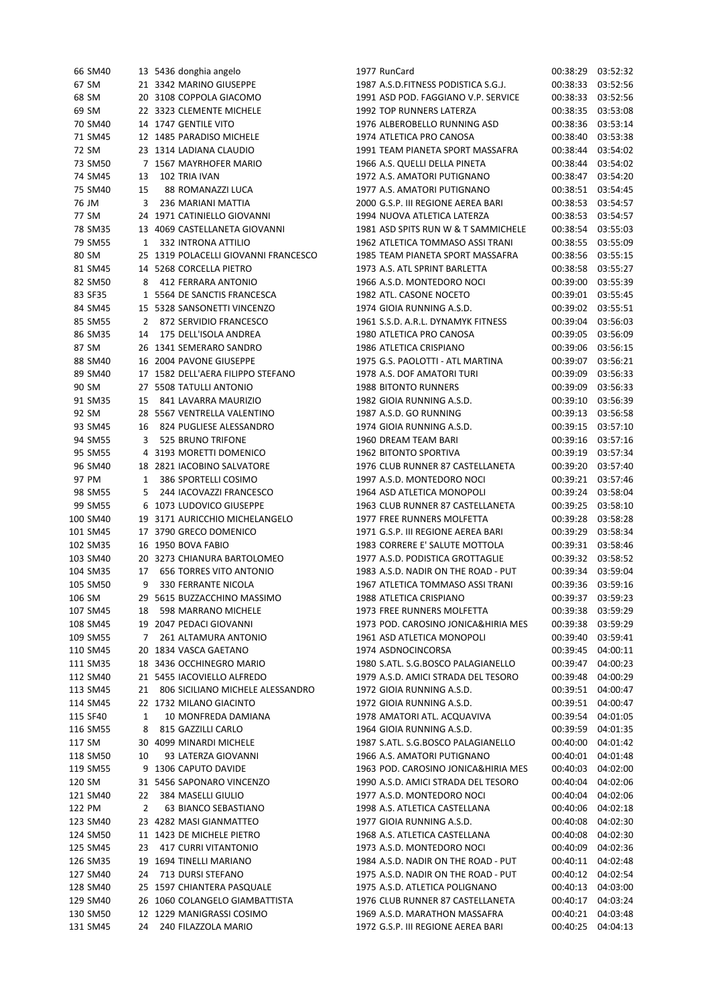| 66 SM40  |              | 13 5436 donghia angelo               | 1977 RunCard                        |                   | 00:38:29 03:52:32 |
|----------|--------------|--------------------------------------|-------------------------------------|-------------------|-------------------|
| 67 SM    |              | 21 3342 MARINO GIUSEPPE              | 1987 A.S.D.FITNESS PODISTICA S.G.J. | 00:38:33          | 03:52:56          |
| 68 SM    |              | 20 3108 COPPOLA GIACOMO              | 1991 ASD POD. FAGGIANO V.P. SERVICE | 00:38:33          | 03:52:56          |
| 69 SM    |              | 22 3323 CLEMENTE MICHELE             | 1992 TOP RUNNERS LATERZA            | 00:38:35          | 03:53:08          |
| 70 SM40  |              | 14 1747 GENTILE VITO                 | 1976 ALBEROBELLO RUNNING ASD        | 00:38:36          | 03:53:14          |
| 71 SM45  |              | 12 1485 PARADISO MICHELE             | 1974 ATLETICA PRO CANOSA            | 00:38:40          | 03:53:38          |
| 72 SM    |              | 23 1314 LADIANA CLAUDIO              | 1991 TEAM PIANETA SPORT MASSAFRA    | 00:38:44          | 03:54:02          |
| 73 SM50  |              | 7 1567 MAYRHOFER MARIO               | 1966 A.S. QUELLI DELLA PINETA       | 00:38:44          | 03:54:02          |
| 74 SM45  | 13           | 102 TRIA IVAN                        | 1972 A.S. AMATORI PUTIGNANO         | 00:38:47          | 03:54:20          |
| 75 SM40  | 15           | 88 ROMANAZZI LUCA                    | 1977 A.S. AMATORI PUTIGNANO         | 00:38:51          | 03:54:45          |
| 76 JM    | 3            | 236 MARIANI MATTIA                   | 2000 G.S.P. III REGIONE AEREA BARI  | 00:38:53          | 03:54:57          |
| 77 SM    |              | 24 1971 CATINIELLO GIOVANNI          | 1994 NUOVA ATLETICA LATERZA         |                   | 00:38:53 03:54:57 |
| 78 SM35  |              | 13 4069 CASTELLANETA GIOVANNI        | 1981 ASD SPITS RUN W & T SAMMICHELE | 00:38:54          | 03:55:03          |
| 79 SM55  | $\mathbf{1}$ | 332 INTRONA ATTILIO                  | 1962 ATLETICA TOMMASO ASSI TRANI    | 00:38:55          | 03:55:09          |
| 80 SM    |              | 25 1319 POLACELLI GIOVANNI FRANCESCO | 1985 TEAM PIANETA SPORT MASSAFRA    | 00:38:56          | 03:55:15          |
| 81 SM45  |              | 14 5268 CORCELLA PIETRO              | 1973 A.S. ATL SPRINT BARLETTA       | 00:38:58          | 03:55:27          |
| 82 SM50  | 8            | 412 FERRARA ANTONIO                  | 1966 A.S.D. MONTEDORO NOCI          | 00:39:00          | 03:55:39          |
| 83 SF35  |              | 1 5564 DE SANCTIS FRANCESCA          | 1982 ATL. CASONE NOCETO             | 00:39:01          | 03:55:45          |
| 84 SM45  |              | 15 5328 SANSONETTI VINCENZO          | 1974 GIOIA RUNNING A.S.D.           | 00:39:02          | 03:55:51          |
|          |              |                                      |                                     |                   |                   |
| 85 SM55  |              | 2 872 SERVIDIO FRANCESCO             | 1961 S.S.D. A.R.L. DYNAMYK FITNESS  | 00:39:04          | 03:56:03          |
| 86 SM35  | 14           | 175 DELL'ISOLA ANDREA                | 1980 ATLETICA PRO CANOSA            | 00:39:05          | 03:56:09          |
| 87 SM    |              | 26 1341 SEMERARO SANDRO              | 1986 ATLETICA CRISPIANO             | 00:39:06          | 03:56:15          |
| 88 SM40  |              | 16 2004 PAVONE GIUSEPPE              | 1975 G.S. PAOLOTTI - ATL MARTINA    | 00:39:07          | 03:56:21          |
| 89 SM40  |              | 17 1582 DELL'AERA FILIPPO STEFANO    | 1978 A.S. DOF AMATORI TURI          | 00:39:09          | 03:56:33          |
| 90 SM    |              | 27 5508 TATULLI ANTONIO              | <b>1988 BITONTO RUNNERS</b>         | 00:39:09          | 03:56:33          |
| 91 SM35  | 15           | 841 LAVARRA MAURIZIO                 | 1982 GIOIA RUNNING A.S.D.           | 00:39:10          | 03:56:39          |
| 92 SM    |              | 28 5567 VENTRELLA VALENTINO          | 1987 A.S.D. GO RUNNING              | 00:39:13          | 03:56:58          |
| 93 SM45  | 16           | 824 PUGLIESE ALESSANDRO              | 1974 GIOIA RUNNING A.S.D.           | 00:39:15          | 03:57:10          |
| 94 SM55  | 3            | 525 BRUNO TRIFONE                    | 1960 DREAM TEAM BARI                | 00:39:16          | 03:57:16          |
| 95 SM55  |              | 4 3193 MORETTI DOMENICO              | 1962 BITONTO SPORTIVA               | 00:39:19          | 03:57:34          |
| 96 SM40  |              | 18 2821 IACOBINO SALVATORE           | 1976 CLUB RUNNER 87 CASTELLANETA    | 00:39:20          | 03:57:40          |
| 97 PM    | 1            | 386 SPORTELLI COSIMO                 | 1997 A.S.D. MONTEDORO NOCI          | 00:39:21          | 03:57:46          |
| 98 SM55  | 5.           | 244 IACOVAZZI FRANCESCO              | 1964 ASD ATLETICA MONOPOLI          | 00:39:24          | 03:58:04          |
| 99 SM55  |              | 6 1073 LUDOVICO GIUSEPPE             | 1963 CLUB RUNNER 87 CASTELLANETA    | 00:39:25          | 03:58:10          |
| 100 SM40 |              | 19 3171 AURICCHIO MICHELANGELO       | 1977 FREE RUNNERS MOLFETTA          | 00:39:28          | 03:58:28          |
| 101 SM45 |              | 17 3790 GRECO DOMENICO               | 1971 G.S.P. III REGIONE AEREA BARI  | 00:39:29          | 03:58:34          |
| 102 SM35 |              | 16 1950 BOVA FABIO                   | 1983 CORRERE E' SALUTE MOTTOLA      |                   | 00:39:31 03:58:46 |
| 103 SM40 |              | 20 3273 CHIANURA BARTOLOMEO          | 1977 A.S.D. PODISTICA GROTTAGLIE    |                   | 00:39:32 03:58:52 |
| 104 SM35 | 17           | <b>656 TORRES VITO ANTONIO</b>       | 1983 A.S.D. NADIR ON THE ROAD - PUT | 00:39:34          | 03:59:04          |
| 105 SM50 | 9            | 330 FERRANTE NICOLA                  | 1967 ATLETICA TOMMASO ASSI TRANI    | 00:39:36 03:59:16 |                   |
| 106 SM   |              | 29 5615 BUZZACCHINO MASSIMO          | 1988 ATLETICA CRISPIANO             |                   | 00:39:37 03:59:23 |
| 107 SM45 | 18           | 598 MARRANO MICHELE                  | 1973 FREE RUNNERS MOLFETTA          |                   | 00:39:38 03:59:29 |
| 108 SM45 |              | 19 2047 PEDACI GIOVANNI              | 1973 POD. CAROSINO JONICA&HIRIA MES | 00:39:38          | 03:59:29          |
| 109 SM55 | 7            | 261 ALTAMURA ANTONIO                 | 1961 ASD ATLETICA MONOPOLI          | 00:39:40          | 03:59:41          |
| 110 SM45 | 20           | 1834 VASCA GAETANO                   | 1974 ASDNOCINCORSA                  | 00:39:45          | 04:00:11          |
| 111 SM35 |              | 18 3436 OCCHINEGRO MARIO             | 1980 S.ATL. S.G.BOSCO PALAGIANELLO  | 00:39:47          | 04:00:23          |
| 112 SM40 |              | 21 5455 IACOVIELLO ALFREDO           | 1979 A.S.D. AMICI STRADA DEL TESORO | 00:39:48          | 04:00:29          |
| 113 SM45 | 21           | 806 SICILIANO MICHELE ALESSANDRO     | 1972 GIOIA RUNNING A.S.D.           | 00:39:51          | 04:00:47          |
| 114 SM45 |              | 22 1732 MILANO GIACINTO              | 1972 GIOIA RUNNING A.S.D.           | 00:39:51          | 04:00:47          |
| 115 SF40 | 1            | 10 MONFREDA DAMIANA                  | 1978 AMATORI ATL. ACQUAVIVA         | 00:39:54          | 04:01:05          |
| 116 SM55 |              | 815 GAZZILLI CARLO                   | 1964 GIOIA RUNNING A.S.D.           | 00:39:59          | 04:01:35          |
|          | 8            |                                      | 1987 S.ATL. S.G.BOSCO PALAGIANELLO  |                   |                   |
| 117 SM   |              | 30 4099 MINARDI MICHELE              |                                     | 00:40:00          | 04:01:42          |
| 118 SM50 | 10           | 93 LATERZA GIOVANNI                  | 1966 A.S. AMATORI PUTIGNANO         | 00:40:01          | 04:01:48          |
| 119 SM55 |              | 9 1306 CAPUTO DAVIDE                 | 1963 POD. CAROSINO JONICA&HIRIA MES | 00:40:03          | 04:02:00          |
| 120 SM   |              | 31 5456 SAPONARO VINCENZO            | 1990 A.S.D. AMICI STRADA DEL TESORO | 00:40:04          | 04:02:06          |
| 121 SM40 | 22           | 384 MASELLI GIULIO                   | 1977 A.S.D. MONTEDORO NOCI          | 00:40:04          | 04:02:06          |
| 122 PM   | 2            | 63 BIANCO SEBASTIANO                 | 1998 A.S. ATLETICA CASTELLANA       | 00:40:06          | 04:02:18          |
| 123 SM40 |              | 23 4282 MASI GIANMATTEO              | 1977 GIOIA RUNNING A.S.D.           | 00:40:08          | 04:02:30          |
| 124 SM50 |              | 11 1423 DE MICHELE PIETRO            | 1968 A.S. ATLETICA CASTELLANA       | 00:40:08          | 04:02:30          |
| 125 SM45 | 23           | 417 CURRI VITANTONIO                 | 1973 A.S.D. MONTEDORO NOCI          | 00:40:09          | 04:02:36          |
| 126 SM35 |              | 19 1694 TINELLI MARIANO              | 1984 A.S.D. NADIR ON THE ROAD - PUT | 00:40:11          | 04:02:48          |
| 127 SM40 | 24           | 713 DURSI STEFANO                    | 1975 A.S.D. NADIR ON THE ROAD - PUT | 00:40:12          | 04:02:54          |
| 128 SM40 |              | 25 1597 CHIANTERA PASQUALE           | 1975 A.S.D. ATLETICA POLIGNANO      | 00:40:13          | 04:03:00          |
| 129 SM40 |              | 26 1060 COLANGELO GIAMBATTISTA       | 1976 CLUB RUNNER 87 CASTELLANETA    | 00:40:17          | 04:03:24          |
| 130 SM50 |              | 12 1229 MANIGRASSI COSIMO            | 1969 A.S.D. MARATHON MASSAFRA       | 00:40:21          | 04:03:48          |
| 131 SM45 | 24           | 240 FILAZZOLA MARIO                  | 1972 G.S.P. III REGIONE AEREA BARI  | 00:40:25          | 04:04:13          |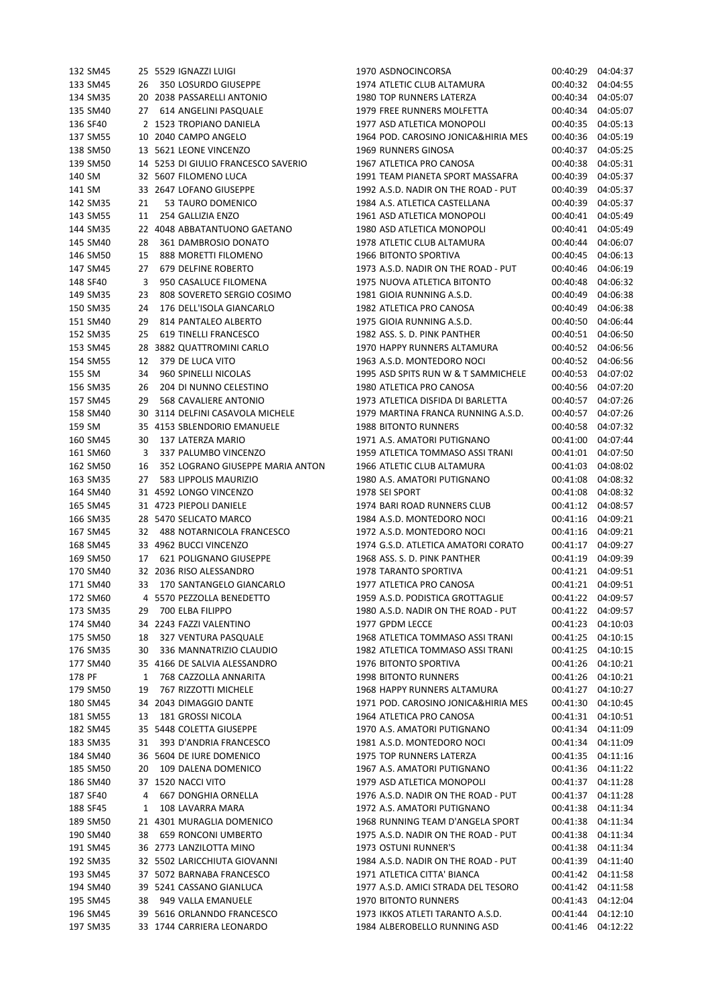| 132 SM45 |    | 25 5529 IGNAZZI LUIGI               | 1970 ASDNOCINCORSA                                     | 00:40:29 04:04:37    |                      |
|----------|----|-------------------------------------|--------------------------------------------------------|----------------------|----------------------|
| 133 SM45 | 26 | 350 LOSURDO GIUSEPPE                | 1974 ATLETIC CLUB ALTAMURA                             | 00:40:32             | 04:04:55             |
| 134 SM35 |    | 20 2038 PASSARELLI ANTONIO          | 1980 TOP RUNNERS LATERZA                               | 00:40:34             | 04:05:07             |
| 135 SM40 | 27 | 614 ANGELINI PASQUALE               | 1979 FREE RUNNERS MOLFETTA                             | 00:40:34             | 04:05:07             |
| 136 SF40 |    | 2 1523 TROPIANO DANIELA             | 1977 ASD ATLETICA MONOPOLI                             | 00:40:35             | 04:05:13             |
| 137 SM55 |    | 10 2040 CAMPO ANGELO                | 1964 POD. CAROSINO JONICA&HIRIA MES                    | 00:40:36             | 04:05:19             |
| 138 SM50 |    | 13 5621 LEONE VINCENZO              | 1969 RUNNERS GINOSA                                    | 00:40:37             | 04:05:25             |
| 139 SM50 |    | 14 5253 DI GIULIO FRANCESCO SAVERIO | 1967 ATLETICA PRO CANOSA                               | 00:40:38             | 04:05:31             |
| 140 SM   |    | 32 5607 FILOMENO LUCA               | 1991 TEAM PIANETA SPORT MASSAFRA                       | 00:40:39             | 04:05:37             |
| 141 SM   |    | 33 2647 LOFANO GIUSEPPE             | 1992 A.S.D. NADIR ON THE ROAD - PUT                    | 00:40:39             | 04:05:37             |
| 142 SM35 | 21 | 53 TAURO DOMENICO                   | 1984 A.S. ATLETICA CASTELLANA                          | 00:40:39             | 04:05:37             |
| 143 SM55 | 11 | 254 GALLIZIA ENZO                   | 1961 ASD ATLETICA MONOPOLI                             | 00:40:41             | 04:05:49             |
| 144 SM35 |    | 22 4048 ABBATANTUONO GAETANO        | 1980 ASD ATLETICA MONOPOLI                             | 00:40:41             | 04:05:49             |
| 145 SM40 | 28 | 361 DAMBROSIO DONATO                | 1978 ATLETIC CLUB ALTAMURA                             | 00:40:44             | 04:06:07             |
| 146 SM50 | 15 | 888 MORETTI FILOMENO                | 1966 BITONTO SPORTIVA                                  | 00:40:45             | 04:06:13             |
| 147 SM45 | 27 | 679 DELFINE ROBERTO                 | 1973 A.S.D. NADIR ON THE ROAD - PUT                    | 00:40:46             | 04:06:19             |
| 148 SF40 | 3  | 950 CASALUCE FILOMENA               | 1975 NUOVA ATLETICA BITONTO                            | 00:40:48             | 04:06:32             |
| 149 SM35 | 23 | 808 SOVERETO SERGIO COSIMO          | 1981 GIOIA RUNNING A.S.D.                              | 00:40:49             | 04:06:38             |
| 150 SM35 | 24 | 176 DELL'ISOLA GIANCARLO            | 1982 ATLETICA PRO CANOSA                               | 00:40:49             | 04:06:38             |
| 151 SM40 | 29 | 814 PANTALEO ALBERTO                | 1975 GIOIA RUNNING A.S.D.                              | 00:40:50             | 04:06:44             |
| 152 SM35 | 25 | 619 TINELLI FRANCESCO               | 1982 ASS. S. D. PINK PANTHER                           | 00:40:51             | 04:06:50             |
| 153 SM45 |    | 28 3882 QUATTROMINI CARLO           | 1970 HAPPY RUNNERS ALTAMURA                            | 00:40:52             | 04:06:56             |
| 154 SM55 | 12 | 379 DE LUCA VITO                    | 1963 A.S.D. MONTEDORO NOCI                             | 00:40:52             | 04:06:56             |
| 155 SM   | 34 | 960 SPINELLI NICOLAS                | 1995 ASD SPITS RUN W & T SAMMICHELE                    | 00:40:53             | 04:07:02             |
| 156 SM35 | 26 | 204 DI NUNNO CELESTINO              | 1980 ATLETICA PRO CANOSA                               | 00:40:56             | 04:07:20             |
| 157 SM45 | 29 | 568 CAVALIERE ANTONIO               | 1973 ATLETICA DISFIDA DI BARLETTA                      | 00:40:57             | 04:07:26             |
| 158 SM40 | 30 | 3114 DELFINI CASAVOLA MICHELE       | 1979 MARTINA FRANCA RUNNING A.S.D.                     | 00:40:57             | 04:07:26             |
| 159 SM   |    | 35 4153 SBLENDORIO EMANUELE         | <b>1988 BITONTO RUNNERS</b>                            | 00:40:58             | 04:07:32             |
| 160 SM45 | 30 | 137 LATERZA MARIO                   | 1971 A.S. AMATORI PUTIGNANO                            | 00:41:00             | 04:07:44             |
| 161 SM60 | 3  | 337 PALUMBO VINCENZO                | 1959 ATLETICA TOMMASO ASSI TRANI                       | 00:41:01             | 04:07:50             |
| 162 SM50 | 16 | 352 LOGRANO GIUSEPPE MARIA ANTON    | 1966 ATLETIC CLUB ALTAMURA                             | 00:41:03             | 04:08:02             |
| 163 SM35 | 27 | 583 LIPPOLIS MAURIZIO               | 1980 A.S. AMATORI PUTIGNANO                            | 00:41:08             | 04:08:32             |
| 164 SM40 |    | 31 4592 LONGO VINCENZO              | 1978 SEI SPORT                                         | 00:41:08             | 04:08:32             |
| 165 SM45 |    | 31 4723 PIEPOLI DANIELE             | 1974 BARI ROAD RUNNERS CLUB                            | 00:41:12             | 04:08:57             |
| 166 SM35 |    | 28 5470 SELICATO MARCO              | 1984 A.S.D. MONTEDORO NOCI                             | 00:41:16             | 04:09:21             |
| 167 SM45 | 32 | 488 NOTARNICOLA FRANCESCO           | 1972 A.S.D. MONTEDORO NOCI                             | 00:41:16             | 04:09:21             |
| 168 SM45 |    | 33 4962 BUCCI VINCENZO              | 1974 G.S.D. ATLETICA AMATORI CORATO                    | 00:41:17             | 04:09:27             |
| 169 SM50 | 17 | 621 POLIGNANO GIUSEPPE              | 1968 ASS, S. D. PINK PANTHER                           | 00:41:19             | 04:09:39             |
| 170 SM40 |    | 32 2036 RISO ALESSANDRO             | 1978 TARANTO SPORTIVA                                  | 00:41:21             | 04:09:51             |
| 171 SM40 | 33 | 170 SANTANGELO GIANCARLO            | 1977 ATLETICA PRO CANOSA                               |                      |                      |
| 172 SM60 |    | 4 5570 PEZZOLLA BENEDETTO           | 1959 A.S.D. PODISTICA GROTTAGLIE                       | 00:41:21<br>00:41:22 | 04:09:51<br>04:09:57 |
|          |    |                                     |                                                        |                      |                      |
| 173 SM35 | 29 | 700 ELBA FILIPPO                    | 1980 A.S.D. NADIR ON THE ROAD - PUT<br>1977 GPDM LECCE |                      | 00:41:22 04:09:57    |
| 174 SM40 |    | 34 2243 FAZZI VALENTINO             |                                                        | 00:41:23             | 04:10:03             |
| 175 SM50 | 18 | 327 VENTURA PASQUALE                | 1968 ATLETICA TOMMASO ASSI TRANI                       |                      | 00:41:25 04:10:15    |
| 176 SM35 | 30 | 336 MANNATRIZIO CLAUDIO             | 1982 ATLETICA TOMMASO ASSI TRANI                       |                      | 00:41:25 04:10:15    |
| 177 SM40 |    | 35 4166 DE SALVIA ALESSANDRO        | 1976 BITONTO SPORTIVA                                  | 00:41:26             | 04:10:21             |
| 178 PF   | 1  | 768 CAZZOLLA ANNARITA               | <b>1998 BITONTO RUNNERS</b>                            | 00:41:26             | 04:10:21             |
| 179 SM50 | 19 | 767 RIZZOTTI MICHELE                | 1968 HAPPY RUNNERS ALTAMURA                            | 00:41:27             | 04:10:27             |
| 180 SM45 |    | 34 2043 DIMAGGIO DANTE              | 1971 POD. CAROSINO JONICA&HIRIA MES                    | 00:41:30             | 04:10:45             |
| 181 SM55 | 13 | 181 GROSSI NICOLA                   | 1964 ATLETICA PRO CANOSA                               | 00:41:31 04:10:51    |                      |
| 182 SM45 |    | 35 5448 COLETTA GIUSEPPE            | 1970 A.S. AMATORI PUTIGNANO                            | 00:41:34             | 04:11:09             |
| 183 SM35 | 31 | 393 D'ANDRIA FRANCESCO              | 1981 A.S.D. MONTEDORO NOCI                             | 00:41:34             | 04:11:09             |
| 184 SM40 |    | 36 5604 DE IURE DOMENICO            | 1975 TOP RUNNERS LATERZA                               | 00:41:35             | 04:11:16             |
| 185 SM50 | 20 | 109 DALENA DOMENICO                 | 1967 A.S. AMATORI PUTIGNANO                            | 00:41:36             | 04:11:22             |
| 186 SM40 |    | 37 1520 NACCI VITO                  | 1979 ASD ATLETICA MONOPOLI                             | 00:41:37             | 04:11:28             |
| 187 SF40 | 4  | 667 DONGHIA ORNELLA                 | 1976 A.S.D. NADIR ON THE ROAD - PUT                    | 00:41:37             | 04:11:28             |
| 188 SF45 | 1  | 108 LAVARRA MARA                    | 1972 A.S. AMATORI PUTIGNANO                            | 00:41:38 04:11:34    |                      |
| 189 SM50 |    | 21 4301 MURAGLIA DOMENICO           | 1968 RUNNING TEAM D'ANGELA SPORT                       | 00:41:38 04:11:34    |                      |
| 190 SM40 | 38 | 659 RONCONI UMBERTO                 | 1975 A.S.D. NADIR ON THE ROAD - PUT                    | 00:41:38             | 04:11:34             |
| 191 SM45 |    | 36 2773 LANZILOTTA MINO             | 1973 OSTUNI RUNNER'S                                   | 00:41:38             | 04:11:34             |
| 192 SM35 |    | 32 5502 LARICCHIUTA GIOVANNI        | 1984 A.S.D. NADIR ON THE ROAD - PUT                    | 00:41:39             | 04:11:40             |
| 193 SM45 |    | 37 5072 BARNABA FRANCESCO           | 1971 ATLETICA CITTA' BIANCA                            | 00:41:42             | 04:11:58             |
| 194 SM40 |    | 39 5241 CASSANO GIANLUCA            | 1977 A.S.D. AMICI STRADA DEL TESORO                    | 00:41:42 04:11:58    |                      |
| 195 SM45 | 38 | 949 VALLA EMANUELE                  | 1970 BITONTO RUNNERS                                   | 00:41:43 04:12:04    |                      |
| 196 SM45 |    | 39 5616 ORLANNDO FRANCESCO          | 1973 IKKOS ATLETI TARANTO A.S.D.                       | 00:41:44             | 04:12:10             |
| 197 SM35 |    | 33 1744 CARRIERA LEONARDO           | 1984 ALBEROBELLO RUNNING ASD                           |                      | 00:41:46 04:12:22    |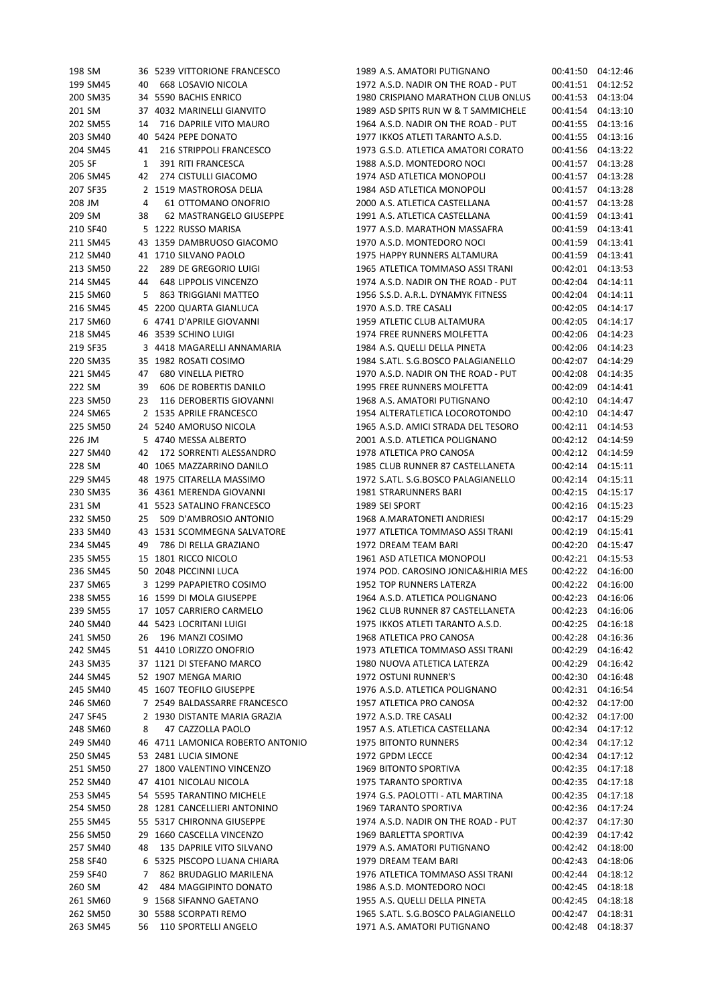| 198 SM   |    | 36 5239 VITTORIONE FRANCESCO     | 1989 A.S. AMATORI PUTIGNANO         |                   | 00:41:50 04:12:46 |
|----------|----|----------------------------------|-------------------------------------|-------------------|-------------------|
| 199 SM45 | 40 | 668 LOSAVIO NICOLA               | 1972 A.S.D. NADIR ON THE ROAD - PUT | 00:41:51          | 04:12:52          |
| 200 SM35 |    | 34 5590 BACHIS ENRICO            | 1980 CRISPIANO MARATHON CLUB ONLUS  | 00:41:53          | 04:13:04          |
| 201 SM   |    | 37 4032 MARINELLI GIANVITO       | 1989 ASD SPITS RUN W & T SAMMICHELE | 00:41:54          | 04:13:10          |
| 202 SM55 | 14 | 716 DAPRILE VITO MAURO           | 1964 A.S.D. NADIR ON THE ROAD - PUT | 00:41:55          | 04:13:16          |
| 203 SM40 |    | 40 5424 PEPE DONATO              | 1977 IKKOS ATLETI TARANTO A.S.D.    | 00:41:55          | 04:13:16          |
| 204 SM45 | 41 | 216 STRIPPOLI FRANCESCO          | 1973 G.S.D. ATLETICA AMATORI CORATO | 00:41:56          | 04:13:22          |
| 205 SF   | 1  | 391 RITI FRANCESCA               | 1988 A.S.D. MONTEDORO NOCI          | 00:41:57          | 04:13:28          |
| 206 SM45 | 42 | 274 CISTULLI GIACOMO             | 1974 ASD ATLETICA MONOPOLI          | 00:41:57          | 04:13:28          |
| 207 SF35 |    | 2 1519 MASTROROSA DELIA          | 1984 ASD ATLETICA MONOPOLI          | 00:41:57          | 04:13:28          |
| 208 JM   | 4  | 61 OTTOMANO ONOFRIO              | 2000 A.S. ATLETICA CASTELLANA       | 00:41:57          | 04:13:28          |
| 209 SM   | 38 | 62 MASTRANGELO GIUSEPPE          | 1991 A.S. ATLETICA CASTELLANA       | 00:41:59          | 04:13:41          |
| 210 SF40 |    | 5 1222 RUSSO MARISA              | 1977 A.S.D. MARATHON MASSAFRA       | 00:41:59          | 04:13:41          |
| 211 SM45 |    | 43 1359 DAMBRUOSO GIACOMO        | 1970 A.S.D. MONTEDORO NOCI          | 00:41:59          | 04:13:41          |
| 212 SM40 |    | 41 1710 SILVANO PAOLO            | 1975 HAPPY RUNNERS ALTAMURA         | 00:41:59          | 04:13:41          |
| 213 SM50 | 22 | 289 DE GREGORIO LUIGI            | 1965 ATLETICA TOMMASO ASSI TRANI    | 00:42:01          | 04:13:53          |
| 214 SM45 | 44 | 648 LIPPOLIS VINCENZO            | 1974 A.S.D. NADIR ON THE ROAD - PUT | 00:42:04          | 04:14:11          |
| 215 SM60 | 5  | 863 TRIGGIANI MATTEO             | 1956 S.S.D. A.R.L. DYNAMYK FITNESS  | 00:42:04          | 04:14:11          |
| 216 SM45 |    | 45 2200 QUARTA GIANLUCA          | 1970 A.S.D. TRE CASALI              | 00:42:05          | 04:14:17          |
| 217 SM60 |    | 6 4741 D'APRILE GIOVANNI         | 1959 ATLETIC CLUB ALTAMURA          | 00:42:05          | 04:14:17          |
| 218 SM45 |    | 46 3539 SCHINO LUIGI             | 1974 FREE RUNNERS MOLFETTA          | 00:42:06          | 04:14:23          |
| 219 SF35 |    | 3 4418 MAGARELLI ANNAMARIA       | 1984 A.S. QUELLI DELLA PINETA       | 00:42:06          | 04:14:23          |
| 220 SM35 |    | 35 1982 ROSATI COSIMO            | 1984 S.ATL. S.G.BOSCO PALAGIANELLO  | 00:42:07          | 04:14:29          |
| 221 SM45 | 47 | <b>680 VINELLA PIETRO</b>        | 1970 A.S.D. NADIR ON THE ROAD - PUT | 00:42:08          | 04:14:35          |
|          |    |                                  |                                     |                   |                   |
| 222 SM   | 39 | 606 DE ROBERTIS DANILO           | 1995 FREE RUNNERS MOLFETTA          | 00:42:09          | 04:14:41          |
| 223 SM50 | 23 | 116 DEROBERTIS GIOVANNI          | 1968 A.S. AMATORI PUTIGNANO         | 00:42:10          | 04:14:47          |
| 224 SM65 |    | 2 1535 APRILE FRANCESCO          | 1954 ALTERATLETICA LOCOROTONDO      | 00:42:10          | 04:14:47          |
| 225 SM50 |    | 24 5240 AMORUSO NICOLA           | 1965 A.S.D. AMICI STRADA DEL TESORO | 00:42:11          | 04:14:53          |
| 226 JM   |    | 5 4740 MESSA ALBERTO             | 2001 A.S.D. ATLETICA POLIGNANO      | 00:42:12          | 04:14:59          |
| 227 SM40 | 42 | 172 SORRENTI ALESSANDRO          | 1978 ATLETICA PRO CANOSA            | 00:42:12          | 04:14:59          |
| 228 SM   |    | 40 1065 MAZZARRINO DANILO        | 1985 CLUB RUNNER 87 CASTELLANETA    | 00:42:14          | 04:15:11          |
| 229 SM45 |    | 48 1975 CITARELLA MASSIMO        | 1972 S.ATL. S.G.BOSCO PALAGIANELLO  | 00:42:14          | 04:15:11          |
| 230 SM35 |    | 36 4361 MERENDA GIOVANNI         | 1981 STRARUNNERS BARI               | 00:42:15          | 04:15:17          |
| 231 SM   |    | 41 5523 SATALINO FRANCESCO       | 1989 SEI SPORT                      | 00:42:16          | 04:15:23          |
| 232 SM50 | 25 | 509 D'AMBROSIO ANTONIO           | 1968 A.MARATONETI ANDRIESI          | 00:42:17          | 04:15:29          |
| 233 SM40 |    | 43 1531 SCOMMEGNA SALVATORE      | 1977 ATLETICA TOMMASO ASSI TRANI    | 00:42:19          | 04:15:41          |
| 234 SM45 | 49 | 786 DI RELLA GRAZIANO            | 1972 DREAM TEAM BARI                | 00:42:20          | 04:15:47          |
| 235 SM55 |    | 15 1801 RICCO NICOLO             | 1961 ASD ATLETICA MONOPOLI          |                   | 00:42:21 04:15:53 |
| 236 SM45 |    | 50 2048 PICCINNI LUCA            | 1974 POD. CAROSINO JONICA&HIRIA MES |                   | 00:42:22 04:16:00 |
| 237 SM65 |    | 3 1299 PAPAPIETRO COSIMO         | 1952 TOP RUNNERS LATERZA            | 00:42:22 04:16:00 |                   |
| 238 SM55 |    | 16 1599 DI MOLA GIUSEPPE         | 1964 A.S.D. ATLETICA POLIGNANO      |                   | 00:42:23 04:16:06 |
| 239 SM55 |    | 17 1057 CARRIERO CARMELO         | 1962 CLUB RUNNER 87 CASTELLANETA    |                   | 00:42:23 04:16:06 |
| 240 SM40 |    | 44 5423 LOCRITANI LUIGI          | 1975 IKKOS ATLETI TARANTO A.S.D.    | 00:42:25          | 04:16:18          |
| 241 SM50 | 26 | 196 MANZI COSIMO                 | 1968 ATLETICA PRO CANOSA            |                   | 00:42:28 04:16:36 |
| 242 SM45 |    | 51 4410 LORIZZO ONOFRIO          | 1973 ATLETICA TOMMASO ASSI TRANI    | 00:42:29          | 04:16:42          |
| 243 SM35 |    | 37 1121 DI STEFANO MARCO         | 1980 NUOVA ATLETICA LATERZA         | 00:42:29          | 04:16:42          |
| 244 SM45 |    | 52 1907 MENGA MARIO              | 1972 OSTUNI RUNNER'S                | 00:42:30          | 04:16:48          |
| 245 SM40 |    | 45 1607 TEOFILO GIUSEPPE         | 1976 A.S.D. ATLETICA POLIGNANO      | 00:42:31          | 04:16:54          |
| 246 SM60 |    | 7 2549 BALDASSARRE FRANCESCO     | 1957 ATLETICA PRO CANOSA            | 00:42:32          | 04:17:00          |
| 247 SF45 |    | 2 1930 DISTANTE MARIA GRAZIA     | 1972 A.S.D. TRE CASALI              |                   | 00:42:32 04:17:00 |
| 248 SM60 | 8  | 47 CAZZOLLA PAOLO                | 1957 A.S. ATLETICA CASTELLANA       |                   | 00:42:34 04:17:12 |
| 249 SM40 |    | 46 4711 LAMONICA ROBERTO ANTONIO | <b>1975 BITONTO RUNNERS</b>         | 00:42:34          | 04:17:12          |
| 250 SM45 |    | 53 2481 LUCIA SIMONE             | 1972 GPDM LECCE                     | 00:42:34          | 04:17:12          |
| 251 SM50 |    | 27 1800 VALENTINO VINCENZO       | 1969 BITONTO SPORTIVA               | 00:42:35          | 04:17:18          |
| 252 SM40 |    | 47 4101 NICOLAU NICOLA           | 1975 TARANTO SPORTIVA               | 00:42:35          | 04:17:18          |
| 253 SM45 |    | 54 5595 TARANTINO MICHELE        | 1974 G.S. PAOLOTTI - ATL MARTINA    | 00:42:35          | 04:17:18          |
| 254 SM50 |    | 28 1281 CANCELLIERI ANTONINO     | 1969 TARANTO SPORTIVA               |                   | 00:42:36 04:17:24 |
| 255 SM45 |    | 55 5317 CHIRONNA GIUSEPPE        | 1974 A.S.D. NADIR ON THE ROAD - PUT |                   | 00:42:37 04:17:30 |
| 256 SM50 |    | 29 1660 CASCELLA VINCENZO        | 1969 BARLETTA SPORTIVA              | 00:42:39          | 04:17:42          |
| 257 SM40 | 48 | 135 DAPRILE VITO SILVANO         | 1979 A.S. AMATORI PUTIGNANO         | 00:42:42          | 04:18:00          |
| 258 SF40 |    | 6 5325 PISCOPO LUANA CHIARA      | 1979 DREAM TEAM BARI                | 00:42:43          | 04:18:06          |
| 259 SF40 | 7  | 862 BRUDAGLIO MARILENA           | 1976 ATLETICA TOMMASO ASSI TRANI    | 00:42:44          | 04:18:12          |
| 260 SM   | 42 | 484 MAGGIPINTO DONATO            | 1986 A.S.D. MONTEDORO NOCI          |                   | 00:42:45 04:18:18 |
| 261 SM60 |    | 9 1568 SIFANNO GAETANO           | 1955 A.S. QUELLI DELLA PINETA       | 00:42:45          | 04:18:18          |
| 262 SM50 |    | 30 5588 SCORPATI REMO            | 1965 S.ATL. S.G.BOSCO PALAGIANELLO  | 00:42:47          | 04:18:31          |
| 263 SM45 |    | 56 110 SPORTELLI ANGELO          | 1971 A.S. AMATORI PUTIGNANO         |                   | 00:42:48 04:18:37 |
|          |    |                                  |                                     |                   |                   |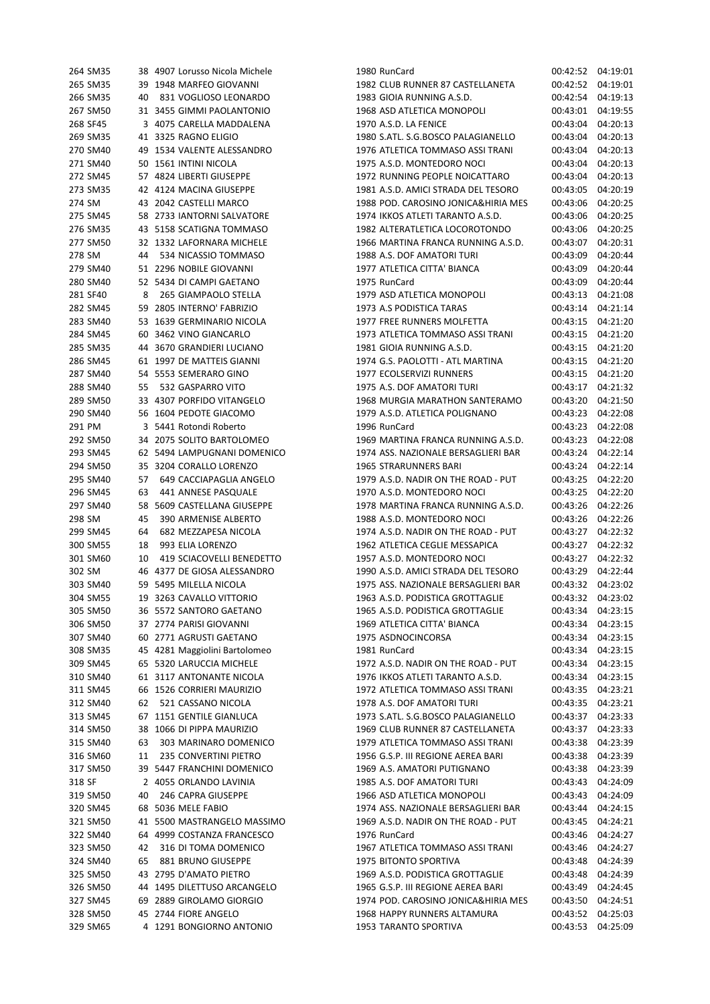| 264 SM35 |    | 38 4907 Lorusso Nicola Michele | 1980 RunCard                        | 00:42:52 04:19:01 |          |
|----------|----|--------------------------------|-------------------------------------|-------------------|----------|
| 265 SM35 |    | 39 1948 MARFEO GIOVANNI        | 1982 CLUB RUNNER 87 CASTELLANETA    | 00:42:52          | 04:19:01 |
| 266 SM35 | 40 | 831 VOGLIOSO LEONARDO          | 1983 GIOIA RUNNING A.S.D.           | 00:42:54          | 04:19:13 |
| 267 SM50 |    | 31 3455 GIMMI PAOLANTONIO      | 1968 ASD ATLETICA MONOPOLI          | 00:43:01          | 04:19:55 |
| 268 SF45 |    | 3 4075 CARELLA MADDALENA       | 1970 A.S.D. LA FENICE               | 00:43:04          | 04:20:13 |
| 269 SM35 |    | 41 3325 RAGNO ELIGIO           | 1980 S.ATL. S.G.BOSCO PALAGIANELLO  | 00:43:04          | 04:20:13 |
| 270 SM40 |    | 49 1534 VALENTE ALESSANDRO     | 1976 ATLETICA TOMMASO ASSI TRANI    | 00:43:04          | 04:20:13 |
| 271 SM40 |    | 50 1561 INTINI NICOLA          | 1975 A.S.D. MONTEDORO NOCI          | 00:43:04          | 04:20:13 |
| 272 SM45 |    | 57 4824 LIBERTI GIUSEPPE       | 1972 RUNNING PEOPLE NOICATTARO      | 00:43:04          | 04:20:13 |
| 273 SM35 |    | 42 4124 MACINA GIUSEPPE        | 1981 A.S.D. AMICI STRADA DEL TESORO | 00:43:05          | 04:20:19 |
| 274 SM   |    | 43 2042 CASTELLI MARCO         | 1988 POD. CAROSINO JONICA&HIRIA MES | 00:43:06          | 04:20:25 |
| 275 SM45 |    | 58 2733 IANTORNI SALVATORE     | 1974 IKKOS ATLETI TARANTO A.S.D.    | 00:43:06          | 04:20:25 |
| 276 SM35 |    | 43 5158 SCATIGNA TOMMASO       | 1982 ALTERATLETICA LOCOROTONDO      | 00:43:06          | 04:20:25 |
| 277 SM50 |    | 32 1332 LAFORNARA MICHELE      | 1966 MARTINA FRANCA RUNNING A.S.D.  | 00:43:07          | 04:20:31 |
| 278 SM   | 44 | 534 NICASSIO TOMMASO           | 1988 A.S. DOF AMATORI TURI          | 00:43:09          | 04:20:44 |
| 279 SM40 |    | 51 2296 NOBILE GIOVANNI        | 1977 ATLETICA CITTA' BIANCA         | 00:43:09          | 04:20:44 |
| 280 SM40 |    | 52 5434 DI CAMPI GAETANO       | 1975 RunCard                        | 00:43:09          | 04:20:44 |
| 281 SF40 | 8  | 265 GIAMPAOLO STELLA           | 1979 ASD ATLETICA MONOPOLI          | 00:43:13          | 04:21:08 |
| 282 SM45 |    | 59 2805 INTERNO' FABRIZIO      | 1973 A.S PODISTICA TARAS            | 00:43:14          | 04:21:14 |
| 283 SM40 |    | 53 1639 GERMINARIO NICOLA      | 1977 FREE RUNNERS MOLFETTA          | 00:43:15          | 04:21:20 |
| 284 SM45 |    | 60 3462 VINO GIANCARLO         | 1973 ATLETICA TOMMASO ASSI TRANI    | 00:43:15          | 04:21:20 |
| 285 SM35 |    | 44 3670 GRANDIERI LUCIANO      | 1981 GIOIA RUNNING A.S.D.           | 00:43:15          | 04:21:20 |
| 286 SM45 |    | 61 1997 DE MATTEIS GIANNI      | 1974 G.S. PAOLOTTI - ATL MARTINA    | 00:43:15          | 04:21:20 |
| 287 SM40 |    | 54 5553 SEMERARO GINO          | 1977 ECOLSERVIZI RUNNERS            | 00:43:15          | 04:21:20 |
| 288 SM40 | 55 | 532 GASPARRO VITO              | 1975 A.S. DOF AMATORI TURI          | 00:43:17          | 04:21:32 |
| 289 SM50 |    | 33 4307 PORFIDO VITANGELO      | 1968 MURGIA MARATHON SANTERAMO      | 00:43:20          | 04:21:50 |
| 290 SM40 |    | 56 1604 PEDOTE GIACOMO         | 1979 A.S.D. ATLETICA POLIGNANO      | 00:43:23          | 04:22:08 |
| 291 PM   |    | 3 5441 Rotondi Roberto         | 1996 RunCard                        | 00:43:23          | 04:22:08 |
| 292 SM50 |    | 34 2075 SOLITO BARTOLOMEO      | 1969 MARTINA FRANCA RUNNING A.S.D.  | 00:43:23          | 04:22:08 |
| 293 SM45 |    | 62 5494 LAMPUGNANI DOMENICO    | 1974 ASS. NAZIONALE BERSAGLIERI BAR | 00:43:24          | 04:22:14 |
| 294 SM50 |    | 35 3204 CORALLO LORENZO        | <b>1965 STRARUNNERS BARI</b>        | 00:43:24          | 04:22:14 |
| 295 SM40 | 57 | 649 CACCIAPAGLIA ANGELO        | 1979 A.S.D. NADIR ON THE ROAD - PUT | 00:43:25          | 04:22:20 |
| 296 SM45 | 63 | 441 ANNESE PASQUALE            | 1970 A.S.D. MONTEDORO NOCI          | 00:43:25          | 04:22:20 |
| 297 SM40 |    | 58 5609 CASTELLANA GIUSEPPE    | 1978 MARTINA FRANCA RUNNING A.S.D.  | 00:43:26          | 04:22:26 |
| 298 SM   | 45 | 390 ARMENISE ALBERTO           | 1988 A.S.D. MONTEDORO NOCI          | 00:43:26          | 04:22:26 |
| 299 SM45 | 64 | 682 MEZZAPESA NICOLA           | 1974 A.S.D. NADIR ON THE ROAD - PUT | 00:43:27          | 04:22:32 |
| 300 SM55 | 18 | 993 ELIA LORENZO               | 1962 ATLETICA CEGLIE MESSAPICA      | 00:43:27          | 04:22:32 |
| 301 SM60 | 10 | 419 SCIACOVELLI BENEDETTO      | 1957 A.S.D. MONTEDORO NOCI          | 00:43:27          | 04:22:32 |
| 302 SM   |    | 46 4377 DE GIOSA ALESSANDRO    | 1990 A.S.D. AMICI STRADA DEL TESORO | 00:43:29          | 04:22:44 |
| 303 SM40 |    | 59 5495 MILELLA NICOLA         | 1975 ASS. NAZIONALE BERSAGLIERI BAR | 00:43:32          | 04:23:02 |
| 304 SM55 |    | 19 3263 CAVALLO VITTORIO       | 1963 A.S.D. PODISTICA GROTTAGLIE    | 00:43:32 04:23:02 |          |
| 305 SM50 |    | 36 5572 SANTORO GAETANO        | 1965 A.S.D. PODISTICA GROTTAGLIE    | 00:43:34          | 04:23:15 |
| 306 SM50 |    | 37 2774 PARISI GIOVANNI        | 1969 ATLETICA CITTA' BIANCA         | 00:43:34          | 04:23:15 |
| 307 SM40 |    | 60 2771 AGRUSTI GAETANO        | 1975 ASDNOCINCORSA                  | 00:43:34          | 04:23:15 |
| 308 SM35 |    | 45 4281 Maggiolini Bartolomeo  | 1981 RunCard                        | 00:43:34          | 04:23:15 |
| 309 SM45 |    | 65 5320 LARUCCIA MICHELE       | 1972 A.S.D. NADIR ON THE ROAD - PUT | 00:43:34          | 04:23:15 |
| 310 SM40 |    | 61 3117 ANTONANTE NICOLA       | 1976 IKKOS ATLETI TARANTO A.S.D.    | 00:43:34          | 04:23:15 |
| 311 SM45 |    | 66 1526 CORRIERI MAURIZIO      | 1972 ATLETICA TOMMASO ASSI TRANI    | 00:43:35          | 04:23:21 |
| 312 SM40 | 62 | 521 CASSANO NICOLA             | 1978 A.S. DOF AMATORI TURI          | 00:43:35          | 04:23:21 |
| 313 SM45 |    | 67 1151 GENTILE GIANLUCA       | 1973 S.ATL. S.G.BOSCO PALAGIANELLO  | 00:43:37          | 04:23:33 |
| 314 SM50 |    | 38 1066 DI PIPPA MAURIZIO      | 1969 CLUB RUNNER 87 CASTELLANETA    | 00:43:37          | 04:23:33 |
| 315 SM40 | 63 | 303 MARINARO DOMENICO          | 1979 ATLETICA TOMMASO ASSI TRANI    | 00:43:38          | 04:23:39 |
| 316 SM60 | 11 | 235 CONVERTINI PIETRO          | 1956 G.S.P. III REGIONE AEREA BARI  | 00:43:38          | 04:23:39 |
| 317 SM50 |    | 39 5447 FRANCHINI DOMENICO     | 1969 A.S. AMATORI PUTIGNANO         | 00:43:38          | 04:23:39 |
| 318 SF   |    | 2 4055 ORLANDO LAVINIA         | 1985 A.S. DOF AMATORI TURI          | 00:43:43          | 04:24:09 |
| 319 SM50 | 40 | 246 CAPRA GIUSEPPE             | 1966 ASD ATLETICA MONOPOLI          | 00:43:43          | 04:24:09 |
| 320 SM45 |    | 68 5036 MELE FABIO             | 1974 ASS. NAZIONALE BERSAGLIERI BAR | 00:43:44          | 04:24:15 |
| 321 SM50 |    | 41 5500 MASTRANGELO MASSIMO    | 1969 A.S.D. NADIR ON THE ROAD - PUT | 00:43:45          | 04:24:21 |
| 322 SM40 |    | 64 4999 COSTANZA FRANCESCO     | 1976 RunCard                        | 00:43:46          | 04:24:27 |
| 323 SM50 | 42 | 316 DI TOMA DOMENICO           | 1967 ATLETICA TOMMASO ASSI TRANI    | 00:43:46          | 04:24:27 |
| 324 SM40 | 65 | 881 BRUNO GIUSEPPE             | 1975 BITONTO SPORTIVA               | 00:43:48          | 04:24:39 |
| 325 SM50 |    | 43 2795 D'AMATO PIETRO         | 1969 A.S.D. PODISTICA GROTTAGLIE    | 00:43:48          | 04:24:39 |
| 326 SM50 |    | 44 1495 DILETTUSO ARCANGELO    | 1965 G.S.P. III REGIONE AEREA BARI  | 00:43:49          | 04:24:45 |
| 327 SM45 |    | 69 2889 GIROLAMO GIORGIO       | 1974 POD. CAROSINO JONICA&HIRIA MES | 00:43:50          | 04:24:51 |
| 328 SM50 |    | 45 2744 FIORE ANGELO           | 1968 HAPPY RUNNERS ALTAMURA         | 00:43:52          | 04:25:03 |
| 329 SM65 |    | 4 1291 BONGIORNO ANTONIO       | 1953 TARANTO SPORTIVA               | 00:43:53          | 04:25:09 |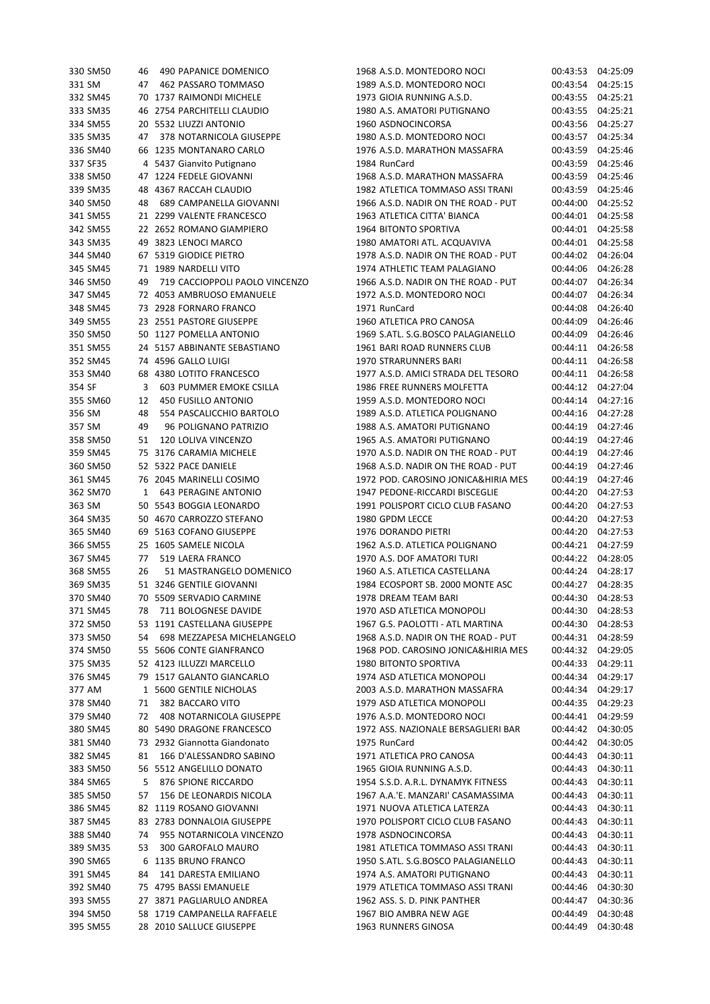| 330 SM50 | 46 | 490 PAPANICE DOMENICO          | 1968 A.S.D. MONTEDORO NOCI          | 00:43:53 | 04:25:09 |
|----------|----|--------------------------------|-------------------------------------|----------|----------|
| 331 SM   | 47 | 462 PASSARO TOMMASO            | 1989 A.S.D. MONTEDORO NOCI          | 00:43:54 | 04:25:15 |
| 332 SM45 |    | 70 1737 RAIMONDI MICHELE       | 1973 GIOIA RUNNING A.S.D.           | 00:43:55 | 04:25:21 |
| 333 SM35 |    | 46 2754 PARCHITELLI CLAUDIO    | 1980 A.S. AMATORI PUTIGNANO         | 00:43:55 | 04:25:21 |
| 334 SM55 |    | 20 5532 LIUZZI ANTONIO         | 1960 ASDNOCINCORSA                  | 00:43:56 | 04:25:27 |
| 335 SM35 | 47 | 378 NOTARNICOLA GIUSEPPE       | 1980 A.S.D. MONTEDORO NOCI          | 00:43:57 | 04:25:34 |
| 336 SM40 |    | 66 1235 MONTANARO CARLO        | 1976 A.S.D. MARATHON MASSAFRA       | 00:43:59 | 04:25:46 |
|          |    |                                |                                     |          |          |
| 337 SF35 |    | 4 5437 Gianvito Putignano      | 1984 RunCard                        | 00:43:59 | 04:25:46 |
| 338 SM50 |    | 47 1224 FEDELE GIOVANNI        | 1968 A.S.D. MARATHON MASSAFRA       | 00:43:59 | 04:25:46 |
| 339 SM35 |    | 48 4367 RACCAH CLAUDIO         | 1982 ATLETICA TOMMASO ASSI TRANI    | 00:43:59 | 04:25:46 |
| 340 SM50 | 48 | 689 CAMPANELLA GIOVANNI        | 1966 A.S.D. NADIR ON THE ROAD - PUT | 00:44:00 | 04:25:52 |
| 341 SM55 |    | 21 2299 VALENTE FRANCESCO      | 1963 ATLETICA CITTA' BIANCA         | 00:44:01 | 04:25:58 |
| 342 SM55 |    | 22 2652 ROMANO GIAMPIERO       | 1964 BITONTO SPORTIVA               | 00:44:01 | 04:25:58 |
| 343 SM35 |    | 49 3823 LENOCI MARCO           | 1980 AMATORI ATL. ACQUAVIVA         | 00:44:01 | 04:25:58 |
| 344 SM40 |    | 67 5319 GIODICE PIETRO         | 1978 A.S.D. NADIR ON THE ROAD - PUT | 00:44:02 | 04:26:04 |
| 345 SM45 |    | 71 1989 NARDELLI VITO          | 1974 ATHLETIC TEAM PALAGIANO        | 00:44:06 | 04:26:28 |
| 346 SM50 | 49 | 719 CACCIOPPOLI PAOLO VINCENZO | 1966 A.S.D. NADIR ON THE ROAD - PUT | 00:44:07 | 04:26:34 |
| 347 SM45 |    | 72 4053 AMBRUOSO EMANUELE      | 1972 A.S.D. MONTEDORO NOCI          | 00:44:07 | 04:26:34 |
| 348 SM45 |    | 73 2928 FORNARO FRANCO         | 1971 RunCard                        | 00:44:08 | 04:26:40 |
| 349 SM55 |    | 23 2551 PASTORE GIUSEPPE       | 1960 ATLETICA PRO CANOSA            | 00:44:09 | 04:26:46 |
| 350 SM50 |    | 50 1127 POMELLA ANTONIO        | 1969 S.ATL. S.G.BOSCO PALAGIANELLO  | 00:44:09 | 04:26:46 |
|          |    |                                |                                     |          |          |
| 351 SM55 |    | 24 5157 ABBINANTE SEBASTIANO   | 1961 BARI ROAD RUNNERS CLUB         | 00:44:11 | 04:26:58 |
| 352 SM45 |    | 74 4596 GALLO LUIGI            | 1970 STRARUNNERS BARI               | 00:44:11 | 04:26:58 |
| 353 SM40 |    | 68 4380 LOTITO FRANCESCO       | 1977 A.S.D. AMICI STRADA DEL TESORO | 00:44:11 | 04:26:58 |
| 354 SF   | 3  | 603 PUMMER EMOKE CSILLA        | 1986 FREE RUNNERS MOLFETTA          | 00:44:12 | 04:27:04 |
| 355 SM60 | 12 | 450 FUSILLO ANTONIO            | 1959 A.S.D. MONTEDORO NOCI          | 00:44:14 | 04:27:16 |
| 356 SM   | 48 | 554 PASCALICCHIO BARTOLO       | 1989 A.S.D. ATLETICA POLIGNANO      | 00:44:16 | 04:27:28 |
| 357 SM   | 49 | 96 POLIGNANO PATRIZIO          | 1988 A.S. AMATORI PUTIGNANO         | 00:44:19 | 04:27:46 |
| 358 SM50 | 51 | 120 LOLIVA VINCENZO            | 1965 A.S. AMATORI PUTIGNANO         | 00:44:19 | 04:27:46 |
| 359 SM45 |    | 75 3176 CARAMIA MICHELE        | 1970 A.S.D. NADIR ON THE ROAD - PUT | 00:44:19 | 04:27:46 |
| 360 SM50 |    | 52 5322 PACE DANIELE           | 1968 A.S.D. NADIR ON THE ROAD - PUT | 00:44:19 | 04:27:46 |
| 361 SM45 |    | 76 2045 MARINELLI COSIMO       | 1972 POD. CAROSINO JONICA&HIRIA MES | 00:44:19 | 04:27:46 |
| 362 SM70 | 1  | <b>643 PERAGINE ANTONIO</b>    | 1947 PEDONE-RICCARDI BISCEGLIE      | 00:44:20 | 04:27:53 |
| 363 SM   |    | 50 5543 BOGGIA LEONARDO        | 1991 POLISPORT CICLO CLUB FASANO    | 00:44:20 | 04:27:53 |
| 364 SM35 |    | 50 4670 CARROZZO STEFANO       | 1980 GPDM LECCE                     | 00:44:20 | 04:27:53 |
|          |    |                                |                                     | 00:44:20 |          |
| 365 SM40 |    | 69 5163 COFANO GIUSEPPE        | 1976 DORANDO PIETRI                 |          | 04:27:53 |
| 366 SM55 |    | 25 1605 SAMELE NICOLA          | 1962 A.S.D. ATLETICA POLIGNANO      | 00:44:21 | 04:27:59 |
| 367 SM45 | 77 | 519 LAERA FRANCO               | 1970 A.S. DOF AMATORI TURI          | 00:44:22 | 04:28:05 |
| 368 SM55 | 26 | 51 MASTRANGELO DOMENICO        | 1960 A.S. ATLETICA CASTELLANA       | 00:44:24 | 04:28:17 |
| 369 SM35 |    | 51 3246 GENTILE GIOVANNI       | 1984 ECOSPORT SB. 2000 MONTE ASC    | 00:44:27 | 04:28:35 |
| 370 SM40 |    | 70 5509 SERVADIO CARMINE       | 1978 DREAM TEAM BARI                | 00:44:30 | 04:28:53 |
| 371 SM45 | 78 | 711 BOLOGNESE DAVIDE           | 1970 ASD ATLETICA MONOPOLI          | 00:44:30 | 04:28:53 |
| 372 SM50 |    | 53 1191 CASTELLANA GIUSEPPE    | 1967 G.S. PAOLOTTI - ATL MARTINA    | 00:44:30 | 04:28:53 |
| 373 SM50 |    | 54 698 MEZZAPESA MICHELANGELO  | 1968 A.S.D. NADIR ON THE ROAD - PUT | 00:44:31 | 04:28:59 |
| 374 SM50 |    | 55 5606 CONTE GIANFRANCO       | 1968 POD. CAROSINO JONICA&HIRIA MES | 00:44:32 | 04:29:05 |
| 375 SM35 |    | 52 4123 ILLUZZI MARCELLO       | 1980 BITONTO SPORTIVA               | 00:44:33 | 04:29:11 |
| 376 SM45 |    | 79 1517 GALANTO GIANCARLO      | 1974 ASD ATLETICA MONOPOLI          | 00:44:34 | 04:29:17 |
| 377 AM   |    | 1 5600 GENTILE NICHOLAS        | 2003 A.S.D. MARATHON MASSAFRA       | 00:44:34 | 04:29:17 |
| 378 SM40 | 71 | 382 BACCARO VITO               | 1979 ASD ATLETICA MONOPOLI          | 00:44:35 | 04:29:23 |
| 379 SM40 | 72 | 408 NOTARNICOLA GIUSEPPE       | 1976 A.S.D. MONTEDORO NOCI          |          | 04:29:59 |
|          |    |                                |                                     | 00:44:41 |          |
| 380 SM45 |    | 80 5490 DRAGONE FRANCESCO      | 1972 ASS. NAZIONALE BERSAGLIERI BAR | 00:44:42 | 04:30:05 |
| 381 SM40 |    | 73 2932 Giannotta Giandonato   | 1975 RunCard                        | 00:44:42 | 04:30:05 |
| 382 SM45 | 81 | 166 D'ALESSANDRO SABINO        | 1971 ATLETICA PRO CANOSA            | 00:44:43 | 04:30:11 |
| 383 SM50 |    | 56 5512 ANGELILLO DONATO       | 1965 GIOIA RUNNING A.S.D.           | 00:44:43 | 04:30:11 |
| 384 SM65 | 5  | 876 SPIONE RICCARDO            | 1954 S.S.D. A.R.L. DYNAMYK FITNESS  | 00:44:43 | 04:30:11 |
| 385 SM50 | 57 | 156 DE LEONARDIS NICOLA        | 1967 A.A.'E. MANZARI' CASAMASSIMA   | 00:44:43 | 04:30:11 |
| 386 SM45 |    | 82 1119 ROSANO GIOVANNI        | 1971 NUOVA ATLETICA LATERZA         | 00:44:43 | 04:30:11 |
| 387 SM45 |    | 83 2783 DONNALOIA GIUSEPPE     | 1970 POLISPORT CICLO CLUB FASANO    | 00:44:43 | 04:30:11 |
| 388 SM40 | 74 | 955 NOTARNICOLA VINCENZO       | 1978 ASDNOCINCORSA                  | 00:44:43 | 04:30:11 |
| 389 SM35 | 53 | 300 GAROFALO MAURO             | 1981 ATLETICA TOMMASO ASSI TRANI    | 00:44:43 | 04:30:11 |
| 390 SM65 |    | 6 1135 BRUNO FRANCO            | 1950 S.ATL. S.G.BOSCO PALAGIANELLO  | 00:44:43 | 04:30:11 |
| 391 SM45 | 84 | 141 DARESTA EMILIANO           | 1974 A.S. AMATORI PUTIGNANO         | 00:44:43 | 04:30:11 |
| 392 SM40 |    | 75 4795 BASSI EMANUELE         | 1979 ATLETICA TOMMASO ASSI TRANI    | 00:44:46 | 04:30:30 |
| 393 SM55 |    | 27 3871 PAGLIARULO ANDREA      | 1962 ASS. S. D. PINK PANTHER        | 00:44:47 | 04:30:36 |
|          |    | 58 1719 CAMPANELLA RAFFAELE    | 1967 BIO AMBRA NEW AGE              |          |          |
| 394 SM50 |    |                                |                                     | 00:44:49 | 04:30:48 |
| 395 SM55 |    | 28 2010 SALLUCE GIUSEPPE       | 1963 RUNNERS GINOSA                 | 00:44:49 | 04:30:48 |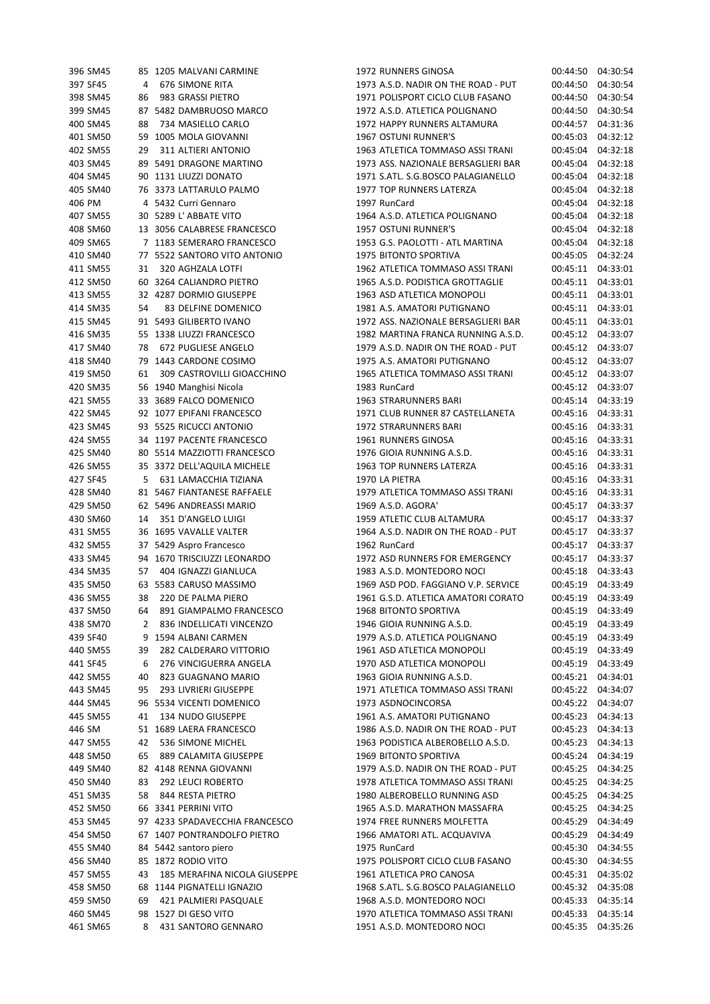| 396 SM45             |    | 85 1205 MALVANI CARMINE                     | 1972 RUNNERS GINOSA                                            |                   | 00:44:50 04:30:54             |
|----------------------|----|---------------------------------------------|----------------------------------------------------------------|-------------------|-------------------------------|
| 397 SF45             | 4  | 676 SIMONE RITA                             | 1973 A.S.D. NADIR ON THE ROAD - PUT                            | 00:44:50          | 04:30:54                      |
| 398 SM45             | 86 | 983 GRASSI PIETRO                           | 1971 POLISPORT CICLO CLUB FASANO                               | 00:44:50          | 04:30:54                      |
| 399 SM45             |    | 87 5482 DAMBRUOSO MARCO                     | 1972 A.S.D. ATLETICA POLIGNANO                                 | 00:44:50          | 04:30:54                      |
|                      |    |                                             |                                                                |                   | 04:31:36                      |
| 400 SM45             | 88 | 734 MASIELLO CARLO                          | 1972 HAPPY RUNNERS ALTAMURA                                    | 00:44:57          |                               |
| 401 SM50             |    | 59 1005 MOLA GIOVANNI                       | <b>1967 OSTUNI RUNNER'S</b>                                    | 00:45:03          | 04:32:12                      |
| 402 SM55             | 29 | 311 ALTIERI ANTONIO                         | 1963 ATLETICA TOMMASO ASSI TRANI                               | 00:45:04          | 04:32:18                      |
| 403 SM45             |    | 89 5491 DRAGONE MARTINO                     | 1973 ASS. NAZIONALE BERSAGLIERI BAR                            | 00:45:04          | 04:32:18                      |
| 404 SM45             |    | 90 1131 LIUZZI DONATO                       | 1971 S.ATL. S.G.BOSCO PALAGIANELLO                             | 00:45:04          | 04:32:18                      |
|                      |    |                                             |                                                                |                   |                               |
| 405 SM40             |    | 76 3373 LATTARULO PALMO                     | 1977 TOP RUNNERS LATERZA                                       | 00:45:04          | 04:32:18                      |
| 406 PM               |    | 4 5432 Curri Gennaro                        | 1997 RunCard                                                   | 00:45:04          | 04:32:18                      |
| 407 SM55             |    | 30 5289 L'ABBATE VITO                       | 1964 A.S.D. ATLETICA POLIGNANO                                 | 00:45:04          | 04:32:18                      |
| 408 SM60             |    | 13 3056 CALABRESE FRANCESCO                 | 1957 OSTUNI RUNNER'S                                           | 00:45:04          | 04:32:18                      |
| 409 SM65             |    | 7 1183 SEMERARO FRANCESCO                   | 1953 G.S. PAOLOTTI - ATL MARTINA                               | 00:45:04          | 04:32:18                      |
|                      |    |                                             |                                                                |                   |                               |
| 410 SM40             |    | 77 5522 SANTORO VITO ANTONIO                | 1975 BITONTO SPORTIVA                                          | 00:45:05          | 04:32:24                      |
| 411 SM55             | 31 | 320 AGHZALA LOTFI                           | 1962 ATLETICA TOMMASO ASSI TRANI                               | 00:45:11 04:33:01 |                               |
| 412 SM50             |    | 60 3264 CALIANDRO PIETRO                    | 1965 A.S.D. PODISTICA GROTTAGLIE                               | 00:45:11 04:33:01 |                               |
| 413 SM55             |    | 32 4287 DORMIO GIUSEPPE                     | 1963 ASD ATLETICA MONOPOLI                                     |                   | 00:45:11 04:33:01             |
| 414 SM35             | 54 | 83 DELFINE DOMENICO                         | 1981 A.S. AMATORI PUTIGNANO                                    | 00:45:11          | 04:33:01                      |
|                      |    |                                             |                                                                |                   |                               |
| 415 SM45             |    | 91 5493 GILIBERTO IVANO                     | 1972 ASS. NAZIONALE BERSAGLIERI BAR                            |                   | 00:45:11 04:33:01             |
| 416 SM35             |    | 55 1338 LIUZZI FRANCESCO                    | 1982 MARTINA FRANCA RUNNING A.S.D.                             | 00:45:12          | 04:33:07                      |
| 417 SM40             | 78 | 672 PUGLIESE ANGELO                         | 1979 A.S.D. NADIR ON THE ROAD - PUT                            | 00:45:12          | 04:33:07                      |
| 418 SM40             |    | 79 1443 CARDONE COSIMO                      | 1975 A.S. AMATORI PUTIGNANO                                    | 00:45:12          | 04:33:07                      |
| 419 SM50             | 61 | 309 CASTROVILLI GIOACCHINO                  | 1965 ATLETICA TOMMASO ASSI TRANI                               |                   | 00:45:12 04:33:07             |
|                      |    |                                             |                                                                |                   |                               |
| 420 SM35             |    | 56 1940 Manghisi Nicola                     | 1983 RunCard                                                   | 00:45:12          | 04:33:07                      |
| 421 SM55             |    | 33 3689 FALCO DOMENICO                      | <b>1963 STRARUNNERS BARI</b>                                   | 00:45:14          | 04:33:19                      |
| 422 SM45             |    | 92 1077 EPIFANI FRANCESCO                   | 1971 CLUB RUNNER 87 CASTELLANETA                               | 00:45:16          | 04:33:31                      |
| 423 SM45             |    | 93 5525 RICUCCI ANTONIO                     | 1972 STRARUNNERS BARI                                          | 00:45:16          | 04:33:31                      |
| 424 SM55             |    | 34 1197 PACENTE FRANCESCO                   | 1961 RUNNERS GINOSA                                            | 00:45:16          | 04:33:31                      |
|                      |    |                                             |                                                                |                   |                               |
| 425 SM40             |    | 80 5514 MAZZIOTTI FRANCESCO                 | 1976 GIOIA RUNNING A.S.D.                                      |                   | 00:45:16 04:33:31             |
| 426 SM55             |    | 35 3372 DELL'AQUILA MICHELE                 | 1963 TOP RUNNERS LATERZA                                       | 00:45:16          | 04:33:31                      |
| 427 SF45             | 5  | 631 LAMACCHIA TIZIANA                       | 1970 LA PIETRA                                                 | 00:45:16          | 04:33:31                      |
| 428 SM40             |    | 81 5467 FIANTANESE RAFFAELE                 | 1979 ATLETICA TOMMASO ASSI TRANI                               | 00:45:16          | 04:33:31                      |
| 429 SM50             |    | 62 5496 ANDREASSI MARIO                     | 1969 A.S.D. AGORA'                                             | 00:45:17          | 04:33:37                      |
| 430 SM60             | 14 | 351 D'ANGELO LUIGI                          | 1959 ATLETIC CLUB ALTAMURA                                     | 00:45:17          | 04:33:37                      |
|                      |    | 36 1695 VAVALLE VALTER                      | 1964 A.S.D. NADIR ON THE ROAD - PUT                            |                   | 04:33:37                      |
| 431 SM55             |    |                                             |                                                                | 00:45:17          |                               |
| 432 SM55             |    | 37 5429 Aspro Francesco                     | 1962 RunCard                                                   | 00:45:17          | 04:33:37                      |
| 433 SM45             |    | 94 1670 TRISCIUZZI LEONARDO                 | 1972 ASD RUNNERS FOR EMERGENCY                                 | 00:45:17          | 04:33:37                      |
| 434 SM35             | 57 | 404 IGNAZZI GIANLUCA                        | 1983 A.S.D. MONTEDORO NOCI                                     | 00:45:18          | 04:33:43                      |
| 435 SM50             |    | 63 5583 CARUSO MASSIMO                      | 1969 ASD POD. FAGGIANO V.P. SERVICE                            |                   | 00:45:19 04:33:49             |
| 436 SM55             | 38 | 220 DE PALMA PIERO                          | 1961 G.S.D. ATLETICA AMATORI CORATO                            | 00:45:19          | 04:33:49                      |
| 437 SM50             | 64 | 891 GIAMPALMO FRANCESCO                     | 1968 BITONTO SPORTIVA                                          | 00:45:19          |                               |
|                      |    |                                             |                                                                |                   | 04:33:49                      |
| 438 SM70             | 2  | 836 INDELLICATI VINCENZO                    | 1946 GIOIA RUNNING A.S.D.                                      | 00:45:19          | 04:33:49                      |
| 439 SF40             |    | 9 1594 ALBANI CARMEN                        | 1979 A.S.D. ATLETICA POLIGNANO                                 | 00:45:19          | 04:33:49                      |
| 440 SM55             | 39 | 282 CALDERARO VITTORIO                      | 1961 ASD ATLETICA MONOPOLI                                     | 00:45:19          | 04:33:49                      |
| 441 SF45             | 6  | 276 VINCIGUERRA ANGELA                      | 1970 ASD ATLETICA MONOPOLI                                     | 00:45:19          | 04:33:49                      |
| 442 SM55             | 40 | 823 GUAGNANO MARIO                          | 1963 GIOIA RUNNING A.S.D.                                      | 00:45:21          | 04:34:01                      |
|                      |    |                                             |                                                                |                   |                               |
| 443 SM45             | 95 | 293 LIVRIERI GIUSEPPE                       | 1971 ATLETICA TOMMASO ASSI TRANI                               |                   | 00:45:22 04:34:07             |
| 444 SM45             |    | 96 5534 VICENTI DOMENICO                    | 1973 ASDNOCINCORSA                                             |                   | 00:45:22 04:34:07             |
| 445 SM55             | 41 | 134 NUDO GIUSEPPE                           | 1961 A.S. AMATORI PUTIGNANO                                    |                   | 00:45:23 04:34:13             |
| 446 SM               |    | 51 1689 LAERA FRANCESCO                     | 1986 A.S.D. NADIR ON THE ROAD - PUT                            | 00:45:23          | 04:34:13                      |
| 447 SM55             | 42 | 536 SIMONE MICHEL                           | 1963 PODISTICA ALBEROBELLO A.S.D.                              | 00:45:23          | 04:34:13                      |
|                      |    |                                             |                                                                |                   |                               |
| 448 SM50             | 65 | 889 CALAMITA GIUSEPPE                       | 1969 BITONTO SPORTIVA                                          | 00:45:24          | 04:34:19                      |
| 449 SM40             |    | 82 4148 RENNA GIOVANNI                      | 1979 A.S.D. NADIR ON THE ROAD - PUT                            | 00:45:25          | 04:34:25                      |
| 450 SM40             | 83 | 292 LEUCI ROBERTO                           | 1978 ATLETICA TOMMASO ASSI TRANI                               | 00:45:25          | 04:34:25                      |
| 451 SM35             | 58 | 844 RESTA PIETRO                            | 1980 ALBEROBELLO RUNNING ASD                                   | 00:45:25          | 04:34:25                      |
| 452 SM50             |    | 66 3341 PERRINI VITO                        | 1965 A.S.D. MARATHON MASSAFRA                                  | 00:45:25          | 04:34:25                      |
| 453 SM45             |    | 97 4233 SPADAVECCHIA FRANCESCO              | 1974 FREE RUNNERS MOLFETTA                                     |                   | 04:34:49                      |
|                      |    |                                             |                                                                | 00:45:29          |                               |
| 454 SM50             |    | 67 1407 PONTRANDOLFO PIETRO                 | 1966 AMATORI ATL. ACQUAVIVA                                    | 00:45:29          | 04:34:49                      |
| 455 SM40             |    | 84 5442 santoro piero                       | 1975 RunCard                                                   | 00:45:30          | 04:34:55                      |
| 456 SM40             |    | 85 1872 RODIO VITO                          | 1975 POLISPORT CICLO CLUB FASANO                               | 00:45:30          | 04:34:55                      |
| 457 SM55             | 43 | 185 MERAFINA NICOLA GIUSEPPE                | 1961 ATLETICA PRO CANOSA                                       |                   | 00:45:31 04:35:02             |
| 458 SM50             |    | 68 1144 PIGNATELLI IGNAZIO                  | 1968 S.ATL. S.G.BOSCO PALAGIANELLO                             | 00:45:32          | 04:35:08                      |
| 459 SM50             | 69 |                                             | 1968 A.S.D. MONTEDORO NOCI                                     | 00:45:33          | 04:35:14                      |
|                      |    | 421 PALMIERI PASQUALE                       |                                                                |                   |                               |
|                      |    |                                             |                                                                |                   |                               |
| 460 SM45<br>461 SM65 | 8  | 98 1527 DI GESO VITO<br>431 SANTORO GENNARO | 1970 ATLETICA TOMMASO ASSI TRANI<br>1951 A.S.D. MONTEDORO NOCI | 00:45:33          | 04:35:14<br>00:45:35 04:35:26 |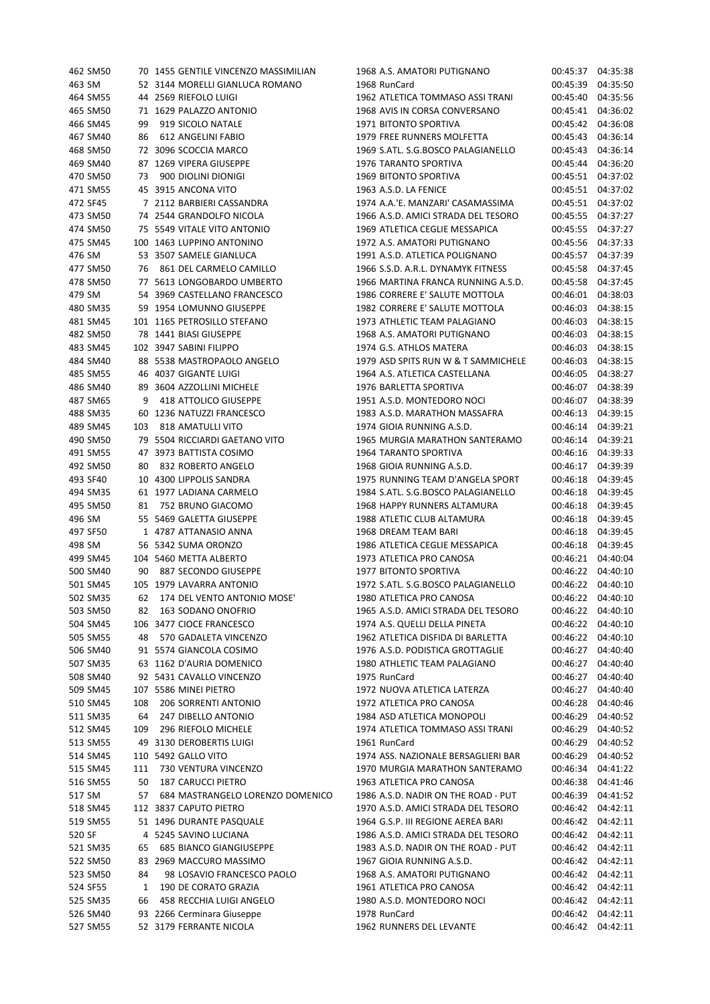| 462 SM50 |     | 70 1455 GENTILE VINCENZO MASSIMILIAN | 1968 A.S. AMATORI PUTIGNANO         |          | 00:45:37 04:35:38 |
|----------|-----|--------------------------------------|-------------------------------------|----------|-------------------|
| 463 SM   |     | 52 3144 MORELLI GIANLUCA ROMANO      | 1968 RunCard                        |          | 00:45:39 04:35:50 |
| 464 SM55 |     | 44 2569 RIEFOLO LUIGI                | 1962 ATLETICA TOMMASO ASSI TRANI    | 00:45:40 | 04:35:56          |
| 465 SM50 |     | 71 1629 PALAZZO ANTONIO              | 1968 AVIS IN CORSA CONVERSANO       |          | 00:45:41 04:36:02 |
| 466 SM45 | 99  | 919 SICOLO NATALE                    | 1971 BITONTO SPORTIVA               |          | 00:45:42 04:36:08 |
| 467 SM40 | 86  | 612 ANGELINI FABIO                   | 1979 FREE RUNNERS MOLFETTA          |          | 00:45:43 04:36:14 |
| 468 SM50 |     | 72 3096 SCOCCIA MARCO                | 1969 S.ATL. S.G.BOSCO PALAGIANELLO  | 00:45:43 | 04:36:14          |
| 469 SM40 |     | 87 1269 VIPERA GIUSEPPE              | 1976 TARANTO SPORTIVA               | 00:45:44 | 04:36:20          |
| 470 SM50 | 73  | 900 DIOLINI DIONIGI                  | 1969 BITONTO SPORTIVA               |          | 00:45:51 04:37:02 |
| 471 SM55 |     | 45 3915 ANCONA VITO                  | 1963 A.S.D. LA FENICE               |          | 00:45:51 04:37:02 |
| 472 SF45 |     | 7 2112 BARBIERI CASSANDRA            | 1974 A.A.'E. MANZARI' CASAMASSIMA   |          | 00:45:51 04:37:02 |
|          |     |                                      | 1966 A.S.D. AMICI STRADA DEL TESORO |          |                   |
| 473 SM50 |     | 74 2544 GRANDOLFO NICOLA             |                                     |          | 00:45:55 04:37:27 |
| 474 SM50 |     | 75 5549 VITALE VITO ANTONIO          | 1969 ATLETICA CEGLIE MESSAPICA      |          | 00:45:55 04:37:27 |
| 475 SM45 |     | 100 1463 LUPPINO ANTONINO            | 1972 A.S. AMATORI PUTIGNANO         | 00:45:56 | 04:37:33          |
| 476 SM   |     | 53 3507 SAMELE GIANLUCA              | 1991 A.S.D. ATLETICA POLIGNANO      | 00:45:57 | 04:37:39          |
| 477 SM50 | 76  | 861 DEL CARMELO CAMILLO              | 1966 S.S.D. A.R.L. DYNAMYK FITNESS  | 00:45:58 | 04:37:45          |
| 478 SM50 |     | 77 5613 LONGOBARDO UMBERTO           | 1966 MARTINA FRANCA RUNNING A.S.D.  |          | 00:45:58 04:37:45 |
| 479 SM   |     | 54 3969 CASTELLANO FRANCESCO         | 1986 CORRERE E' SALUTE MOTTOLA      |          | 00:46:01 04:38:03 |
| 480 SM35 |     | 59 1954 LOMUNNO GIUSEPPE             | 1982 CORRERE E' SALUTE MOTTOLA      | 00:46:03 | 04:38:15          |
| 481 SM45 |     | 101 1165 PETROSILLO STEFANO          | 1973 ATHLETIC TEAM PALAGIANO        | 00:46:03 | 04:38:15          |
| 482 SM50 |     | 78 1441 BIASI GIUSEPPE               | 1968 A.S. AMATORI PUTIGNANO         | 00:46:03 | 04:38:15          |
| 483 SM45 |     | 102 3947 SABINI FILIPPO              | 1974 G.S. ATHLOS MATERA             | 00:46:03 | 04:38:15          |
| 484 SM40 |     | 88 5538 MASTROPAOLO ANGELO           | 1979 ASD SPITS RUN W & T SAMMICHELE | 00:46:03 | 04:38:15          |
| 485 SM55 |     | 46 4037 GIGANTE LUIGI                | 1964 A.S. ATLETICA CASTELLANA       |          | 00:46:05 04:38:27 |
| 486 SM40 |     | 89 3604 AZZOLLINI MICHELE            | 1976 BARLETTA SPORTIVA              |          | 00:46:07 04:38:39 |
| 487 SM65 | 9   | 418 ATTOLICO GIUSEPPE                | 1951 A.S.D. MONTEDORO NOCI          | 00:46:07 | 04:38:39          |
| 488 SM35 |     | 60 1236 NATUZZI FRANCESCO            | 1983 A.S.D. MARATHON MASSAFRA       | 00:46:13 | 04:39:15          |
| 489 SM45 | 103 | 818 AMATULLI VITO                    | 1974 GIOIA RUNNING A.S.D.           | 00:46:14 | 04:39:21          |
| 490 SM50 |     | 79 5504 RICCIARDI GAETANO VITO       | 1965 MURGIA MARATHON SANTERAMO      | 00:46:14 | 04:39:21          |
| 491 SM55 |     | 47 3973 BATTISTA COSIMO              | 1964 TARANTO SPORTIVA               |          | 00:46:16 04:39:33 |
| 492 SM50 | 80  | 832 ROBERTO ANGELO                   | 1968 GIOIA RUNNING A.S.D.           |          | 00:46:17 04:39:39 |
| 493 SF40 |     | 10 4300 LIPPOLIS SANDRA              | 1975 RUNNING TEAM D'ANGELA SPORT    | 00:46:18 | 04:39:45          |
| 494 SM35 |     | 61 1977 LADIANA CARMELO              | 1984 S.ATL. S.G.BOSCO PALAGIANELLO  | 00:46:18 | 04:39:45          |
| 495 SM50 | 81  | 752 BRUNO GIACOMO                    | 1968 HAPPY RUNNERS ALTAMURA         | 00:46:18 | 04:39:45          |
| 496 SM   |     | 55 5469 GALETTA GIUSEPPE             | 1988 ATLETIC CLUB ALTAMURA          | 00:46:18 | 04:39:45          |
| 497 SF50 |     | 1 4787 ATTANASIO ANNA                | 1968 DREAM TEAM BARI                |          | 00:46:18 04:39:45 |
| 498 SM   |     | 56 5342 SUMA ORONZO                  | 1986 ATLETICA CEGLIE MESSAPICA      | 00:46:18 | 04:39:45          |
| 499 SM45 |     | 104 5460 METTA ALBERTO               | 1973 ATLETICA PRO CANOSA            |          | 00:46:21 04:40:04 |
| 500 SM40 | 90  | 887 SECONDO GIUSEPPE                 | 1977 BITONTO SPORTIVA               | 00:46:22 | 04:40:10          |
| 501 SM45 |     | 105 1979 LAVARRA ANTONIO             | 1972 S.ATL. S.G.BOSCO PALAGIANELLO  |          | 00:46:22 04:40:10 |
| 502 SM35 | 62  | 174 DEL VENTO ANTONIO MOSE'          | 1980 ATLETICA PRO CANOSA            |          | 00:46:22 04:40:10 |
| 503 SM50 | 82  | 163 SODANO ONOFRIO                   | 1965 A.S.D. AMICI STRADA DEL TESORO |          | 00:46:22 04:40:10 |
| 504 SM45 |     | 106 3477 CIOCE FRANCESCO             | 1974 A.S. QUELLI DELLA PINETA       |          | 00:46:22 04:40:10 |
| 505 SM55 | 48  | 570 GADALETA VINCENZO                | 1962 ATLETICA DISFIDA DI BARLETTA   |          | 00:46:22 04:40:10 |
| 506 SM40 |     | 91 5574 GIANCOLA COSIMO              | 1976 A.S.D. PODISTICA GROTTAGLIE    | 00:46:27 | 04:40:40          |
| 507 SM35 |     | 63 1162 D'AURIA DOMENICO             | 1980 ATHLETIC TEAM PALAGIANO        | 00:46:27 | 04:40:40          |
| 508 SM40 |     | 92 5431 CAVALLO VINCENZO             | 1975 RunCard                        | 00:46:27 | 04:40:40          |
| 509 SM45 |     | 107 5586 MINEI PIETRO                | 1972 NUOVA ATLETICA LATERZA         | 00:46:27 | 04:40:40          |
| 510 SM45 | 108 | 206 SORRENTI ANTONIO                 | 1972 ATLETICA PRO CANOSA            | 00:46:28 | 04:40:46          |
| 511 SM35 | 64  | 247 DIBELLO ANTONIO                  | 1984 ASD ATLETICA MONOPOLI          | 00:46:29 | 04:40:52          |
| 512 SM45 | 109 | 296 RIEFOLO MICHELE                  | 1974 ATLETICA TOMMASO ASSI TRANI    | 00:46:29 | 04:40:52          |
| 513 SM55 |     | 49 3130 DEROBERTIS LUIGI             | 1961 RunCard                        | 00:46:29 | 04:40:52          |
| 514 SM45 |     | 110 5492 GALLO VITO                  | 1974 ASS. NAZIONALE BERSAGLIERI BAR | 00:46:29 | 04:40:52          |
| 515 SM45 | 111 | 730 VENTURA VINCENZO                 | 1970 MURGIA MARATHON SANTERAMO      | 00:46:34 | 04:41:22          |
| 516 SM55 | 50  | <b>187 CARUCCI PIETRO</b>            | 1963 ATLETICA PRO CANOSA            |          | 00:46:38 04:41:46 |
| 517 SM   | 57  | 684 MASTRANGELO LORENZO DOMENICO     | 1986 A.S.D. NADIR ON THE ROAD - PUT | 00:46:39 | 04:41:52          |
| 518 SM45 |     | 112 3837 CAPUTO PIETRO               | 1970 A.S.D. AMICI STRADA DEL TESORO | 00:46:42 | 04:42:11          |
| 519 SM55 |     | 51 1496 DURANTE PASQUALE             | 1964 G.S.P. III REGIONE AEREA BARI  | 00:46:42 | 04:42:11          |
| 520 SF   |     | 4 5245 SAVINO LUCIANA                | 1986 A.S.D. AMICI STRADA DEL TESORO | 00:46:42 | 04:42:11          |
| 521 SM35 | 65  | <b>685 BIANCO GIANGIUSEPPE</b>       | 1983 A.S.D. NADIR ON THE ROAD - PUT | 00:46:42 | 04:42:11          |
| 522 SM50 |     | 83 2969 MACCURO MASSIMO              | 1967 GIOIA RUNNING A.S.D.           | 00:46:42 | 04:42:11          |
| 523 SM50 | 84  | 98 LOSAVIO FRANCESCO PAOLO           | 1968 A.S. AMATORI PUTIGNANO         |          | 00:46:42 04:42:11 |
| 524 SF55 | 1   | 190 DE CORATO GRAZIA                 | 1961 ATLETICA PRO CANOSA            | 00:46:42 | 04:42:11          |
| 525 SM35 | 66  | 458 RECCHIA LUIGI ANGELO             | 1980 A.S.D. MONTEDORO NOCI          | 00:46:42 | 04:42:11          |
| 526 SM40 |     | 93 2266 Cerminara Giuseppe           | 1978 RunCard                        |          | 00:46:42 04:42:11 |
| 527 SM55 |     | 52 3179 FERRANTE NICOLA              | 1962 RUNNERS DEL LEVANTE            |          | 00:46:42 04:42:11 |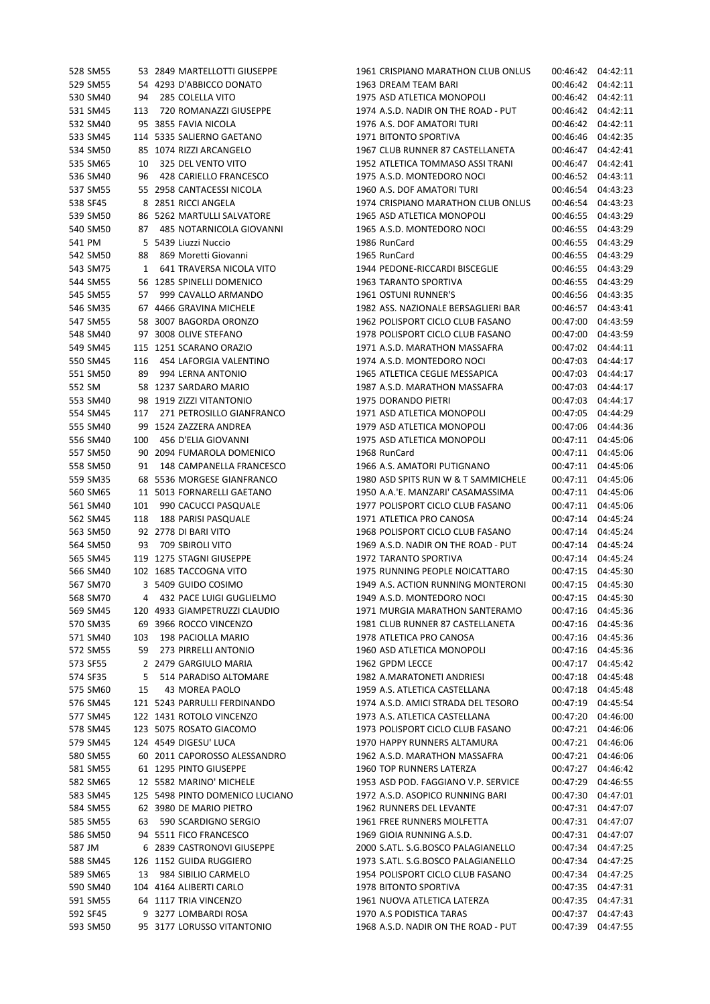| 528 SM55 |     | 53 2849 MARTELLOTTI GIUSEPPE    | 1961 CRISPIANO MARATHON CLUB ONLUS  | 00:46:42 04:42:11 |          |
|----------|-----|---------------------------------|-------------------------------------|-------------------|----------|
| 529 SM55 |     | 54 4293 D'ABBICCO DONATO        | 1963 DREAM TEAM BARI                | 00:46:42 04:42:11 |          |
| 530 SM40 | 94  | 285 COLELLA VITO                | 1975 ASD ATLETICA MONOPOLI          | 00:46:42          | 04:42:11 |
| 531 SM45 | 113 | 720 ROMANAZZI GIUSEPPE          | 1974 A.S.D. NADIR ON THE ROAD - PUT | 00:46:42          | 04:42:11 |
| 532 SM40 |     | 95 3855 FAVIA NICOLA            | 1976 A.S. DOF AMATORI TURI          | 00:46:42          | 04:42:11 |
| 533 SM45 |     | 114 5335 SALIERNO GAETANO       | 1971 BITONTO SPORTIVA               | 00:46:46          | 04:42:35 |
| 534 SM50 |     | 85 1074 RIZZI ARCANGELO         | 1967 CLUB RUNNER 87 CASTELLANETA    | 00:46:47          | 04:42:41 |
| 535 SM65 | 10  | 325 DEL VENTO VITO              | 1952 ATLETICA TOMMASO ASSI TRANI    | 00:46:47          | 04:42:41 |
| 536 SM40 | 96  | 428 CARIELLO FRANCESCO          | 1975 A.S.D. MONTEDORO NOCI          | 00:46:52          | 04:43:11 |
| 537 SM55 |     | 55 2958 CANTACESSI NICOLA       | 1960 A.S. DOF AMATORI TURI          | 00:46:54          | 04:43:23 |
| 538 SF45 |     | 8 2851 RICCI ANGELA             | 1974 CRISPIANO MARATHON CLUB ONLUS  | 00:46:54          | 04:43:23 |
| 539 SM50 |     | 86 5262 MARTULLI SALVATORE      | 1965 ASD ATLETICA MONOPOLI          | 00:46:55          | 04:43:29 |
| 540 SM50 | 87  | 485 NOTARNICOLA GIOVANNI        | 1965 A.S.D. MONTEDORO NOCI          | 00:46:55          | 04:43:29 |
| 541 PM   |     | 5 5439 Liuzzi Nuccio            | 1986 RunCard                        | 00:46:55          | 04:43:29 |
| 542 SM50 | 88  | 869 Moretti Giovanni            | 1965 RunCard                        | 00:46:55          | 04:43:29 |
| 543 SM75 | 1   | 641 TRAVERSA NICOLA VITO        | 1944 PEDONE-RICCARDI BISCEGLIE      | 00:46:55          | 04:43:29 |
| 544 SM55 |     | 56 1285 SPINELLI DOMENICO       | 1963 TARANTO SPORTIVA               | 00:46:55          | 04:43:29 |
| 545 SM55 | 57  | 999 CAVALLO ARMANDO             | 1961 OSTUNI RUNNER'S                | 00:46:56          | 04:43:35 |
| 546 SM35 |     | 67 4466 GRAVINA MICHELE         | 1982 ASS. NAZIONALE BERSAGLIERI BAR | 00:46:57          | 04:43:41 |
| 547 SM55 |     | 58 3007 BAGORDA ORONZO          | 1962 POLISPORT CICLO CLUB FASANO    | 00:47:00          | 04:43:59 |
| 548 SM40 |     | 97 3008 OLIVE STEFANO           | 1978 POLISPORT CICLO CLUB FASANO    | 00:47:00          | 04:43:59 |
| 549 SM45 |     | 115 1251 SCARANO ORAZIO         | 1971 A.S.D. MARATHON MASSAFRA       | 00:47:02          | 04:44:11 |
| 550 SM45 | 116 | 454 LAFORGIA VALENTINO          | 1974 A.S.D. MONTEDORO NOCI          | 00:47:03          | 04:44:17 |
| 551 SM50 | 89  | 994 LERNA ANTONIO               | 1965 ATLETICA CEGLIE MESSAPICA      | 00:47:03          | 04:44:17 |
| 552 SM   |     | 58 1237 SARDARO MARIO           | 1987 A.S.D. MARATHON MASSAFRA       | 00:47:03          | 04:44:17 |
| 553 SM40 |     | 98 1919 ZIZZI VITANTONIO        | 1975 DORANDO PIETRI                 | 00:47:03          | 04:44:17 |
| 554 SM45 | 117 | 271 PETROSILLO GIANFRANCO       | 1971 ASD ATLETICA MONOPOLI          | 00:47:05          | 04:44:29 |
| 555 SM40 |     | 99 1524 ZAZZERA ANDREA          | 1979 ASD ATLETICA MONOPOLI          | 00:47:06          | 04:44:36 |
| 556 SM40 | 100 | 456 D'ELIA GIOVANNI             | 1975 ASD ATLETICA MONOPOLI          | 00:47:11          | 04:45:06 |
| 557 SM50 |     | 90 2094 FUMAROLA DOMENICO       | 1968 RunCard                        | 00:47:11          | 04:45:06 |
| 558 SM50 | 91  | 148 CAMPANELLA FRANCESCO        | 1966 A.S. AMATORI PUTIGNANO         | 00:47:11          | 04:45:06 |
| 559 SM35 |     | 68 5536 MORGESE GIANFRANCO      | 1980 ASD SPITS RUN W & T SAMMICHELE | 00:47:11          | 04:45:06 |
| 560 SM65 |     | 11 5013 FORNARELLI GAETANO      | 1950 A.A.'E. MANZARI' CASAMASSIMA   | 00:47:11 04:45:06 |          |
| 561 SM40 | 101 | 990 CACUCCI PASQUALE            | 1977 POLISPORT CICLO CLUB FASANO    | 00:47:11          | 04:45:06 |
| 562 SM45 | 118 | 188 PARISI PASQUALE             | 1971 ATLETICA PRO CANOSA            | 00:47:14          | 04:45:24 |
| 563 SM50 |     | 92 2778 DI BARI VITO            | 1968 POLISPORT CICLO CLUB FASANO    | 00:47:14          | 04:45:24 |
| 564 SM50 | 93  | 709 SBIROLI VITO                | 1969 A.S.D. NADIR ON THE ROAD - PUT | 00:47:14          | 04:45:24 |
| 565 SM45 |     | 119 1275 STAGNI GIUSEPPE        | 1972 TARANTO SPORTIVA               | 00:47:14 04:45:24 |          |
| 566 SM40 |     | 102 1685 TACCOGNA VITO          | 1975 RUNNING PEOPLE NOICATTARO      | 00:47:15          | 04:45:30 |
| 567 SM70 |     | 3 5409 GUIDO COSIMO             | 1949 A.S. ACTION RUNNING MONTERONI  | 00:47:15 04:45:30 |          |
| 568 SM70 |     | 4 432 PACE LUIGI GUGLIELMO      | 1949 A.S.D. MONTEDORO NOCI          | 00:47:15 04:45:30 |          |
| 569 SM45 |     | 120 4933 GIAMPETRUZZI CLAUDIO   | 1971 MURGIA MARATHON SANTERAMO      | 00:47:16 04:45:36 |          |
| 570 SM35 |     | 69 3966 ROCCO VINCENZO          | 1981 CLUB RUNNER 87 CASTELLANETA    | 00:47:16 04:45:36 |          |
| 571 SM40 |     | 103 198 PACIOLLA MARIO          | 1978 ATLETICA PRO CANOSA            | 00:47:16 04:45:36 |          |
| 572 SM55 |     | 59 273 PIRRELLI ANTONIO         | 1960 ASD ATLETICA MONOPOLI          | 00:47:16 04:45:36 |          |
| 573 SF55 |     | 2 2479 GARGIULO MARIA           | 1962 GPDM LECCE                     | 00:47:17 04:45:42 |          |
| 574 SF35 |     | 5 514 PARADISO ALTOMARE         | 1982 A.MARATONETI ANDRIESI          | 00:47:18 04:45:48 |          |
| 575 SM60 | 15  | 43 MOREA PAOLO                  | 1959 A.S. ATLETICA CASTELLANA       | 00:47:18 04:45:48 |          |
| 576 SM45 |     | 121 5243 PARRULLI FERDINANDO    | 1974 A.S.D. AMICI STRADA DEL TESORO | 00:47:19          | 04:45:54 |
| 577 SM45 |     | 122 1431 ROTOLO VINCENZO        | 1973 A.S. ATLETICA CASTELLANA       | 00:47:20          | 04:46:00 |
| 578 SM45 |     | 123 5075 ROSATO GIACOMO         | 1973 POLISPORT CICLO CLUB FASANO    | 00:47:21 04:46:06 |          |
| 579 SM45 |     | 124 4549 DIGESU' LUCA           | 1970 HAPPY RUNNERS ALTAMURA         | 00:47:21 04:46:06 |          |
| 580 SM55 |     | 60 2011 CAPOROSSO ALESSANDRO    | 1962 A.S.D. MARATHON MASSAFRA       | 00:47:21 04:46:06 |          |
| 581 SM55 |     | 61 1295 PINTO GIUSEPPE          | 1960 TOP RUNNERS LATERZA            | 00:47:27 04:46:42 |          |
| 582 SM65 |     | 12 5582 MARINO' MICHELE         | 1953 ASD POD. FAGGIANO V.P. SERVICE | 00:47:29          | 04:46:55 |
| 583 SM45 |     | 125 5498 PINTO DOMENICO LUCIANO | 1972 A.S.D. ASOPICO RUNNING BARI    | 00:47:30          | 04:47:01 |
| 584 SM55 |     | 62 3980 DE MARIO PIETRO         | 1962 RUNNERS DEL LEVANTE            | 00:47:31 04:47:07 |          |
| 585 SM55 |     | 63 590 SCARDIGNO SERGIO         | 1961 FREE RUNNERS MOLFETTA          | 00:47:31 04:47:07 |          |
| 586 SM50 |     | 94 5511 FICO FRANCESCO          | 1969 GIOIA RUNNING A.S.D.           | 00:47:31 04:47:07 |          |
| 587 JM   |     | 6 2839 CASTRONOVI GIUSEPPE      | 2000 S.ATL. S.G.BOSCO PALAGIANELLO  | 00:47:34 04:47:25 |          |
| 588 SM45 |     | 126 1152 GUIDA RUGGIERO         | 1973 S.ATL. S.G.BOSCO PALAGIANELLO  | 00:47:34          | 04:47:25 |
| 589 SM65 |     | 13 984 SIBILIO CARMELO          | 1954 POLISPORT CICLO CLUB FASANO    | 00:47:34          | 04:47:25 |
| 590 SM40 |     | 104 4164 ALIBERTI CARLO         | 1978 BITONTO SPORTIVA               | 00:47:35 04:47:31 |          |
| 591 SM55 |     | 64 1117 TRIA VINCENZO           | 1961 NUOVA ATLETICA LATERZA         | 00:47:35 04:47:31 |          |
| 592 SF45 |     | 9 3277 LOMBARDI ROSA            | 1970 A.S PODISTICA TARAS            | 00:47:37          | 04:47:43 |
| 593 SM50 |     | 95 3177 LORUSSO VITANTONIO      | 1968 A.S.D. NADIR ON THE ROAD - PUT | 00:47:39 04:47:55 |          |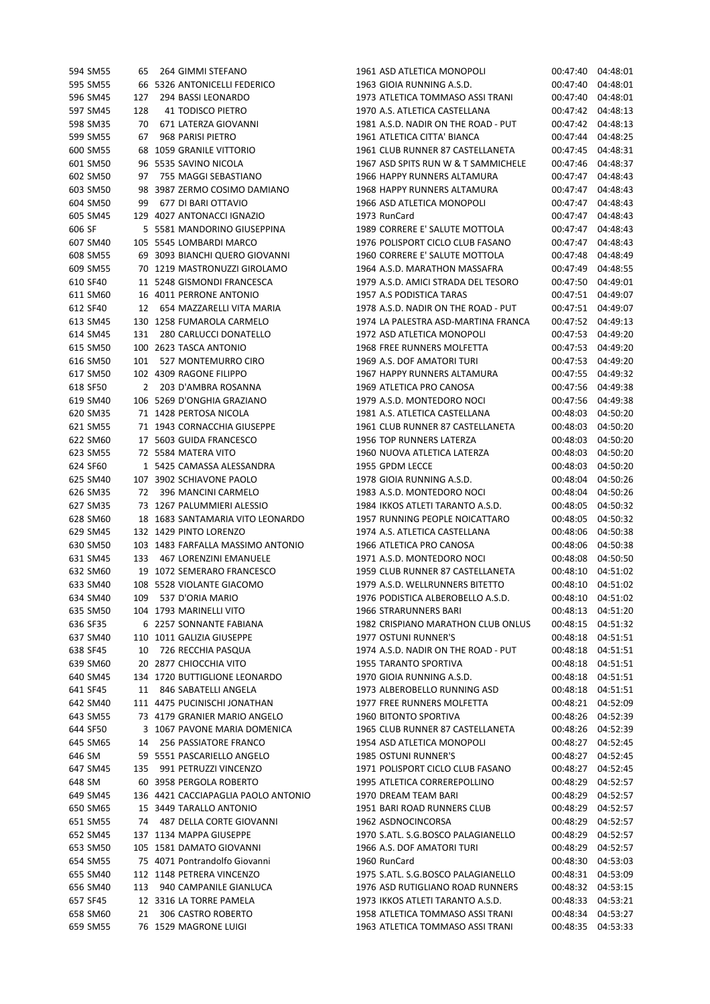| 594 SM55 | 65  | 264 GIMMI STEFANO                              | 1961 ASD ATLETICA MONOPOLI                              |          | 00:47:40 04:48:01    |
|----------|-----|------------------------------------------------|---------------------------------------------------------|----------|----------------------|
| 595 SM55 |     | 66 5326 ANTONICELLI FEDERICO                   | 1963 GIOIA RUNNING A.S.D.                               |          | 00:47:40 04:48:01    |
| 596 SM45 | 127 | 294 BASSI LEONARDO                             | 1973 ATLETICA TOMMASO ASSI TRANI                        | 00:47:40 | 04:48:01             |
| 597 SM45 | 128 | <b>41 TODISCO PIETRO</b>                       | 1970 A.S. ATLETICA CASTELLANA                           |          | 00:47:42 04:48:13    |
| 598 SM35 | 70  | 671 LATERZA GIOVANNI                           | 1981 A.S.D. NADIR ON THE ROAD - PUT                     |          | 00:47:42 04:48:13    |
| 599 SM55 | 67  | 968 PARISI PIETRO                              | 1961 ATLETICA CITTA' BIANCA                             |          | 00:47:44 04:48:25    |
| 600 SM55 |     | 68 1059 GRANILE VITTORIO                       | 1961 CLUB RUNNER 87 CASTELLANETA                        |          | 00:47:45 04:48:31    |
| 601 SM50 |     | 96 5535 SAVINO NICOLA                          | 1967 ASD SPITS RUN W & T SAMMICHELE                     |          | 00:47:46 04:48:37    |
| 602 SM50 | 97  | 755 MAGGI SEBASTIANO                           | 1966 HAPPY RUNNERS ALTAMURA                             |          | 00:47:47 04:48:43    |
| 603 SM50 |     | 98 3987 ZERMO COSIMO DAMIANO                   | 1968 HAPPY RUNNERS ALTAMURA                             |          | 00:47:47 04:48:43    |
| 604 SM50 | 99  | 677 DI BARI OTTAVIO                            | 1966 ASD ATLETICA MONOPOLI                              |          | 00:47:47 04:48:43    |
| 605 SM45 |     | 129 4027 ANTONACCI IGNAZIO                     | 1973 RunCard                                            |          | 00:47:47 04:48:43    |
| 606 SF   |     | 5 5581 MANDORINO GIUSEPPINA                    | 1989 CORRERE E' SALUTE MOTTOLA                          |          | 00:47:47 04:48:43    |
| 607 SM40 |     | 105 5545 LOMBARDI MARCO                        | 1976 POLISPORT CICLO CLUB FASANO                        | 00:47:47 | 04:48:43             |
| 608 SM55 |     | 69 3093 BIANCHI QUERO GIOVANNI                 | 1960 CORRERE E' SALUTE MOTTOLA                          |          | 00:47:48 04:48:49    |
| 609 SM55 |     | 70 1219 MASTRONUZZI GIROLAMO                   | 1964 A.S.D. MARATHON MASSAFRA                           | 00:47:49 | 04:48:55             |
| 610 SF40 |     | 11 5248 GISMONDI FRANCESCA                     | 1979 A.S.D. AMICI STRADA DEL TESORO                     |          | 00:47:50 04:49:01    |
| 611 SM60 |     | 16 4011 PERRONE ANTONIO                        | 1957 A.S PODISTICA TARAS                                |          | 00:47:51 04:49:07    |
| 612 SF40 | 12  | 654 MAZZARELLI VITA MARIA                      | 1978 A.S.D. NADIR ON THE ROAD - PUT                     |          | 00:47:51 04:49:07    |
| 613 SM45 |     | 130 1258 FUMAROLA CARMELO                      | 1974 LA PALESTRA ASD-MARTINA FRANCA                     |          | 00:47:52 04:49:13    |
| 614 SM45 | 131 | 280 CARLUCCI DONATELLO                         | 1972 ASD ATLETICA MONOPOLI                              |          | 00:47:53 04:49:20    |
| 615 SM50 |     | 100 2623 TASCA ANTONIO                         | 1968 FREE RUNNERS MOLFETTA                              | 00:47:53 | 04:49:20             |
| 616 SM50 | 101 | 527 MONTEMURRO CIRO                            | 1969 A.S. DOF AMATORI TURI                              |          | 00:47:53 04:49:20    |
| 617 SM50 |     | 102 4309 RAGONE FILIPPO                        | 1967 HAPPY RUNNERS ALTAMURA                             |          | 00:47:55 04:49:32    |
| 618 SF50 | 2   | 203 D'AMBRA ROSANNA                            | 1969 ATLETICA PRO CANOSA                                |          | 00:47:56 04:49:38    |
| 619 SM40 |     | 106 5269 D'ONGHIA GRAZIANO                     | 1979 A.S.D. MONTEDORO NOCI                              |          | 00:47:56 04:49:38    |
| 620 SM35 |     | 71 1428 PERTOSA NICOLA                         | 1981 A.S. ATLETICA CASTELLANA                           | 00:48:03 | 04:50:20             |
| 621 SM55 |     | 71 1943 CORNACCHIA GIUSEPPE                    | 1961 CLUB RUNNER 87 CASTELLANETA                        | 00:48:03 | 04:50:20             |
|          |     |                                                |                                                         |          |                      |
| 622 SM60 |     | 17 5603 GUIDA FRANCESCO<br>72 5584 MATERA VITO | 1956 TOP RUNNERS LATERZA<br>1960 NUOVA ATLETICA LATERZA | 00:48:03 | 04:50:20<br>04:50:20 |
| 623 SM55 |     |                                                |                                                         | 00:48:03 |                      |
| 624 SF60 |     | 1 5425 CAMASSA ALESSANDRA                      | 1955 GPDM LECCE                                         | 00:48:03 | 04:50:20             |
| 625 SM40 |     | 107 3902 SCHIAVONE PAOLO                       | 1978 GIOIA RUNNING A.S.D.                               | 00:48:04 | 04:50:26             |
| 626 SM35 | 72  | 396 MANCINI CARMELO                            | 1983 A.S.D. MONTEDORO NOCI                              |          | 00:48:04 04:50:26    |
| 627 SM35 |     | 73 1267 PALUMMIERI ALESSIO                     | 1984 IKKOS ATLETI TARANTO A.S.D.                        | 00:48:05 | 04:50:32             |
| 628 SM60 |     | 18 1683 SANTAMARIA VITO LEONARDO               | 1957 RUNNING PEOPLE NOICATTARO                          | 00:48:05 | 04:50:32             |
| 629 SM45 |     | 132 1429 PINTO LORENZO                         | 1974 A.S. ATLETICA CASTELLANA                           | 00:48:06 | 04:50:38             |
| 630 SM50 |     | 103 1483 FARFALLA MASSIMO ANTONIO              | 1966 ATLETICA PRO CANOSA                                |          | 00:48:06 04:50:38    |
| 631 SM45 |     | 133 467 LORENZINI EMANUELE                     | 1971 A.S.D. MONTEDORO NOCI                              |          | 00:48:08 04:50:50    |
| 632 SM60 |     | 19 1072 SEMERARO FRANCESCO                     | 1959 CLUB RUNNER 87 CASTELLANETA                        | 00:48:10 | 04:51:02             |
| 633 SM40 |     | 108 5528 VIOLANTE GIACOMO                      | 1979 A.S.D. WELLRUNNERS BITETTO                         |          | 00:48:10 04:51:02    |
| 634 SM40 | 109 | 537 D'ORIA MARIO                               | 1976 PODISTICA ALBEROBELLO A.S.D.                       | 00:48:10 | 04:51:02             |
| 635 SM50 |     | 104 1793 MARINELLI VITO                        | 1966 STRARUNNERS BARI                                   |          | 00:48:13 04:51:20    |
| 636 SF35 |     | 6 2257 SONNANTE FABIANA                        | 1982 CRISPIANO MARATHON CLUB ONLUS                      |          | 00:48:15 04:51:32    |
| 637 SM40 |     | 110 1011 GALIZIA GIUSEPPE                      | 1977 OSTUNI RUNNER'S                                    |          | 00:48:18 04:51:51    |
| 638 SF45 | 10  | 726 RECCHIA PASQUA                             | 1974 A.S.D. NADIR ON THE ROAD - PUT                     |          | 00:48:18 04:51:51    |
| 639 SM60 |     | 20 2877 CHIOCCHIA VITO                         | <b>1955 TARANTO SPORTIVA</b>                            |          | 00:48:18 04:51:51    |
| 640 SM45 |     | 134 1720 BUTTIGLIONE LEONARDO                  | 1970 GIOIA RUNNING A.S.D.                               |          | 00:48:18 04:51:51    |
| 641 SF45 | 11  | 846 SABATELLI ANGELA                           | 1973 ALBEROBELLO RUNNING ASD                            |          | 00:48:18 04:51:51    |
| 642 SM40 |     | 111 4475 PUCINISCHI JONATHAN                   | 1977 FREE RUNNERS MOLFETTA                              |          | 00:48:21 04:52:09    |
| 643 SM55 |     | 73 4179 GRANIER MARIO ANGELO                   | <b>1960 BITONTO SPORTIVA</b>                            |          | 00:48:26 04:52:39    |
| 644 SF50 |     | 3 1067 PAVONE MARIA DOMENICA                   | 1965 CLUB RUNNER 87 CASTELLANETA                        |          | 00:48:26 04:52:39    |
| 645 SM65 | 14  | 256 PASSIATORE FRANCO                          | 1954 ASD ATLETICA MONOPOLI                              |          | 00:48:27 04:52:45    |
| 646 SM   |     | 59 5551 PASCARIELLO ANGELO                     | 1985 OSTUNI RUNNER'S                                    |          | 00:48:27 04:52:45    |
| 647 SM45 | 135 | 991 PETRUZZI VINCENZO                          | 1971 POLISPORT CICLO CLUB FASANO                        |          | 00:48:27 04:52:45    |
| 648 SM   |     | 60 3958 PERGOLA ROBERTO                        | 1995 ATLETICA CORREREPOLLINO                            |          | 00:48:29 04:52:57    |
| 649 SM45 |     | 136 4421 CACCIAPAGLIA PAOLO ANTONIO            | 1970 DREAM TEAM BARI                                    |          | 00:48:29 04:52:57    |
| 650 SM65 |     | 15 3449 TARALLO ANTONIO                        | 1951 BARI ROAD RUNNERS CLUB                             |          | 00:48:29 04:52:57    |
| 651 SM55 | 74  | 487 DELLA CORTE GIOVANNI                       | 1962 ASDNOCINCORSA                                      | 00:48:29 | 04:52:57             |
| 652 SM45 |     | 137 1134 MAPPA GIUSEPPE                        | 1970 S.ATL. S.G.BOSCO PALAGIANELLO                      |          | 00:48:29 04:52:57    |
| 653 SM50 |     | 105 1581 DAMATO GIOVANNI                       | 1966 A.S. DOF AMATORI TURI                              | 00:48:29 | 04:52:57             |
| 654 SM55 |     | 75 4071 Pontrandolfo Giovanni                  | 1960 RunCard                                            |          | 00:48:30 04:53:03    |
| 655 SM40 |     | 112 1148 PETRERA VINCENZO                      | 1975 S.ATL. S.G.BOSCO PALAGIANELLO                      |          | 00:48:31 04:53:09    |
| 656 SM40 | 113 | 940 CAMPANILE GIANLUCA                         | 1976 ASD RUTIGLIANO ROAD RUNNERS                        |          | 00:48:32 04:53:15    |
| 657 SF45 |     | 12 3316 LA TORRE PAMELA                        | 1973 IKKOS ATLETI TARANTO A.S.D.                        |          | 00:48:33 04:53:21    |
| 658 SM60 | 21  | 306 CASTRO ROBERTO                             | 1958 ATLETICA TOMMASO ASSI TRANI                        |          | 00:48:34 04:53:27    |
| 659 SM55 |     | 76 1529 MAGRONE LUIGI                          | 1963 ATLETICA TOMMASO ASSI TRANI                        |          | 00:48:35 04:53:33    |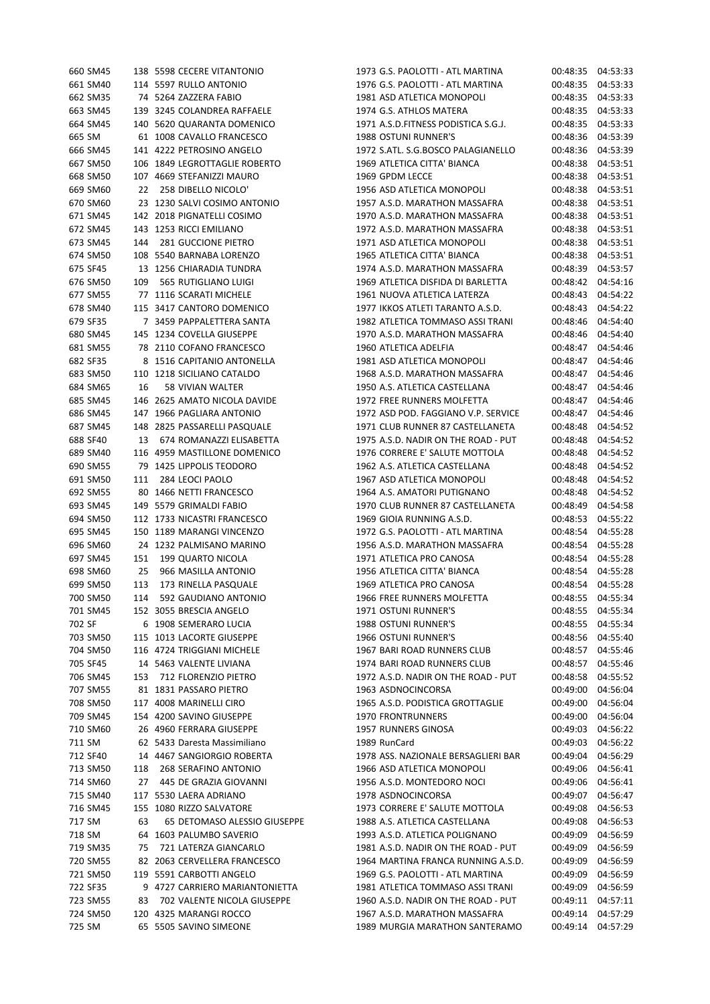| 660 SM45 |     | 138 5598 CECERE VITANTONIO                         | 1973 G.S. PAOLOTTI - ATL MARTINA    |                      | 00:48:35 04:53:33    |
|----------|-----|----------------------------------------------------|-------------------------------------|----------------------|----------------------|
| 661 SM40 |     | 114 5597 RULLO ANTONIO                             | 1976 G.S. PAOLOTTI - ATL MARTINA    |                      | 00:48:35 04:53:33    |
| 662 SM35 |     | 74 5264 ZAZZERA FABIO                              | 1981 ASD ATLETICA MONOPOLI          | 00:48:35             | 04:53:33             |
| 663 SM45 |     | 139 3245 COLANDREA RAFFAELE                        | 1974 G.S. ATHLOS MATERA             | 00:48:35             | 04:53:33             |
| 664 SM45 |     | 140 5620 QUARANTA DOMENICO                         | 1971 A.S.D.FITNESS PODISTICA S.G.J. | 00:48:35             | 04:53:33             |
| 665 SM   |     | 61 1008 CAVALLO FRANCESCO                          | 1988 OSTUNI RUNNER'S                | 00:48:36             | 04:53:39             |
| 666 SM45 |     | 141 4222 PETROSINO ANGELO                          | 1972 S.ATL. S.G.BOSCO PALAGIANELLO  | 00:48:36             | 04:53:39             |
| 667 SM50 |     | 106 1849 LEGROTTAGLIE ROBERTO                      | 1969 ATLETICA CITTA' BIANCA         | 00:48:38             | 04:53:51             |
| 668 SM50 |     | 107 4669 STEFANIZZI MAURO                          | 1969 GPDM LECCE                     | 00:48:38             | 04:53:51             |
| 669 SM60 | 22  | 258 DIBELLO NICOLO'                                | 1956 ASD ATLETICA MONOPOLI          | 00:48:38             | 04:53:51             |
| 670 SM60 |     | 23 1230 SALVI COSIMO ANTONIO                       | 1957 A.S.D. MARATHON MASSAFRA       | 00:48:38             | 04:53:51             |
| 671 SM45 |     | 142 2018 PIGNATELLI COSIMO                         | 1970 A.S.D. MARATHON MASSAFRA       | 00:48:38             | 04:53:51             |
| 672 SM45 |     | 143 1253 RICCI EMILIANO                            | 1972 A.S.D. MARATHON MASSAFRA       | 00:48:38             | 04:53:51             |
| 673 SM45 | 144 | 281 GUCCIONE PIETRO                                | 1971 ASD ATLETICA MONOPOLI          |                      | 00:48:38 04:53:51    |
| 674 SM50 |     | 108 5540 BARNABA LORENZO                           | 1965 ATLETICA CITTA' BIANCA         | 00:48:38             | 04:53:51             |
| 675 SF45 |     | 13 1256 CHIARADIA TUNDRA                           | 1974 A.S.D. MARATHON MASSAFRA       | 00:48:39             | 04:53:57             |
| 676 SM50 | 109 | 565 RUTIGLIANO LUIGI                               | 1969 ATLETICA DISFIDA DI BARLETTA   | 00:48:42             | 04:54:16             |
| 677 SM55 |     | 77 1116 SCARATI MICHELE                            | 1961 NUOVA ATLETICA LATERZA         | 00:48:43             | 04:54:22             |
| 678 SM40 |     | 115 3417 CANTORO DOMENICO                          | 1977 IKKOS ATLETI TARANTO A.S.D.    | 00:48:43             | 04:54:22             |
| 679 SF35 |     | 7 3459 PAPPALETTERA SANTA                          | 1982 ATLETICA TOMMASO ASSI TRANI    | 00:48:46             | 04:54:40             |
| 680 SM45 |     | 145 1234 COVELLA GIUSEPPE                          | 1970 A.S.D. MARATHON MASSAFRA       | 00:48:46             | 04:54:40             |
| 681 SM55 |     | 78 2110 COFANO FRANCESCO                           | 1960 ATLETICA ADELFIA               | 00:48:47             | 04:54:46             |
| 682 SF35 |     | 8 1516 CAPITANIO ANTONELLA                         | 1981 ASD ATLETICA MONOPOLI          | 00:48:47             | 04:54:46             |
| 683 SM50 |     | 110 1218 SICILIANO CATALDO                         | 1968 A.S.D. MARATHON MASSAFRA       | 00:48:47             | 04:54:46             |
| 684 SM65 | 16  | 58 VIVIAN WALTER                                   | 1950 A.S. ATLETICA CASTELLANA       | 00:48:47             | 04:54:46             |
| 685 SM45 |     | 146 2625 AMATO NICOLA DAVIDE                       | 1972 FREE RUNNERS MOLFETTA          | 00:48:47 04:54:46    |                      |
| 686 SM45 |     | 147 1966 PAGLIARA ANTONIO                          | 1972 ASD POD. FAGGIANO V.P. SERVICE |                      | 00:48:47 04:54:46    |
| 687 SM45 |     | 148 2825 PASSARELLI PASQUALE                       | 1971 CLUB RUNNER 87 CASTELLANETA    | 00:48:48             | 04:54:52             |
| 688 SF40 | 13  | 674 ROMANAZZI ELISABETTA                           | 1975 A.S.D. NADIR ON THE ROAD - PUT | 00:48:48             | 04:54:52             |
| 689 SM40 |     | 116 4959 MASTILLONE DOMENICO                       | 1976 CORRERE E' SALUTE MOTTOLA      | 00:48:48             | 04:54:52             |
| 690 SM55 |     | 79 1425 LIPPOLIS TEODORO                           | 1962 A.S. ATLETICA CASTELLANA       | 00:48:48             | 04:54:52             |
| 691 SM50 | 111 | 284 LEOCI PAOLO                                    | 1967 ASD ATLETICA MONOPOLI          | 00:48:48             | 04:54:52             |
| 692 SM55 |     | 80 1466 NETTI FRANCESCO                            | 1964 A.S. AMATORI PUTIGNANO         | 00:48:48             | 04:54:52             |
| 693 SM45 |     | 149 5579 GRIMALDI FABIO                            | 1970 CLUB RUNNER 87 CASTELLANETA    | 00:48:49             | 04:54:58             |
| 694 SM50 |     | 112 1733 NICASTRI FRANCESCO                        | 1969 GIOIA RUNNING A.S.D.           | 00:48:53             | 04:55:22             |
| 695 SM45 |     | 150 1189 MARANGI VINCENZO                          | 1972 G.S. PAOLOTTI - ATL MARTINA    | 00:48:54             | 04:55:28             |
| 696 SM60 |     | 24 1232 PALMISANO MARINO                           | 1956 A.S.D. MARATHON MASSAFRA       | 00:48:54             | 04:55:28             |
| 697 SM45 | 151 | <b>199 QUARTO NICOLA</b>                           | 1971 ATLETICA PRO CANOSA            |                      |                      |
| 698 SM60 | 25  | 966 MASILLA ANTONIO                                | 1956 ATLETICA CITTA' BIANCA         | 00:48:54<br>00:48:54 | 04:55:28<br>04:55:28 |
| 699 SM50 | 113 |                                                    | 1969 ATLETICA PRO CANOSA            |                      | 00:48:54 04:55:28    |
|          | 114 | 173 RINELLA PASQUALE<br>592 GAUDIANO ANTONIO       |                                     |                      | 00:48:55 04:55:34    |
| 700 SM50 |     | 152 3055 BRESCIA ANGELO                            | 1966 FREE RUNNERS MOLFETTA          |                      | 00:48:55 04:55:34    |
| 701 SM45 |     |                                                    | 1971 OSTUNI RUNNER'S                |                      |                      |
| 702 SF   |     | 6 1908 SEMERARO LUCIA<br>115 1013 LACORTE GIUSEPPE | 1988 OSTUNI RUNNER'S                |                      | 00:48:55 04:55:34    |
| 703 SM50 |     |                                                    | 1966 OSTUNI RUNNER'S                | 00:48:56 04:55:40    |                      |
| 704 SM50 |     | 116 4724 TRIGGIANI MICHELE                         | 1967 BARI ROAD RUNNERS CLUB         |                      | 00:48:57 04:55:46    |
| 705 SF45 |     | 14 5463 VALENTE LIVIANA                            | 1974 BARI ROAD RUNNERS CLUB         |                      | 00:48:57 04:55:46    |
| 706 SM45 |     | 153 712 FLORENZIO PIETRO                           | 1972 A.S.D. NADIR ON THE ROAD - PUT | 00:48:58             | 04:55:52             |
| 707 SM55 |     | 81 1831 PASSARO PIETRO                             | 1963 ASDNOCINCORSA                  | 00:49:00             | 04:56:04             |
| 708 SM50 |     | 117 4008 MARINELLI CIRO                            | 1965 A.S.D. PODISTICA GROTTAGLIE    | 00:49:00             | 04:56:04             |
| 709 SM45 |     | 154 4200 SAVINO GIUSEPPE                           | <b>1970 FRONTRUNNERS</b>            | 00:49:00             | 04:56:04             |
| 710 SM60 |     | 26 4960 FERRARA GIUSEPPE                           | 1957 RUNNERS GINOSA                 | 00:49:03             | 04:56:22             |
| 711 SM   |     | 62 5433 Daresta Massimiliano                       | 1989 RunCard                        | 00:49:03             | 04:56:22             |
| 712 SF40 |     | 14 4467 SANGIORGIO ROBERTA                         | 1978 ASS. NAZIONALE BERSAGLIERI BAR | 00:49:04             | 04:56:29             |
| 713 SM50 | 118 | 268 SERAFINO ANTONIO                               | 1966 ASD ATLETICA MONOPOLI          | 00:49:06             | 04:56:41             |
| 714 SM60 |     | 27 445 DE GRAZIA GIOVANNI                          | 1956 A.S.D. MONTEDORO NOCI          | 00:49:06             | 04:56:41             |
| 715 SM40 |     | 117 5530 LAERA ADRIANO                             | 1978 ASDNOCINCORSA                  | 00:49:07             | 04:56:47             |
| 716 SM45 |     | 155 1080 RIZZO SALVATORE                           | 1973 CORRERE E' SALUTE MOTTOLA      | 00:49:08             | 04:56:53             |
| 717 SM   | 63  | 65 DETOMASO ALESSIO GIUSEPPE                       | 1988 A.S. ATLETICA CASTELLANA       |                      | 00:49:08 04:56:53    |
| 718 SM   |     | 64 1603 PALUMBO SAVERIO                            | 1993 A.S.D. ATLETICA POLIGNANO      | 00:49:09             | 04:56:59             |
| 719 SM35 | 75  | 721 LATERZA GIANCARLO                              | 1981 A.S.D. NADIR ON THE ROAD - PUT | 00:49:09             | 04:56:59             |
| 720 SM55 |     | 82 2063 CERVELLERA FRANCESCO                       | 1964 MARTINA FRANCA RUNNING A.S.D.  | 00:49:09             | 04:56:59             |
| 721 SM50 |     | 119 5591 CARBOTTI ANGELO                           | 1969 G.S. PAOLOTTI - ATL MARTINA    | 00:49:09             | 04:56:59             |
| 722 SF35 |     | 9 4727 CARRIERO MARIANTONIETTA                     | 1981 ATLETICA TOMMASO ASSI TRANI    | 00:49:09             | 04:56:59             |
| 723 SM55 |     | 83 702 VALENTE NICOLA GIUSEPPE                     | 1960 A.S.D. NADIR ON THE ROAD - PUT |                      | 00:49:11 04:57:11    |
| 724 SM50 |     | 120 4325 MARANGI ROCCO                             | 1967 A.S.D. MARATHON MASSAFRA       | 00:49:14             | 04:57:29             |
| 725 SM   |     | 65 5505 SAVINO SIMEONE                             | 1989 MURGIA MARATHON SANTERAMO      | 00:49:14             | 04:57:29             |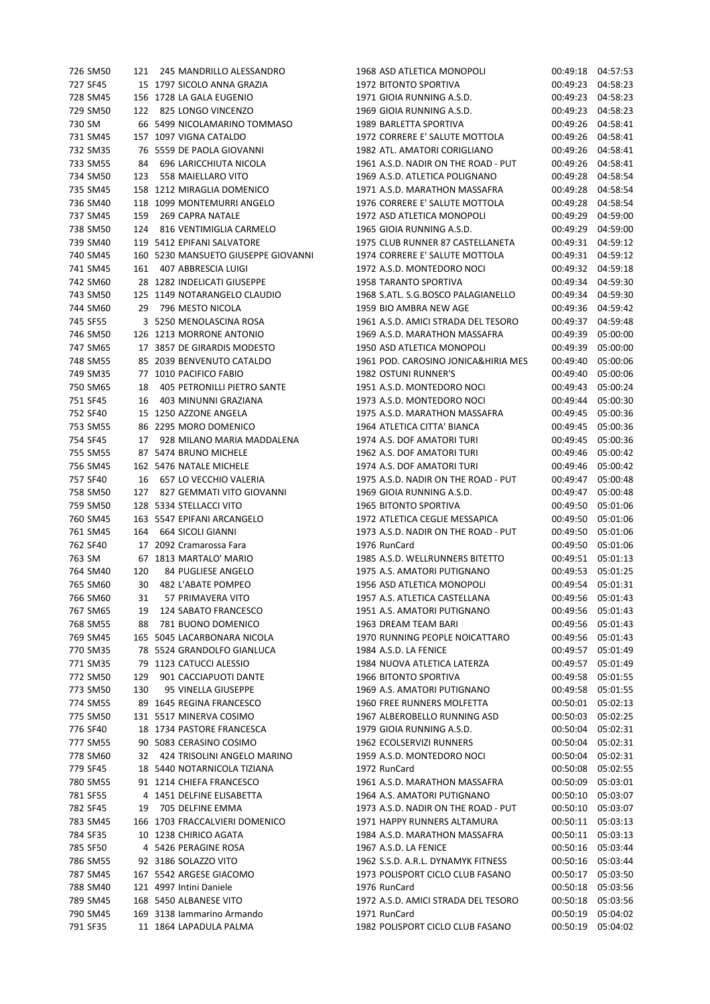| 726 SM50 | 121 | 245 MANDRILLO ALESSANDRO            | 1968 ASD ATLETICA MONOP     |
|----------|-----|-------------------------------------|-----------------------------|
| 727 SF45 |     | 15 1797 SICOLO ANNA GRAZIA          | 1972 BITONTO SPORTIVA       |
| 728 SM45 |     | 156 1728 LA GALA EUGENIO            | 1971 GIOIA RUNNING A.S.D.   |
| 729 SM50 |     | 122 825 LONGO VINCENZO              | 1969 GIOIA RUNNING A.S.D.   |
| 730 SM   |     | 66 5499 NICOLAMARINO TOMMASO        | 1989 BARLETTA SPORTIVA      |
| 731 SM45 |     | 157 1097 VIGNA CATALDO              | 1972 CORRERE E' SALUTE MO   |
| 732 SM35 |     | 76 5559 DE PAOLA GIOVANNI           | 1982 ATL. AMATORI CORIGLI   |
| 733 SM55 | 84  | 696 LARICCHIUTA NICOLA              | 1961 A.S.D. NADIR ON THE R  |
| 734 SM50 | 123 | 558 MAIELLARO VITO                  | 1969 A.S.D. ATLETICA POLIGI |
| 735 SM45 |     | 158 1212 MIRAGLIA DOMENICO          | 1971 A.S.D. MARATHON MA!    |
| 736 SM40 |     | 118 1099 MONTEMURRI ANGELO          | 1976 CORRERE E' SALUTE MO   |
| 737 SM45 | 159 | 269 CAPRA NATALE                    | 1972 ASD ATLETICA MONOP     |
| 738 SM50 | 124 | 816 VENTIMIGLIA CARMELO             | 1965 GIOIA RUNNING A.S.D.   |
| 739 SM40 |     | 119 5412 EPIFANI SALVATORE          | 1975 CLUB RUNNER 87 CAST    |
| 740 SM45 |     | 160 5230 MANSUETO GIUSEPPE GIOVANNI | 1974 CORRERE E' SALUTE MO   |
| 741 SM45 | 161 | 407 ABBRESCIA LUIGI                 | 1972 A.S.D. MONTEDORO NO    |
| 742 SM60 |     | 28 1282 INDELICATI GIUSEPPE         | 1958 TARANTO SPORTIVA       |
| 743 SM50 |     | 125 1149 NOTARANGELO CLAUDIO        | 1968 S.ATL. S.G.BOSCO PALA  |
| 744 SM60 | 29  | 796 MESTO NICOLA                    | 1959 BIO AMBRA NEW AGE      |
| 745 SF55 |     | 3 5250 MENOLASCINA ROSA             | 1961 A.S.D. AMICI STRADA D  |
| 746 SM50 |     | 126 1213 MORRONE ANTONIO            | 1969 A.S.D. MARATHON MA!    |
| 747 SM65 |     | 17 3857 DE GIRARDIS MODESTO         | 1950 ASD ATLETICA MONOP     |
| 748 SM55 |     | 85 2039 BENVENUTO CATALDO           | 1961 POD. CAROSINO JONIC    |
| 749 SM35 |     | 77 1010 PACIFICO FABIO              | <b>1982 OSTUNI RUNNER'S</b> |
| 750 SM65 | 18  | 405 PETRONILLI PIETRO SANTE         | 1951 A.S.D. MONTEDORO NO    |
| 751 SF45 | 16  | 403 MINUNNI GRAZIANA                | 1973 A.S.D. MONTEDORO NO    |
| 752 SF40 |     | 15 1250 AZZONE ANGELA               | 1975 A.S.D. MARATHON MA!    |
| 753 SM55 |     | 86 2295 MORO DOMENICO               | 1964 ATLETICA CITTA' BIANC  |
| 754 SF45 | 17  | 928 MILANO MARIA MADDALENA          | 1974 A.S. DOF AMATORI TUR   |
| 755 SM55 |     | 87 5474 BRUNO MICHELE               | 1962 A.S. DOF AMATORI TUR   |
| 756 SM45 |     | 162 5476 NATALE MICHELE             | 1974 A.S. DOF AMATORI TUR   |
| 757 SF40 | 16  | 657 LO VECCHIO VALERIA              | 1975 A.S.D. NADIR ON THE R  |
| 758 SM50 | 127 | 827 GEMMATI VITO GIOVANNI           | 1969 GIOIA RUNNING A.S.D.   |
| 759 SM50 |     | 128 5334 STELLACCI VITO             | 1965 BITONTO SPORTIVA       |
| 760 SM45 |     | 163 5547 EPIFANI ARCANGELO          | 1972 ATLETICA CEGLIE MESS.  |
| 761 SM45 |     | 164 664 SICOLI GIANNI               | 1973 A.S.D. NADIR ON THE R  |
| 762 SF40 |     | 17 2092 Cramarossa Fara             | 1976 RunCard                |
| 763 SM   |     | 67 1813 MARTALO' MARIO              | 1985 A.S.D. WELLRUNNERS E   |
| 764 SM40 | 120 | 84 PUGLIESE ANGELO                  | 1975 A.S. AMATORI PUTIGNA   |
| 765 SM60 | 30  | 482 L'ABATE POMPEO                  | 1956 ASD ATLETICA MONOP     |
| 766 SM60 | 31  | 57 PRIMAVERA VITO                   | 1957 A.S. ATLETICA CASTELL  |
| 767 SM65 | 19  | 124 SABATO FRANCESCO                | 1951 A.S. AMATORI PUTIGNA   |
| 768 SM55 | 88  | 781 BUONO DOMENICO                  | 1963 DREAM TEAM BARI        |
| 769 SM45 |     | 165 5045 LACARBONARA NICOLA         | 1970 RUNNING PEOPLE NOIC    |
| 770 SM35 |     | 78 5524 GRANDOLFO GIANLUCA          | 1984 A.S.D. LA FENICE       |
| 771 SM35 |     | 79 1123 CATUCCI ALESSIO             | 1984 NUOVA ATLETICA LATE    |
| 772 SM50 | 129 | 901 CACCIAPUOTI DANTE               | 1966 BITONTO SPORTIVA       |
| 773 SM50 | 130 | 95 VINELLA GIUSEPPE                 | 1969 A.S. AMATORI PUTIGNA   |
| 774 SM55 |     | 89 1645 REGINA FRANCESCO            | 1960 FREE RUNNERS MOLFET    |
| 775 SM50 |     | 131 5517 MINERVA COSIMO             | 1967 ALBEROBELLO RUNNIN     |
| 776 SF40 |     | 18 1734 PASTORE FRANCESCA           | 1979 GIOIA RUNNING A.S.D.   |
| 777 SM55 |     | 90 5083 CERASINO COSIMO             | 1962 ECOLSERVIZI RUNNERS    |
| 778 SM60 |     | 32 424 TRISOLINI ANGELO MARINO      | 1959 A.S.D. MONTEDORO NO    |
| 779 SF45 |     | 18 5440 NOTARNICOLA TIZIANA         | 1972 RunCard                |
| 780 SM55 |     | 91 1214 CHIEFA FRANCESCO            | 1961 A.S.D. MARATHON MA!    |
| 781 SF55 |     | 4 1451 DELFINE ELISABETTA           | 1964 A.S. AMATORI PUTIGNA   |
| 782 SF45 | 19  | 705 DELFINE EMMA                    | 1973 A.S.D. NADIR ON THE R  |
| 783 SM45 |     | 166 1703 FRACCALVIERI DOMENICO      | 1971 HAPPY RUNNERS ALTAI    |
| 784 SF35 |     | 10 1238 CHIRICO AGATA               | 1984 A.S.D. MARATHON MA!    |
| 785 SF50 |     | 4 5426 PERAGINE ROSA                | 1967 A.S.D. LA FENICE       |
| 786 SM55 |     | 92 3186 SOLAZZO VITO                | 1962 S.S.D. A.R.L. DYNAMYK  |
| 787 SM45 |     | 167 5542 ARGESE GIACOMO             | 1973 POLISPORT CICLO CLUB   |
| 788 SM40 |     | 121 4997 Intini Daniele             | 1976 RunCard                |
| 789 SM45 |     | 168 5450 ALBANESE VITO              | 1972 A.S.D. AMICI STRADA D  |
| 790 SM45 |     | 169 3138 Iammarino Armando          | 1971 RunCard                |
| 791 SF35 |     | 11 1864 LAPADULA PALMA              | 1982 POLISPORT CICLO CLUB   |
|          |     |                                     |                             |

0LI 00:49:18 04:57:53 00:49:23 04:58:23 00:49:23 04:58:23 00:49:23 04:58:23 00:49:26 04:58:41 07TOLA 00:49:26 04:58:41 14NO 00:49:26 04:58:41 20AD - PUT 00:49:26 04:58:41 NANO 00:49:28 04:58:54 735 SM45 158 1212 MIRAGLIA DOMENICO 1971 A.S.D. MARATHON MASSAFRA 00:49:28 04:58:54 00:49:28 04:58:54 011 00:49:29 04:59:00 00:49:29 04:59:00 FELLANETA 00:49:31 04:59:12 07TOLA 00:49:31 04:59:12 00:49:32 04:59:18 00:49:34 04:59:30 143 GIANELLO 00:49:34 04:59:30 00:49:36 04:59:42 745 SF55 3 5250 MENOLASCINA ROSA 1961 A.S.D. AMICI STRADA DEL TESORO 00:49:37 04:59:48 746 SM50 126 1213 MORRONE ANTONIO 1969 A.S.D. MARATHON MASSAFRA 00:49:39 05:00:00 0LI 00:49:39 05:00:00 A&HIRIA MES 00:49:40 05:00:06 00:49:40 05:00:06 00:49:43 05:00:24 751 SF45 16 403 MINUNNI GRAZIANA 1973 A.S.D. MONTEDORO NOCI 00:49:44 05:00:30 752 SF40 15 1250 AZZONE ANGELA 1975 A.S.D. MARATHON MASSAFRA 00:49:45 05:00:36 753 SM55 86 2295 MORO DOMENICO 1964 ATLETICA CITTA' BIANCA 00:49:45 05:00:36  $31$  00:49:45 05:00:36  $71$   $00:49:46$   $05:00:42$  $\frac{75}{16}$  00:49:46 05:00:42 757 SF40 16 657 LO VECCHIO VALERIA 1975 A.S.D. NADIR ON THE ROAD - PUT 00:49:47 05:00:48 00:49:47 05:00:48 00:49:50 05:01:06 APICA 00:49:50 05:01:06 164 B.COAD - PUT 00:49:50 05:01:06 00:49:50 05:01:06 81TETTO 00:49:51 05:01:13 ANO 00:49:53 05:01:25 00:49:54 05:01:31 ANA 00:49:56 05:01:43 ANO 00:49:56 05:01:43 00:49:56 05:01:43 CATTARO 00:49:56 05:01:43  $00:49:57$  05:01:49  $RZA$   $00:49:57$   $05:01:49$ 00:49:58 05:01:55 ANO 00:49:58 05:01:55  $TTA$   $00:50:01$   $05:02:13$ 775 SM50 131 5517 MINERVA COSIMO 1967 ALBEROBELLO RUNNING ASD 00:50:03 05:02:25 00:50:04 05:02:31 00:50:04 05:02:31 00:50:04 05:02:31 00:50:08 05:02:55 780 SM55 91 1214 CHIEFA FRANCESCO 1961 A.S.D. MARATHON MASSAFRA 00:50:09 05:03:01 ANO 00:50:10 05:03:07 20AD - PUT 00:50:10 05:03:07 MURA 00:50:11 05:03:13 SSAFRA 00:50:11 05:03:13 00:50:16 05:03:44 FITNESS 00:50:16 05:03:44 FASANO 00:50:17 05:03:50 00:50:18 05:03:56 789 SM45 168 5450 ALBANESE VITO 1972 A.S.D. AMICI STRADA DEL TESORO 00:50:18 05:03:56 00:50:19 05:04:02 FASANO 00:50:19 05:04:02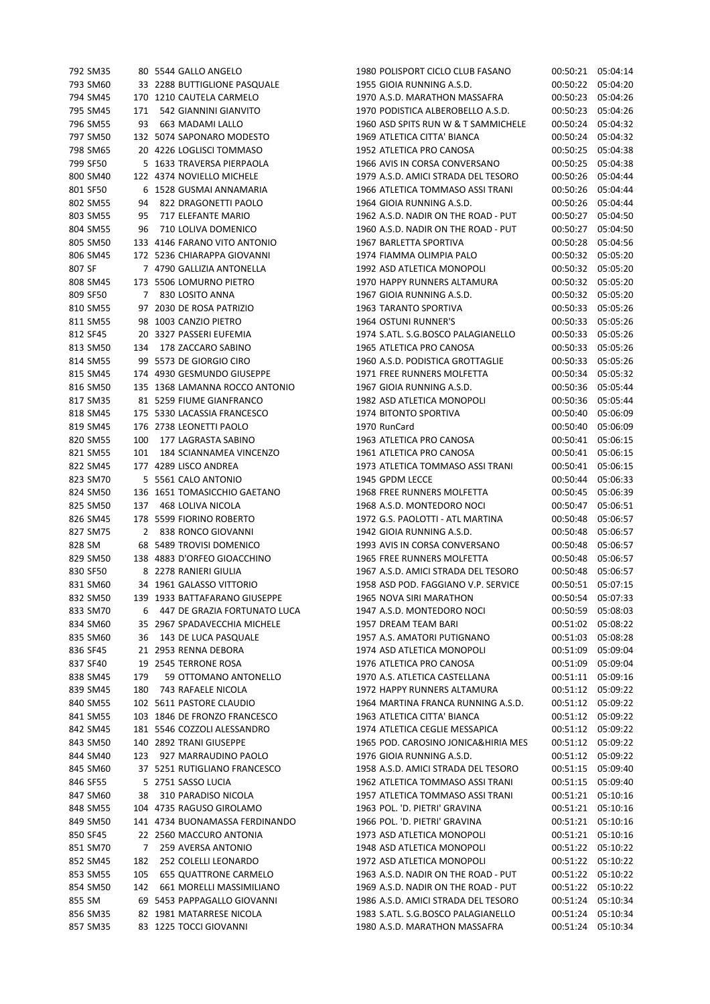| 792 SM35 |     | 80 5544 GALLO ANGELO           | 1980 POLISPORT CICLO CLUB FASANO    |                    | 00:50:21 05:04:14 |
|----------|-----|--------------------------------|-------------------------------------|--------------------|-------------------|
| 793 SM60 |     | 33 2288 BUTTIGLIONE PASQUALE   | 1955 GIOIA RUNNING A.S.D.           |                    | 00:50:22 05:04:20 |
| 794 SM45 |     | 170 1210 CAUTELA CARMELO       | 1970 A.S.D. MARATHON MASSAFRA       |                    | 00:50:23 05:04:26 |
| 795 SM45 | 171 | 542 GIANNINI GIANVITO          | 1970 PODISTICA ALBEROBELLO A.S.D.   |                    | 00:50:23 05:04:26 |
| 796 SM55 | 93  | 663 MADAMI LALLO               | 1960 ASD SPITS RUN W & T SAMMICHELE |                    | 00:50:24 05:04:32 |
| 797 SM50 |     | 132 5074 SAPONARO MODESTO      | 1969 ATLETICA CITTA' BIANCA         |                    | 00:50:24 05:04:32 |
| 798 SM65 |     | 20 4226 LOGLISCI TOMMASO       | 1952 ATLETICA PRO CANOSA            |                    | 00:50:25 05:04:38 |
|          |     | 5 1633 TRAVERSA PIERPAOLA      |                                     |                    |                   |
| 799 SF50 |     |                                | 1966 AVIS IN CORSA CONVERSANO       |                    | 00:50:25 05:04:38 |
| 800 SM40 |     | 122 4374 NOVIELLO MICHELE      | 1979 A.S.D. AMICI STRADA DEL TESORO |                    | 00:50:26 05:04:44 |
| 801 SF50 |     | 6 1528 GUSMAI ANNAMARIA        | 1966 ATLETICA TOMMASO ASSI TRANI    | 00:50:26 05:04:44  |                   |
| 802 SM55 | 94  | 822 DRAGONETTI PAOLO           | 1964 GIOIA RUNNING A.S.D.           | 00:50:26 05:04:44  |                   |
| 803 SM55 | 95  | 717 ELEFANTE MARIO             | 1962 A.S.D. NADIR ON THE ROAD - PUT |                    | 00:50:27 05:04:50 |
| 804 SM55 | 96  | 710 LOLIVA DOMENICO            | 1960 A.S.D. NADIR ON THE ROAD - PUT |                    | 00:50:27 05:04:50 |
| 805 SM50 |     | 133 4146 FARANO VITO ANTONIO   | 1967 BARLETTA SPORTIVA              |                    | 00:50:28 05:04:56 |
| 806 SM45 |     | 172 5236 CHIARAPPA GIOVANNI    | 1974 FIAMMA OLIMPIA PALO            |                    | 00:50:32 05:05:20 |
| 807 SF   |     | 7 4790 GALLIZIA ANTONELLA      | 1992 ASD ATLETICA MONOPOLI          |                    | 00:50:32 05:05:20 |
| 808 SM45 |     | 173 5506 LOMURNO PIETRO        | 1970 HAPPY RUNNERS ALTAMURA         |                    | 00:50:32 05:05:20 |
| 809 SF50 |     | 7 830 LOSITO ANNA              | 1967 GIOIA RUNNING A.S.D.           |                    | 00:50:32 05:05:20 |
| 810 SM55 |     | 97 2030 DE ROSA PATRIZIO       | 1963 TARANTO SPORTIVA               |                    | 00:50:33 05:05:26 |
|          |     |                                |                                     |                    |                   |
| 811 SM55 |     | 98 1003 CANZIO PIETRO          | 1964 OSTUNI RUNNER'S                |                    | 00:50:33 05:05:26 |
| 812 SF45 |     | 20 3327 PASSERI EUFEMIA        | 1974 S.ATL. S.G.BOSCO PALAGIANELLO  | 00:50:33 05:05:26  |                   |
| 813 SM50 | 134 | 178 ZACCARO SABINO             | 1965 ATLETICA PRO CANOSA            |                    | 00:50:33 05:05:26 |
| 814 SM55 |     | 99 5573 DE GIORGIO CIRO        | 1960 A.S.D. PODISTICA GROTTAGLIE    |                    | 00:50:33 05:05:26 |
| 815 SM45 |     | 174 4930 GESMUNDO GIUSEPPE     | 1971 FREE RUNNERS MOLFETTA          |                    | 00:50:34 05:05:32 |
| 816 SM50 |     | 135 1368 LAMANNA ROCCO ANTONIO | 1967 GIOIA RUNNING A.S.D.           |                    | 00:50:36 05:05:44 |
| 817 SM35 |     | 81 5259 FIUME GIANFRANCO       | 1982 ASD ATLETICA MONOPOLI          |                    | 00:50:36 05:05:44 |
| 818 SM45 |     | 175 5330 LACASSIA FRANCESCO    | 1974 BITONTO SPORTIVA               |                    | 00:50:40 05:06:09 |
| 819 SM45 |     | 176 2738 LEONETTI PAOLO        | 1970 RunCard                        |                    | 00:50:40 05:06:09 |
| 820 SM55 | 100 | 177 LAGRASTA SABINO            | 1963 ATLETICA PRO CANOSA            |                    | 00:50:41 05:06:15 |
| 821 SM55 | 101 | 184 SCIANNAMEA VINCENZO        | 1961 ATLETICA PRO CANOSA            |                    | 00:50:41 05:06:15 |
| 822 SM45 |     | 177 4289 LISCO ANDREA          | 1973 ATLETICA TOMMASO ASSI TRANI    |                    | 00:50:41 05:06:15 |
|          |     |                                |                                     |                    |                   |
| 823 SM70 |     | 5 5561 CALO ANTONIO            | 1945 GPDM LECCE                     | 00:50:44           | 05:06:33          |
| 824 SM50 |     | 136 1651 TOMASICCHIO GAETANO   | 1968 FREE RUNNERS MOLFETTA          |                    | 00:50:45 05:06:39 |
| 825 SM50 | 137 | 468 LOLIVA NICOLA              | 1968 A.S.D. MONTEDORO NOCI          |                    | 00:50:47 05:06:51 |
| 826 SM45 |     | 178 5599 FIORINO ROBERTO       | 1972 G.S. PAOLOTTI - ATL MARTINA    | 00:50:48           | 05:06:57          |
| 827 SM75 |     | 2 838 RONCO GIOVANNI           | 1942 GIOIA RUNNING A.S.D.           |                    | 00:50:48 05:06:57 |
| 828 SM   |     | 68 5489 TROVISI DOMENICO       | 1993 AVIS IN CORSA CONVERSANO       |                    | 00:50:48 05:06:57 |
| 829 SM50 |     | 138 4883 D'ORFEO GIOACCHINO    | 1965 FREE RUNNERS MOLFETTA          |                    | 00:50:48 05:06:57 |
| 830 SF50 |     | 8 2278 RANIERI GIULIA          | 1967 A.S.D. AMICI STRADA DEL TESORO |                    | 00:50:48 05:06:57 |
| 831 SM60 |     | 34 1961 GALASSO VITTORIO       | 1958 ASD POD. FAGGIANO V.P. SERVICE |                    | 00:50:51 05:07:15 |
| 832 SM50 |     | 139 1933 BATTAFARANO GIUSEPPE  | 1965 NOVA SIRI MARATHON             |                    | 00:50:54 05:07:33 |
| 833 SM70 | 6   | 447 DE GRAZIA FORTUNATO LUCA   | 1947 A.S.D. MONTEDORO NOCI          | 00:50:59 05:08:03  |                   |
| 834 SM60 |     | 35 2967 SPADAVECCHIA MICHELE   | 1957 DREAM TEAM BARI                |                    | 00:51:02 05:08:22 |
| 835 SM60 | 36  | 143 DE LUCA PASQUALE           | 1957 A.S. AMATORI PUTIGNANO         |                    | 00:51:03 05:08:28 |
|          |     |                                |                                     |                    |                   |
| 836 SF45 |     | 21 2953 RENNA DEBORA           | 1974 ASD ATLETICA MONOPOLI          |                    | 00:51:09 05:09:04 |
| 837 SF40 |     | 19 2545 TERRONE ROSA           | 1976 ATLETICA PRO CANOSA            |                    | 00:51:09 05:09:04 |
| 838 SM45 | 179 | 59 OTTOMANO ANTONELLO          | 1970 A.S. ATLETICA CASTELLANA       |                    | 00:51:11 05:09:16 |
| 839 SM45 | 180 | 743 RAFAELE NICOLA             | 1972 HAPPY RUNNERS ALTAMURA         |                    | 00:51:12 05:09:22 |
| 840 SM55 |     | 102 5611 PASTORE CLAUDIO       | 1964 MARTINA FRANCA RUNNING A.S.D.  |                    | 00:51:12 05:09:22 |
| 841 SM55 |     | 103 1846 DE FRONZO FRANCESCO   | 1963 ATLETICA CITTA' BIANCA         |                    | 00:51:12 05:09:22 |
| 842 SM45 |     | 181 5546 COZZOLI ALESSANDRO    | 1974 ATLETICA CEGLIE MESSAPICA      |                    | 00:51:12 05:09:22 |
| 843 SM50 |     | 140 2892 TRANI GIUSEPPE        | 1965 POD. CAROSINO JONICA&HIRIA MES |                    | 00:51:12 05:09:22 |
| 844 SM40 | 123 | 927 MARRAUDINO PAOLO           | 1976 GIOIA RUNNING A.S.D.           |                    | 00:51:12 05:09:22 |
| 845 SM60 |     | 37 5251 RUTIGLIANO FRANCESCO   | 1958 A.S.D. AMICI STRADA DEL TESORO |                    | 00:51:15 05:09:40 |
| 846 SF55 |     | 5 2751 SASSO LUCIA             | 1962 ATLETICA TOMMASO ASSI TRANI    |                    | 00:51:15 05:09:40 |
| 847 SM60 | 38  | 310 PARADISO NICOLA            | 1957 ATLETICA TOMMASO ASSI TRANI    |                    | 00:51:21 05:10:16 |
| 848 SM55 |     | 104 4735 RAGUSO GIROLAMO       | 1963 POL. 'D. PIETRI' GRAVINA       |                    | 00:51:21 05:10:16 |
|          |     |                                |                                     |                    |                   |
| 849 SM50 |     | 141 4734 BUONAMASSA FERDINANDO | 1966 POL. 'D. PIETRI' GRAVINA       |                    | 00:51:21 05:10:16 |
| 850 SF45 |     | 22 2560 MACCURO ANTONIA        | 1973 ASD ATLETICA MONOPOLI          |                    | 00:51:21 05:10:16 |
| 851 SM70 | 7   | 259 AVERSA ANTONIO             | 1948 ASD ATLETICA MONOPOLI          |                    | 00:51:22 05:10:22 |
|          |     | 252 COLELLI LEONARDO           | 1972 ASD ATLETICA MONOPOLI          | 00:51:22  05:10:22 |                   |
| 852 SM45 | 182 |                                |                                     |                    |                   |
| 853 SM55 | 105 | <b>655 QUATTRONE CARMELO</b>   | 1963 A.S.D. NADIR ON THE ROAD - PUT |                    | 00:51:22 05:10:22 |
| 854 SM50 | 142 | 661 MORELLI MASSIMILIANO       | 1969 A.S.D. NADIR ON THE ROAD - PUT |                    | 00:51:22 05:10:22 |
| 855 SM   |     | 69 5453 PAPPAGALLO GIOVANNI    | 1986 A.S.D. AMICI STRADA DEL TESORO |                    | 00:51:24 05:10:34 |
| 856 SM35 |     | 82 1981 MATARRESE NICOLA       | 1983 S.ATL. S.G.BOSCO PALAGIANELLO  |                    | 00:51:24 05:10:34 |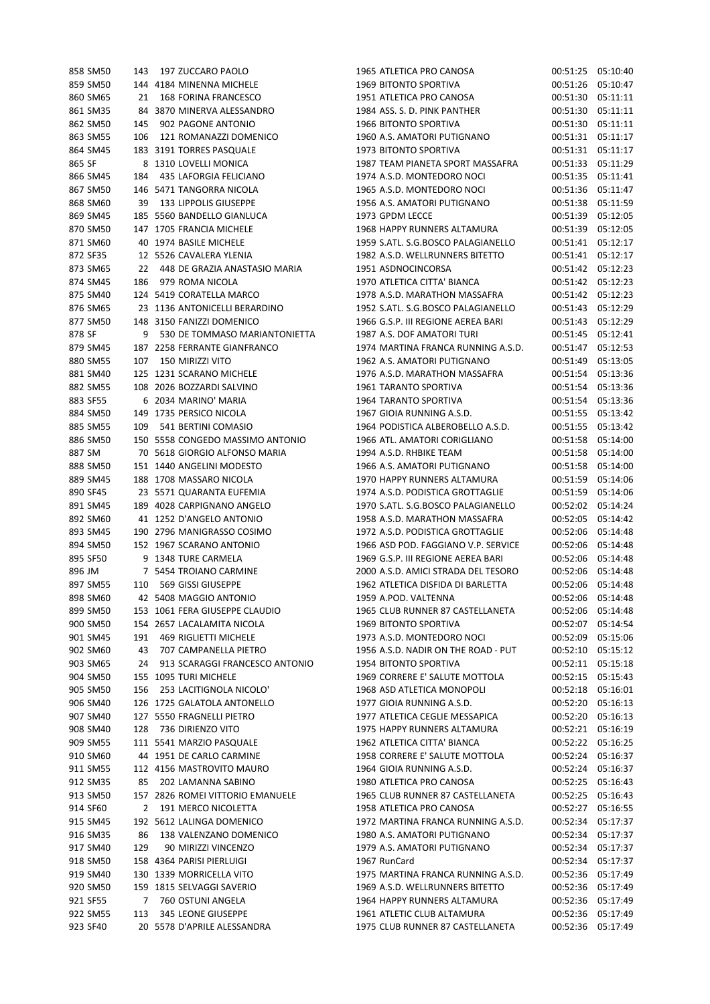| 858 SM50 | 143 | 197 ZUCCARO PAOLO                | 1965 ATLETICA PRO CANOSA            | 00:51:25 05:10:40 |  |
|----------|-----|----------------------------------|-------------------------------------|-------------------|--|
| 859 SM50 |     | 144 4184 MINENNA MICHELE         | 1969 BITONTO SPORTIVA               | 00:51:26 05:10:47 |  |
| 860 SM65 | 21  | 168 FORINA FRANCESCO             | 1951 ATLETICA PRO CANOSA            | 00:51:30 05:11:11 |  |
| 861 SM35 |     | 84 3870 MINERVA ALESSANDRO       | 1984 ASS, S. D. PINK PANTHER        | 00:51:30 05:11:11 |  |
| 862 SM50 | 145 | 902 PAGONE ANTONIO               | 1966 BITONTO SPORTIVA               | 00:51:30 05:11:11 |  |
| 863 SM55 | 106 | 121 ROMANAZZI DOMENICO           | 1960 A.S. AMATORI PUTIGNANO         | 00:51:31 05:11:17 |  |
| 864 SM45 |     | 183 3191 TORRES PASQUALE         | 1973 BITONTO SPORTIVA               | 00:51:31 05:11:17 |  |
| 865 SF   |     | 8 1310 LOVELLI MONICA            | 1987 TEAM PIANETA SPORT MASSAFRA    | 00:51:33 05:11:29 |  |
|          |     |                                  |                                     |                   |  |
| 866 SM45 | 184 | 435 LAFORGIA FELICIANO           | 1974 A.S.D. MONTEDORO NOCI          | 00:51:35 05:11:41 |  |
| 867 SM50 |     | 146 5471 TANGORRA NICOLA         | 1965 A.S.D. MONTEDORO NOCI          | 00:51:36 05:11:47 |  |
| 868 SM60 |     | 39 133 LIPPOLIS GIUSEPPE         | 1956 A.S. AMATORI PUTIGNANO         | 00:51:38 05:11:59 |  |
| 869 SM45 |     | 185 5560 BANDELLO GIANLUCA       | 1973 GPDM LECCE                     | 00:51:39 05:12:05 |  |
| 870 SM50 |     | 147 1705 FRANCIA MICHELE         | 1968 HAPPY RUNNERS ALTAMURA         | 00:51:39 05:12:05 |  |
| 871 SM60 |     | 40 1974 BASILE MICHELE           | 1959 S.ATL. S.G.BOSCO PALAGIANELLO  | 00:51:41 05:12:17 |  |
| 872 SF35 |     | 12 5526 CAVALERA YLENIA          | 1982 A.S.D. WELLRUNNERS BITETTO     | 00:51:41 05:12:17 |  |
| 873 SM65 |     | 22 448 DE GRAZIA ANASTASIO MARIA | 1951 ASDNOCINCORSA                  | 00:51:42 05:12:23 |  |
| 874 SM45 | 186 | 979 ROMA NICOLA                  | 1970 ATLETICA CITTA' BIANCA         | 00:51:42 05:12:23 |  |
| 875 SM40 |     | 124 5419 CORATELLA MARCO         | 1978 A.S.D. MARATHON MASSAFRA       | 00:51:42 05:12:23 |  |
| 876 SM65 |     | 23 1136 ANTONICELLI BERARDINO    | 1952 S.ATL. S.G.BOSCO PALAGIANELLO  | 00:51:43 05:12:29 |  |
| 877 SM50 |     | 148 3150 FANIZZI DOMENICO        | 1966 G.S.P. III REGIONE AEREA BARI  | 00:51:43 05:12:29 |  |
| 878 SF   |     | 9 530 DE TOMMASO MARIANTONIETTA  | 1987 A.S. DOF AMATORI TURI          | 00:51:45 05:12:41 |  |
| 879 SM45 |     | 187 2258 FERRANTE GIANFRANCO     | 1974 MARTINA FRANCA RUNNING A.S.D.  | 00:51:47 05:12:53 |  |
| 880 SM55 | 107 | 150 MIRIZZI VITO                 | 1962 A.S. AMATORI PUTIGNANO         | 00:51:49 05:13:05 |  |
| 881 SM40 |     | 125 1231 SCARANO MICHELE         | 1976 A.S.D. MARATHON MASSAFRA       | 00:51:54 05:13:36 |  |
| 882 SM55 |     | 108 2026 BOZZARDI SALVINO        | 1961 TARANTO SPORTIVA               | 00:51:54 05:13:36 |  |
| 883 SF55 |     | 6 2034 MARINO' MARIA             | <b>1964 TARANTO SPORTIVA</b>        | 00:51:54 05:13:36 |  |
|          |     |                                  |                                     |                   |  |
| 884 SM50 |     | 149 1735 PERSICO NICOLA          | 1967 GIOIA RUNNING A.S.D.           | 00:51:55 05:13:42 |  |
| 885 SM55 |     | 109 541 BERTINI COMASIO          | 1964 PODISTICA ALBEROBELLO A.S.D.   | 00:51:55 05:13:42 |  |
| 886 SM50 |     | 150 5558 CONGEDO MASSIMO ANTONIO | 1966 ATL. AMATORI CORIGLIANO        | 00:51:58 05:14:00 |  |
| 887 SM   |     | 70 5618 GIORGIO ALFONSO MARIA    | 1994 A.S.D. RHBIKE TEAM             | 00:51:58 05:14:00 |  |
| 888 SM50 |     | 151 1440 ANGELINI MODESTO        | 1966 A.S. AMATORI PUTIGNANO         | 00:51:58 05:14:00 |  |
| 889 SM45 |     | 188 1708 MASSARO NICOLA          | 1970 HAPPY RUNNERS ALTAMURA         | 00:51:59 05:14:06 |  |
| 890 SF45 |     | 23 5571 QUARANTA EUFEMIA         | 1974 A.S.D. PODISTICA GROTTAGLIE    | 00:51:59 05:14:06 |  |
| 891 SM45 |     | 189 4028 CARPIGNANO ANGELO       | 1970 S.ATL. S.G.BOSCO PALAGIANELLO  | 00:52:02 05:14:24 |  |
| 892 SM60 |     | 41 1252 D'ANGELO ANTONIO         | 1958 A.S.D. MARATHON MASSAFRA       | 00:52:05 05:14:42 |  |
| 893 SM45 |     | 190 2796 MANIGRASSO COSIMO       | 1972 A.S.D. PODISTICA GROTTAGLIE    | 00:52:06 05:14:48 |  |
| 894 SM50 |     | 152 1967 SCARANO ANTONIO         | 1966 ASD POD. FAGGIANO V.P. SERVICE | 00:52:06 05:14:48 |  |
| 895 SF50 |     | 9 1348 TURE CARMELA              | 1969 G.S.P. III REGIONE AEREA BARI  | 00:52:06 05:14:48 |  |
| 896 JM   |     | 7 5454 TROIANO CARMINE           | 2000 A.S.D. AMICI STRADA DEL TESORO | 00:52:06 05:14:48 |  |
| 897 SM55 |     | 110 569 GISSI GIUSEPPE           | 1962 ATLETICA DISFIDA DI BARLETTA   | 00:52:06 05:14:48 |  |
| 898 SM60 |     | 42 5408 MAGGIO ANTONIO           | 1959 A.POD. VALTENNA                | 00:52:06 05:14:48 |  |
| 899 SM50 |     | 153 1061 FERA GIUSEPPE CLAUDIO   | 1965 CLUB RUNNER 87 CASTELLANETA    | 00:52:06 05:14:48 |  |
| 900 SM50 |     | 154 2657 LACALAMITA NICOLA       | <b>1969 BITONTO SPORTIVA</b>        | 00:52:07 05:14:54 |  |
| 901 SM45 | 191 | 469 RIGLIETTI MICHELE            | 1973 A.S.D. MONTEDORO NOCI          | 00:52:09 05:15:06 |  |
| 902 SM60 | 43  | 707 CAMPANELLA PIETRO            | 1956 A.S.D. NADIR ON THE ROAD - PUT | 00:52:10 05:15:12 |  |
| 903 SM65 | 24  | 913 SCARAGGI FRANCESCO ANTONIO   | 1954 BITONTO SPORTIVA               | 00:52:11 05:15:18 |  |
| 904 SM50 |     | 155 1095 TURI MICHELE            | 1969 CORRERE E' SALUTE MOTTOLA      | 00:52:15 05:15:43 |  |
| 905 SM50 | 156 | 253 LACITIGNOLA NICOLO'          | 1968 ASD ATLETICA MONOPOLI          | 00:52:18 05:16:01 |  |
|          |     |                                  | 1977 GIOIA RUNNING A.S.D.           |                   |  |
| 906 SM40 |     | 126 1725 GALATOLA ANTONELLO      |                                     | 00:52:20 05:16:13 |  |
| 907 SM40 |     | 127 5550 FRAGNELLI PIETRO        | 1977 ATLETICA CEGLIE MESSAPICA      | 00:52:20 05:16:13 |  |
| 908 SM40 | 128 | 736 DIRIENZO VITO                | 1975 HAPPY RUNNERS ALTAMURA         | 00:52:21 05:16:19 |  |
| 909 SM55 |     | 111 5541 MARZIO PASQUALE         | 1962 ATLETICA CITTA' BIANCA         | 00:52:22 05:16:25 |  |
| 910 SM60 |     | 44 1951 DE CARLO CARMINE         | 1958 CORRERE E' SALUTE MOTTOLA      | 00:52:24 05:16:37 |  |
| 911 SM55 |     | 112 4156 MASTROVITO MAURO        | 1964 GIOIA RUNNING A.S.D.           | 00:52:24 05:16:37 |  |
| 912 SM35 | 85  | 202 LAMANNA SABINO               | 1980 ATLETICA PRO CANOSA            | 00:52:25 05:16:43 |  |
| 913 SM50 |     | 157 2826 ROMEI VITTORIO EMANUELE | 1965 CLUB RUNNER 87 CASTELLANETA    | 00:52:25 05:16:43 |  |
| 914 SF60 | 2   | 191 MERCO NICOLETTA              | 1958 ATLETICA PRO CANOSA            | 00:52:27 05:16:55 |  |
| 915 SM45 |     | 192 5612 LALINGA DOMENICO        | 1972 MARTINA FRANCA RUNNING A.S.D.  | 00:52:34 05:17:37 |  |
| 916 SM35 | 86  | 138 VALENZANO DOMENICO           | 1980 A.S. AMATORI PUTIGNANO         | 00:52:34 05:17:37 |  |
| 917 SM40 | 129 | 90 MIRIZZI VINCENZO              | 1979 A.S. AMATORI PUTIGNANO         | 00:52:34 05:17:37 |  |
| 918 SM50 |     | 158 4364 PARISI PIERLUIGI        | 1967 RunCard                        | 00:52:34 05:17:37 |  |
| 919 SM40 |     | 130 1339 MORRICELLA VITO         | 1975 MARTINA FRANCA RUNNING A.S.D.  | 00:52:36 05:17:49 |  |
| 920 SM50 |     | 159 1815 SELVAGGI SAVERIO        | 1969 A.S.D. WELLRUNNERS BITETTO     | 00:52:36 05:17:49 |  |
| 921 SF55 | 7   | 760 OSTUNI ANGELA                | 1964 HAPPY RUNNERS ALTAMURA         | 00:52:36 05:17:49 |  |
| 922 SM55 | 113 | 345 LEONE GIUSEPPE               | 1961 ATLETIC CLUB ALTAMURA          | 00:52:36 05:17:49 |  |
| 923 SF40 |     | 20 5578 D'APRILE ALESSANDRA      | 1975 CLUB RUNNER 87 CASTELLANETA    | 00:52:36 05:17:49 |  |
|          |     |                                  |                                     |                   |  |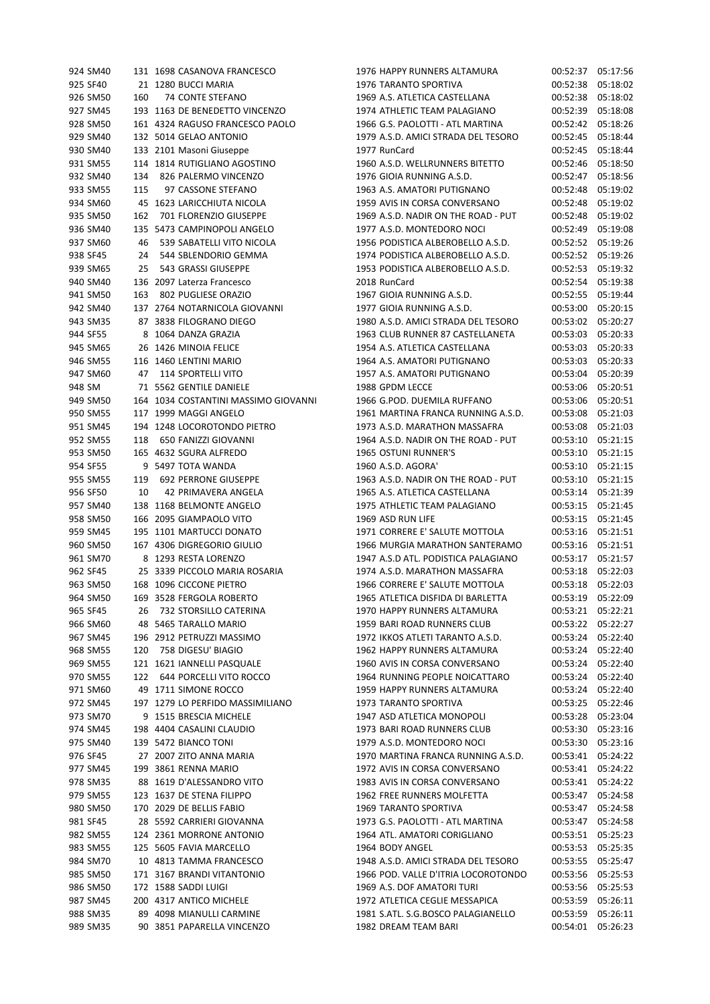| 924 SM40 |     | 131 1698 CASANOVA FRANCESCO          | 1976 HAPPY RUNNERS ALTAMURA         | 00:52:37          | 05:17:56 |
|----------|-----|--------------------------------------|-------------------------------------|-------------------|----------|
| 925 SF40 |     | 21 1280 BUCCI MARIA                  | 1976 TARANTO SPORTIVA               | 00:52:38          | 05:18:02 |
| 926 SM50 | 160 | 74 CONTE STEFANO                     | 1969 A.S. ATLETICA CASTELLANA       | 00:52:38          | 05:18:02 |
| 927 SM45 |     | 193 1163 DE BENEDETTO VINCENZO       | 1974 ATHLETIC TEAM PALAGIANO        | 00:52:39          | 05:18:08 |
| 928 SM50 |     | 161 4324 RAGUSO FRANCESCO PAOLO      | 1966 G.S. PAOLOTTI - ATL MARTINA    | 00:52:42          | 05:18:26 |
| 929 SM40 |     | 132 5014 GELAO ANTONIO               | 1979 A.S.D. AMICI STRADA DEL TESORO | 00:52:45          | 05:18:44 |
| 930 SM40 |     | 133 2101 Masoni Giuseppe             | 1977 RunCard                        | 00:52:45          | 05:18:44 |
|          |     | 114 1814 RUTIGLIANO AGOSTINO         | 1960 A.S.D. WELLRUNNERS BITETTO     |                   |          |
| 931 SM55 |     |                                      |                                     | 00:52:46          | 05:18:50 |
| 932 SM40 | 134 | 826 PALERMO VINCENZO                 | 1976 GIOIA RUNNING A.S.D.           | 00:52:47          | 05:18:56 |
| 933 SM55 | 115 | 97 CASSONE STEFANO                   | 1963 A.S. AMATORI PUTIGNANO         | 00:52:48          | 05:19:02 |
| 934 SM60 |     | 45 1623 LARICCHIUTA NICOLA           | 1959 AVIS IN CORSA CONVERSANO       | 00:52:48          | 05:19:02 |
| 935 SM50 | 162 | 701 FLORENZIO GIUSEPPE               | 1969 A.S.D. NADIR ON THE ROAD - PUT | 00:52:48          | 05:19:02 |
| 936 SM40 |     | 135 5473 CAMPINOPOLI ANGELO          | 1977 A.S.D. MONTEDORO NOCI          | 00:52:49          | 05:19:08 |
| 937 SM60 | 46  | 539 SABATELLI VITO NICOLA            | 1956 PODISTICA ALBEROBELLO A.S.D.   | 00:52:52          | 05:19:26 |
| 938 SF45 | 24  | 544 SBLENDORIO GEMMA                 | 1974 PODISTICA ALBEROBELLO A.S.D.   | 00:52:52          | 05:19:26 |
| 939 SM65 | 25  | 543 GRASSI GIUSEPPE                  | 1953 PODISTICA ALBEROBELLO A.S.D.   | 00:52:53          | 05:19:32 |
| 940 SM40 |     | 136 2097 Laterza Francesco           | 2018 RunCard                        | 00:52:54          | 05:19:38 |
| 941 SM50 | 163 | 802 PUGLIESE ORAZIO                  | 1967 GIOIA RUNNING A.S.D.           | 00:52:55          | 05:19:44 |
| 942 SM40 |     | 137 2764 NOTARNICOLA GIOVANNI        | 1977 GIOIA RUNNING A.S.D.           | 00:53:00          | 05:20:15 |
| 943 SM35 |     | 87 3838 FILOGRANO DIEGO              | 1980 A.S.D. AMICI STRADA DEL TESORO | 00:53:02          | 05:20:27 |
| 944 SF55 |     | 8 1064 DANZA GRAZIA                  | 1963 CLUB RUNNER 87 CASTELLANETA    | 00:53:03          | 05:20:33 |
| 945 SM65 |     | 26 1426 MINOIA FELICE                | 1954 A.S. ATLETICA CASTELLANA       | 00:53:03          | 05:20:33 |
| 946 SM55 |     | 116 1460 LENTINI MARIO               | 1964 A.S. AMATORI PUTIGNANO         | 00:53:03          | 05:20:33 |
| 947 SM60 | 47  | 114 SPORTELLI VITO                   | 1957 A.S. AMATORI PUTIGNANO         | 00:53:04          | 05:20:39 |
|          |     |                                      |                                     |                   |          |
| 948 SM   |     | 71 5562 GENTILE DANIELE              | 1988 GPDM LECCE                     | 00:53:06          | 05:20:51 |
| 949 SM50 |     | 164 1034 COSTANTINI MASSIMO GIOVANNI | 1966 G.POD. DUEMILA RUFFANO         | 00:53:06          | 05:20:51 |
| 950 SM55 |     | 117 1999 MAGGI ANGELO                | 1961 MARTINA FRANCA RUNNING A.S.D.  | 00:53:08          | 05:21:03 |
| 951 SM45 |     | 194 1248 LOCOROTONDO PIETRO          | 1973 A.S.D. MARATHON MASSAFRA       | 00:53:08          | 05:21:03 |
| 952 SM55 | 118 | 650 FANIZZI GIOVANNI                 | 1964 A.S.D. NADIR ON THE ROAD - PUT | 00:53:10          | 05:21:15 |
| 953 SM50 |     | 165 4632 SGURA ALFREDO               | 1965 OSTUNI RUNNER'S                | 00:53:10          | 05:21:15 |
| 954 SF55 |     | 9 5497 TOTA WANDA                    | 1960 A.S.D. AGORA'                  | 00:53:10          | 05:21:15 |
| 955 SM55 | 119 | 692 PERRONE GIUSEPPE                 | 1963 A.S.D. NADIR ON THE ROAD - PUT | 00:53:10          | 05:21:15 |
| 956 SF50 | 10  | 42 PRIMAVERA ANGELA                  | 1965 A.S. ATLETICA CASTELLANA       | 00:53:14          | 05:21:39 |
| 957 SM40 |     | 138 1168 BELMONTE ANGELO             | 1975 ATHLETIC TEAM PALAGIANO        | 00:53:15          | 05:21:45 |
| 958 SM50 |     | 166 2095 GIAMPAOLO VITO              | 1969 ASD RUN LIFE                   | 00:53:15          | 05:21:45 |
| 959 SM45 |     | 195 1101 MARTUCCI DONATO             | 1971 CORRERE E' SALUTE MOTTOLA      | 00:53:16          | 05:21:51 |
| 960 SM50 |     | 167 4306 DIGREGORIO GIULIO           | 1966 MURGIA MARATHON SANTERAMO      | 00:53:16          | 05:21:51 |
| 961 SM70 |     | 8 1293 RESTA LORENZO                 | 1947 A.S.D ATL. PODISTICA PALAGIANO | 00:53:17          | 05:21:57 |
| 962 SF45 |     | 25 3339 PICCOLO MARIA ROSARIA        | 1974 A.S.D. MARATHON MASSAFRA       | 00:53:18          | 05:22:03 |
| 963 SM50 |     | 168 1096 CICCONE PIETRO              | 1966 CORRERE E' SALUTE MOTTOLA      | 00:53:18          | 05:22:03 |
| 964 SM50 |     | 169 3528 FERGOLA ROBERTO             | 1965 ATLETICA DISFIDA DI BARLETTA   | 00:53:19          | 05:22:09 |
| 965 SF45 | 26  | 732 STORSILLO CATERINA               | 1970 HAPPY RUNNERS ALTAMURA         | 00:53:21 05:22:21 |          |
|          |     |                                      |                                     | 00:53:22 05:22:27 |          |
| 966 SM60 |     | 48 5465 TARALLO MARIO                | 1959 BARI ROAD RUNNERS CLUB         |                   |          |
| 967 SM45 |     | 196 2912 PETRUZZI MASSIMO            | 1972 IKKOS ATLETI TARANTO A.S.D.    | 00:53:24 05:22:40 |          |
| 968 SM55 | 120 | 758 DIGESU' BIAGIO                   | 1962 HAPPY RUNNERS ALTAMURA         | 00:53:24          | 05:22:40 |
| 969 SM55 |     | 121 1621 IANNELLI PASQUALE           | 1960 AVIS IN CORSA CONVERSANO       | 00:53:24          | 05:22:40 |
| 970 SM55 | 122 | 644 PORCELLI VITO ROCCO              | 1964 RUNNING PEOPLE NOICATTARO      | 00:53:24          | 05:22:40 |
| 971 SM60 |     | 49 1711 SIMONE ROCCO                 | 1959 HAPPY RUNNERS ALTAMURA         | 00:53:24          | 05:22:40 |
| 972 SM45 |     | 197 1279 LO PERFIDO MASSIMILIANO     | <b>1973 TARANTO SPORTIVA</b>        | 00:53:25          | 05:22:46 |
| 973 SM70 |     | 9 1515 BRESCIA MICHELE               | 1947 ASD ATLETICA MONOPOLI          | 00:53:28          | 05:23:04 |
| 974 SM45 |     | 198 4404 CASALINI CLAUDIO            | 1973 BARI ROAD RUNNERS CLUB         | 00:53:30          | 05:23:16 |
| 975 SM40 |     | 139 5472 BIANCO TONI                 | 1979 A.S.D. MONTEDORO NOCI          | 00:53:30          | 05:23:16 |
| 976 SF45 |     | 27 2007 ZITO ANNA MARIA              | 1970 MARTINA FRANCA RUNNING A.S.D.  | 00:53:41          | 05:24:22 |
| 977 SM45 |     | 199 3861 RENNA MARIO                 | 1972 AVIS IN CORSA CONVERSANO       | 00:53:41          | 05:24:22 |
| 978 SM35 |     | 88 1619 D'ALESSANDRO VITO            | 1983 AVIS IN CORSA CONVERSANO       | 00:53:41 05:24:22 |          |
| 979 SM55 |     | 123 1637 DE STENA FILIPPO            | 1962 FREE RUNNERS MOLFETTA          | 00:53:47 05:24:58 |          |
| 980 SM50 |     | 170 2029 DE BELLIS FABIO             | 1969 TARANTO SPORTIVA               | 00:53:47          | 05:24:58 |
| 981 SF45 |     | 28 5592 CARRIERI GIOVANNA            | 1973 G.S. PAOLOTTI - ATL MARTINA    | 00:53:47          | 05:24:58 |
| 982 SM55 |     | 124 2361 MORRONE ANTONIO             | 1964 ATL. AMATORI CORIGLIANO        | 00:53:51          | 05:25:23 |
| 983 SM55 |     | 125 5605 FAVIA MARCELLO              | 1964 BODY ANGEL                     | 00:53:53          | 05:25:35 |
| 984 SM70 |     | 10 4813 TAMMA FRANCESCO              | 1948 A.S.D. AMICI STRADA DEL TESORO | 00:53:55          | 05:25:47 |
|          |     |                                      |                                     |                   |          |
| 985 SM50 |     | 171 3167 BRANDI VITANTONIO           | 1966 POD. VALLE D'ITRIA LOCOROTONDO | 00:53:56 05:25:53 |          |
| 986 SM50 |     | 172 1588 SADDI LUIGI                 | 1969 A.S. DOF AMATORI TURI          | 00:53:56 05:25:53 |          |
| 987 SM45 |     | 200 4317 ANTICO MICHELE              | 1972 ATLETICA CEGLIE MESSAPICA      | 00:53:59          | 05:26:11 |
| 988 SM35 |     | 89 4098 MIANULLI CARMINE             | 1981 S.ATL. S.G.BOSCO PALAGIANELLO  | 00:53:59          | 05:26:11 |
| 989 SM35 |     | 90 3851 PAPARELLA VINCENZO           | 1982 DREAM TEAM BARI                | 00:54:01 05:26:23 |          |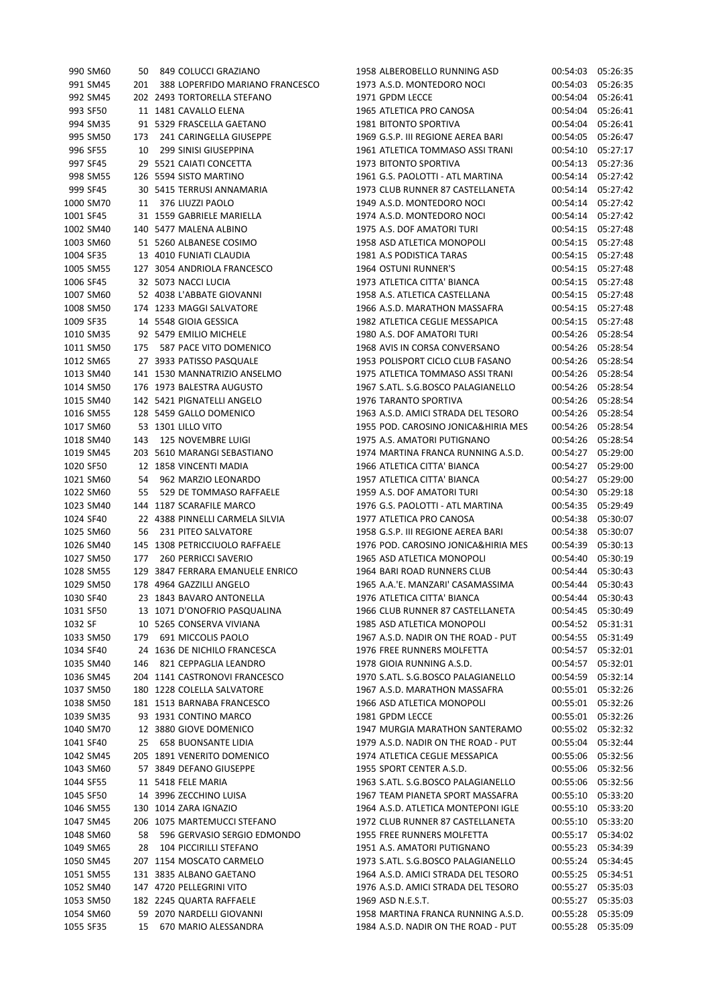| 990 SM60  | 50   | 849 COLUCCI GRAZIANO                |
|-----------|------|-------------------------------------|
| 991 SM45  |      | 201 388 LOPERFIDO MARIANO FRANCESCO |
| 992 SM45  |      | 202 2493 TORTORELLA STEFANO         |
| 993 SF50  |      | 11 1481 CAVALLO ELENA               |
| 994 SM35  |      | 91 5329 FRASCELLA GAETANO           |
| 995 SM50  | 173  | 241 CARINGELLA GIUSEPPE             |
| 996 SF55  |      | 10 299 SINISI GIUSEPPINA            |
| 997 SF45  |      | 29 5521 CAIATI CONCETTA             |
| 998 SM55  |      | 126 5594 SISTO MARTINO              |
| 999 SF45  | 30   | 5415 TERRUSI ANNAMARIA              |
| 1000 SM70 |      | 11 376 LIUZZI PAOLO                 |
| 1001 SF45 | 31   | 1559 GABRIELE MARIELLA              |
| 1002 SM40 |      | 140 5477 MALENA ALBINO              |
| 1003 SM60 |      | 51 5260 ALBANESE COSIMO             |
| 1004 SF35 |      | 13 4010 FUNIATI CLAUDIA             |
| 1005 SM55 |      | 127 3054 ANDRIOLA FRANCESCO         |
| 1006 SF45 |      | 32 5073 NACCI LUCIA                 |
| 1007 SM60 |      | 52 4038 L'ABBATE GIOVANNI           |
| 1008 SM50 |      | 174 1233 MAGGI SALVATORE            |
| 1009 SF35 |      | 14 5548 GIOIA GESSICA               |
| 1010 SM35 |      | 92 5479 EMILIO MICHELE              |
| 1011 SM50 | 175  | 587 PACE VITO DOMENICO              |
| 1012 SM65 |      | 27 3933 PATISSO PASQUALE            |
| 1013 SM40 |      | 141 1530 MANNATRIZIO ANSELMO        |
| 1014 SM50 |      | 176 1973 BALESTRA AUGUSTO           |
| 1015 SM40 |      | 142 5421 PIGNATELLI ANGELO          |
| 1016 SM55 |      | 128 5459 GALLO DOMENICO             |
| 1017 SM60 | - 53 | 1301 LILLO VITO                     |
| 1018 SM40 |      | 143 125 NOVEMBRE LUIGI              |
| 1019 SM45 |      | 203 5610 MARANGI SEBASTIANO         |
| 1020 SF50 | 12   | 1858 VINCENTI MADIA                 |
| 1021 SM60 | 54   | 962 MARZIO LEONARDO                 |
| 1022 SM60 | 55   | 529 DE TOMMASO RAFFAELE             |
| 1023 SM40 | 144  | 1187 SCARAFILE MARCO                |
| 1024 SF40 | 22   | 4388 PINNELLI CARMELA SILVIA        |
| 1025 SM60 | 56   | 231 PITEO SALVATORE                 |
| 1026 SM40 | 145  | 1308 PETRICCIUOLO RAFFAELE          |
| 1027 SM50 |      | 177 260 PERRICCI SAVERIO            |
| 1028 SM55 |      | 129 3847 FERRARA EMANUELE ENRICO    |
| 1029 SM50 |      | 178 4964 GAZZILLI ANGELO            |
| 1030 SF40 | 23   | 1843 BAVARO ANTONELLA               |
| 1031 SF50 | 13   | 1071 D'ONOFRIO PASQUALINA           |
| 1032 SF   | 10   | 5265 CONSERVA VIVIANA               |
| 1033 SM50 | 179  | 691 MICCOLIS PAOLO                  |
| 1034 SF40 | 24   | 1636 DE NICHILO FRANCESCA           |
| 1035 SM40 | 146  | 821 CEPPAGLIA LEANDRO               |
| 1036 SM45 |      | 204 1141 CASTRONOVI FRANCESCO       |
| 1037 SM50 | 180  | 1228 COLELLA SALVATORE              |
| 1038 SM50 | 181  | 1513 BARNABA FRANCESCO              |
| 1039 SM35 | 93   | 1931 CONTINO MARCO                  |
| 1040 SM70 | 12   | 3880 GIOVE DOMENICO                 |
| 1041 SF40 | 25   | <b>658 BUONSANTE LIDIA</b>          |
| 1042 SM45 | 205  | 1891 VENERITO DOMENICO              |
| 1043 SM60 | 57   | 3849 DEFANO GIUSEPPE                |
| 1044 SF55 | 11   | 5418 FELE MARIA                     |
| 1045 SF50 | 14   | 3996 ZECCHINO LUISA                 |
| 1046 SM55 | 130  | 1014 ZARA IGNAZIO                   |
| 1047 SM45 | 206  | 1075 MARTEMUCCI STEFANO             |
| 1048 SM60 | 58   | 596 GERVASIO SERGIO EDMONDO         |
| 1049 SM65 | 28   | 104 PICCIRILLI STEFANO              |
| 1050 SM45 |      | 207 1154 MOSCATO CARMELO            |
| 1051 SM55 | 131  | 3835 ALBANO GAETANO                 |
| 1052 SM40 | 147  | 4720 PELLEGRINI VITO                |
| 1053 SM50 | 182  | 2245 QUARTA RAFFAELE                |
| 1054 SM60 | 59   | 2070 NARDELLI GIOVANNI              |
| 1055 SF35 | 15   | 670 MARIO ALESSANDRA                |
|           |      |                                     |

| 990 SM60  | 50  | 849 COLUCCI GRAZIANO             | 1958 ALBEROBELLO RUNNING ASD        | 00:54:03 05:26:35 |                      |
|-----------|-----|----------------------------------|-------------------------------------|-------------------|----------------------|
| 991 SM45  | 201 | 388 LOPERFIDO MARIANO FRANCESCO  | 1973 A.S.D. MONTEDORO NOCI          | 00:54:03          | 05:26:35             |
| 992 SM45  |     | 202 2493 TORTORELLA STEFANO      | 1971 GPDM LECCE                     | 00:54:04          | 05:26:41             |
| 993 SF50  |     | 11 1481 CAVALLO ELENA            | 1965 ATLETICA PRO CANOSA            | 00:54:04          | 05:26:41             |
| 994 SM35  |     | 91 5329 FRASCELLA GAETANO        | 1981 BITONTO SPORTIVA               | 00:54:04          | 05:26:41             |
| 995 SM50  | 173 | 241 CARINGELLA GIUSEPPE          | 1969 G.S.P. III REGIONE AEREA BARI  | 00:54:05          | 05:26:47             |
| 996 SF55  | 10  | 299 SINISI GIUSEPPINA            | 1961 ATLETICA TOMMASO ASSI TRANI    | 00:54:10          | 05:27:17             |
| 997 SF45  |     | 29 5521 CAIATI CONCETTA          | 1973 BITONTO SPORTIVA               | 00:54:13          | 05:27:36             |
| 998 SM55  |     | 126 5594 SISTO MARTINO           | 1961 G.S. PAOLOTTI - ATL MARTINA    | 00:54:14          | 05:27:42             |
| 999 SF45  |     | 30 5415 TERRUSI ANNAMARIA        | 1973 CLUB RUNNER 87 CASTELLANETA    | 00:54:14          | 05:27:42             |
| 1000 SM70 | 11  | 376 LIUZZI PAOLO                 | 1949 A.S.D. MONTEDORO NOCI          | 00:54:14          | 05:27:42             |
| 1001 SF45 |     | 31 1559 GABRIELE MARIELLA        | 1974 A.S.D. MONTEDORO NOCI          | 00:54:14          | 05:27:42             |
| 1002 SM40 |     | 140 5477 MALENA ALBINO           | 1975 A.S. DOF AMATORI TURI          | 00:54:15          | 05:27:48             |
| 1003 SM60 |     | 51 5260 ALBANESE COSIMO          | 1958 ASD ATLETICA MONOPOLI          | 00:54:15          | 05:27:48             |
| 1004 SF35 |     | 13 4010 FUNIATI CLAUDIA          | 1981 A.S PODISTICA TARAS            | 00:54:15          | 05:27:48             |
| 1005 SM55 |     | 127 3054 ANDRIOLA FRANCESCO      | 1964 OSTUNI RUNNER'S                | 00:54:15          | 05:27:48             |
| 1006 SF45 |     | 32 5073 NACCI LUCIA              | 1973 ATLETICA CITTA' BIANCA         | 00:54:15          | 05:27:48             |
| 1007 SM60 |     | 52 4038 L'ABBATE GIOVANNI        | 1958 A.S. ATLETICA CASTELLANA       | 00:54:15          | 05:27:48             |
| 1008 SM50 |     | 174 1233 MAGGI SALVATORE         | 1966 A.S.D. MARATHON MASSAFRA       | 00:54:15          | 05:27:48             |
| 1009 SF35 |     | 14 5548 GIOIA GESSICA            | 1982 ATLETICA CEGLIE MESSAPICA      | 00:54:15          | 05:27:48             |
| 1010 SM35 |     | 92 5479 EMILIO MICHELE           | 1980 A.S. DOF AMATORI TURI          | 00:54:26          | 05:28:54             |
| 1011 SM50 | 175 | 587 PACE VITO DOMENICO           | 1968 AVIS IN CORSA CONVERSANO       | 00:54:26          | 05:28:54             |
| 1012 SM65 |     | 27 3933 PATISSO PASQUALE         | 1953 POLISPORT CICLO CLUB FASANO    | 00:54:26          | 05:28:54             |
| 1013 SM40 |     | 141 1530 MANNATRIZIO ANSELMO     | 1975 ATLETICA TOMMASO ASSI TRANI    | 00:54:26          | 05:28:54             |
| 1014 SM50 |     | 176 1973 BALESTRA AUGUSTO        | 1967 S.ATL. S.G.BOSCO PALAGIANELLO  | 00:54:26          | 05:28:54             |
| 1015 SM40 |     | 142 5421 PIGNATELLI ANGELO       | 1976 TARANTO SPORTIVA               | 00:54:26          | 05:28:54             |
| 1016 SM55 |     | 128 5459 GALLO DOMENICO          | 1963 A.S.D. AMICI STRADA DEL TESORO | 00:54:26          | 05:28:54             |
|           |     |                                  |                                     |                   |                      |
| 1017 SM60 |     | 53 1301 LILLO VITO               | 1955 POD. CAROSINO JONICA&HIRIA MES | 00:54:26          | 05:28:54<br>05:28:54 |
| 1018 SM40 | 143 | <b>125 NOVEMBRE LUIGI</b>        | 1975 A.S. AMATORI PUTIGNANO         | 00:54:26          | 05:29:00             |
| 1019 SM45 |     | 203 5610 MARANGI SEBASTIANO      | 1974 MARTINA FRANCA RUNNING A.S.D.  | 00:54:27          |                      |
| 1020 SF50 |     | 12 1858 VINCENTI MADIA           | 1966 ATLETICA CITTA' BIANCA         | 00:54:27          | 05:29:00             |
| 1021 SM60 | 54  | 962 MARZIO LEONARDO              | 1957 ATLETICA CITTA' BIANCA         | 00:54:27          | 05:29:00             |
| 1022 SM60 | 55  | 529 DE TOMMASO RAFFAELE          | 1959 A.S. DOF AMATORI TURI          | 00:54:30          | 05:29:18             |
| 1023 SM40 |     | 144 1187 SCARAFILE MARCO         | 1976 G.S. PAOLOTTI - ATL MARTINA    | 00:54:35          | 05:29:49             |
| 1024 SF40 |     | 22 4388 PINNELLI CARMELA SILVIA  | 1977 ATLETICA PRO CANOSA            | 00:54:38          | 05:30:07             |
| 1025 SM60 | 56  | 231 PITEO SALVATORE              | 1958 G.S.P. III REGIONE AEREA BARI  | 00:54:38          | 05:30:07             |
| 1026 SM40 |     | 145 1308 PETRICCIUOLO RAFFAELE   | 1976 POD. CAROSINO JONICA&HIRIA MES | 00:54:39          | 05:30:13             |
| 1027 SM50 | 177 | <b>260 PERRICCI SAVERIO</b>      | 1965 ASD ATLETICA MONOPOLI          | 00:54:40          | 05:30:19             |
| 1028 SM55 |     | 129 3847 FERRARA EMANUELE ENRICO | 1964 BARI ROAD RUNNERS CLUB         | 00:54:44          | 05:30:43             |
| 1029 SM50 |     | 178 4964 GAZZILLI ANGELO         | 1965 A.A.'E. MANZARI' CASAMASSIMA   | 00:54:44 05:30:43 |                      |
| 1030 SF40 |     | 23 1843 BAVARO ANTONELLA         | 1976 ATLETICA CITTA' BIANCA         | 00:54:44 05:30:43 |                      |
| 1031 SF50 |     | 13 1071 D'ONOFRIO PASQUALINA     | 1966 CLUB RUNNER 87 CASTELLANETA    | 00:54:45 05:30:49 |                      |
| 1032 SF   |     | 10 5265 CONSERVA VIVIANA         | 1985 ASD ATLETICA MONOPOLI          | 00:54:52          | 05:31:31             |
| 1033 SM50 | 179 | 691 MICCOLIS PAOLO               | 1967 A.S.D. NADIR ON THE ROAD - PUT | 00:54:55          | 05:31:49             |
| 1034 SF40 |     | 24 1636 DE NICHILO FRANCESCA     | 1976 FREE RUNNERS MOLFETTA          | 00:54:57          | 05:32:01             |
| 1035 SM40 | 146 | 821 CEPPAGLIA LEANDRO            | 1978 GIOIA RUNNING A.S.D.           | 00:54:57          | 05:32:01             |
| 1036 SM45 |     | 204 1141 CASTRONOVI FRANCESCO    | 1970 S.ATL. S.G.BOSCO PALAGIANELLO  | 00:54:59          | 05:32:14             |
| 1037 SM50 |     | 180 1228 COLELLA SALVATORE       | 1967 A.S.D. MARATHON MASSAFRA       | 00:55:01          | 05:32:26             |
| 1038 SM50 |     | 181 1513 BARNABA FRANCESCO       | 1966 ASD ATLETICA MONOPOLI          | 00:55:01          | 05:32:26             |
| 1039 SM35 |     | 93 1931 CONTINO MARCO            | 1981 GPDM LECCE                     | 00:55:01          | 05:32:26             |
| 1040 SM70 |     | 12 3880 GIOVE DOMENICO           | 1947 MURGIA MARATHON SANTERAMO      | 00:55:02          | 05:32:32             |
| 1041 SF40 | 25  | <b>658 BUONSANTE LIDIA</b>       | 1979 A.S.D. NADIR ON THE ROAD - PUT | 00:55:04          | 05:32:44             |
| 1042 SM45 |     | 205 1891 VENERITO DOMENICO       | 1974 ATLETICA CEGLIE MESSAPICA      | 00:55:06          | 05:32:56             |
| 1043 SM60 |     | 57 3849 DEFANO GIUSEPPE          | 1955 SPORT CENTER A.S.D.            | 00:55:06          | 05:32:56             |
| 1044 SF55 |     | 11 5418 FELE MARIA               | 1963 S.ATL. S.G.BOSCO PALAGIANELLO  | 00:55:06          | 05:32:56             |
| 1045 SF50 |     | 14 3996 ZECCHINO LUISA           | 1967 TEAM PIANETA SPORT MASSAFRA    | 00:55:10          | 05:33:20             |
| 1046 SM55 |     | 130 1014 ZARA IGNAZIO            | 1964 A.S.D. ATLETICA MONTEPONI IGLE | 00:55:10          | 05:33:20             |
| 1047 SM45 |     | 206 1075 MARTEMUCCI STEFANO      | 1972 CLUB RUNNER 87 CASTELLANETA    | 00:55:10          | 05:33:20             |
| 1048 SM60 | 58  | 596 GERVASIO SERGIO EDMONDO      | 1955 FREE RUNNERS MOLFETTA          | 00:55:17          | 05:34:02             |
| 1049 SM65 | 28  | 104 PICCIRILLI STEFANO           | 1951 A.S. AMATORI PUTIGNANO         | 00:55:23          | 05:34:39             |
| 1050 SM45 |     | 207 1154 MOSCATO CARMELO         | 1973 S.ATL. S.G.BOSCO PALAGIANELLO  | 00:55:24          | 05:34:45             |
| 1051 SM55 |     | 131 3835 ALBANO GAETANO          | 1964 A.S.D. AMICI STRADA DEL TESORO | 00:55:25 05:34:51 |                      |
| 1052 SM40 |     | 147 4720 PELLEGRINI VITO         | 1976 A.S.D. AMICI STRADA DEL TESORO | 00:55:27          | 05:35:03             |
| 1053 SM50 |     | 182 2245 QUARTA RAFFAELE         | 1969 ASD N.E.S.T.                   | 00:55:27          | 05:35:03             |
| 1054 SM60 |     | 59 2070 NARDELLI GIOVANNI        | 1958 MARTINA FRANCA RUNNING A.S.D.  | 00:55:28          | 05:35:09             |
| 1055 SF35 | 15  | 670 MARIO ALESSANDRA             | 1984 A.S.D. NADIR ON THE ROAD - PUT | 00:55:28          | 05:35:09             |
|           |     |                                  |                                     |                   |                      |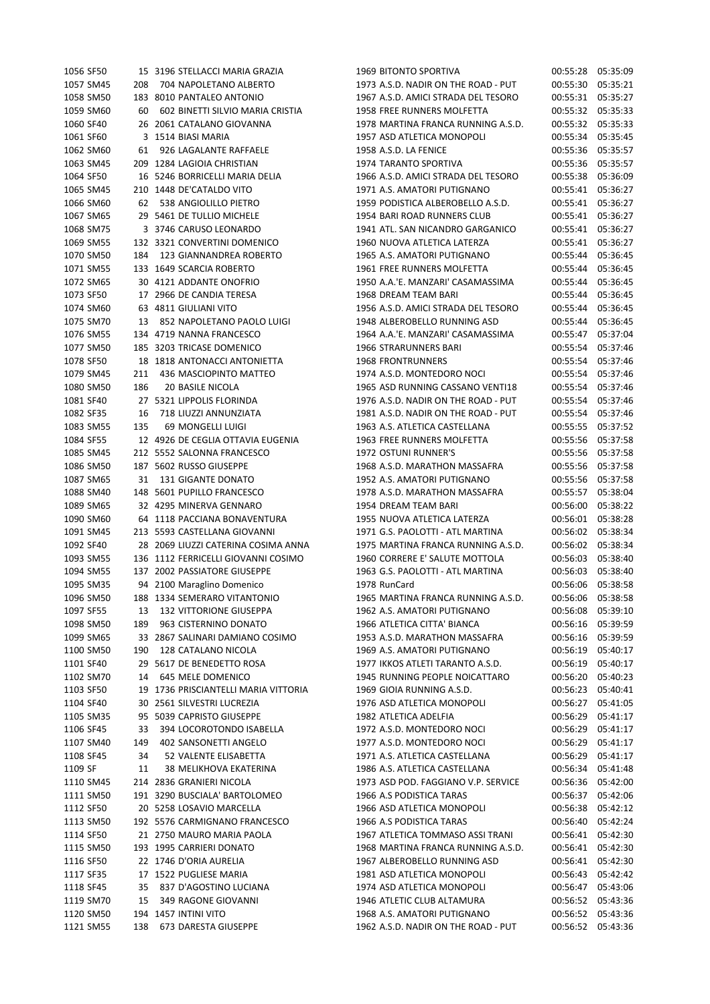| 1056 SF50 |     | 15 3196 STELLACCI MARIA GRAZIA       | 1969 BITONTO SPORTIVA               |                   | 00:55:28 05:35:09 |
|-----------|-----|--------------------------------------|-------------------------------------|-------------------|-------------------|
| 1057 SM45 | 208 | 704 NAPOLETANO ALBERTO               | 1973 A.S.D. NADIR ON THE ROAD - PUT | 00:55:30          | 05:35:21          |
| 1058 SM50 |     | 183 8010 PANTALEO ANTONIO            | 1967 A.S.D. AMICI STRADA DEL TESORO |                   | 00:55:31 05:35:27 |
| 1059 SM60 | 60  | 602 BINETTI SILVIO MARIA CRISTIA     | 1958 FREE RUNNERS MOLFETTA          |                   | 00:55:32 05:35:33 |
| 1060 SF40 |     | 26 2061 CATALANO GIOVANNA            | 1978 MARTINA FRANCA RUNNING A.S.D.  |                   | 00:55:32 05:35:33 |
| 1061 SF60 |     | 3 1514 BIASI MARIA                   | 1957 ASD ATLETICA MONOPOLI          |                   | 00:55:34 05:35:45 |
| 1062 SM60 | 61  | 926 LAGALANTE RAFFAELE               | 1958 A.S.D. LA FENICE               |                   | 00:55:36 05:35:57 |
| 1063 SM45 |     | 209 1284 LAGIOIA CHRISTIAN           | 1974 TARANTO SPORTIVA               | 00:55:36          | 05:35:57          |
| 1064 SF50 |     | 16 5246 BORRICELLI MARIA DELIA       | 1966 A.S.D. AMICI STRADA DEL TESORO |                   | 00:55:38 05:36:09 |
| 1065 SM45 |     | 210 1448 DE'CATALDO VITO             | 1971 A.S. AMATORI PUTIGNANO         |                   | 00:55:41 05:36:27 |
| 1066 SM60 | 62  | 538 ANGIOLILLO PIETRO                | 1959 PODISTICA ALBEROBELLO A.S.D.   |                   | 00:55:41 05:36:27 |
| 1067 SM65 |     | 29 5461 DE TULLIO MICHELE            | 1954 BARI ROAD RUNNERS CLUB         |                   | 00:55:41 05:36:27 |
| 1068 SM75 |     | 3 3746 CARUSO LEONARDO               | 1941 ATL. SAN NICANDRO GARGANICO    |                   | 00:55:41 05:36:27 |
| 1069 SM55 |     | 132 3321 CONVERTINI DOMENICO         | 1960 NUOVA ATLETICA LATERZA         |                   | 00:55:41 05:36:27 |
| 1070 SM50 | 184 | 123 GIANNANDREA ROBERTO              | 1965 A.S. AMATORI PUTIGNANO         | 00:55:44          | 05:36:45          |
| 1071 SM55 |     | 133 1649 SCARCIA ROBERTO             | 1961 FREE RUNNERS MOLFETTA          | 00:55:44          | 05:36:45          |
| 1072 SM65 |     | 30 4121 ADDANTE ONOFRIO              | 1950 A.A.'E. MANZARI' CASAMASSIMA   | 00:55:44          | 05:36:45          |
| 1073 SF50 |     | 17 2966 DE CANDIA TERESA             | 1968 DREAM TEAM BARI                | 00:55:44          | 05:36:45          |
| 1074 SM60 |     | 63 4811 GIULIANI VITO                | 1956 A.S.D. AMICI STRADA DEL TESORO | 00:55:44          | 05:36:45          |
| 1075 SM70 | 13  | 852 NAPOLETANO PAOLO LUIGI           | 1948 ALBEROBELLO RUNNING ASD        | 00:55:44          | 05:36:45          |
| 1076 SM55 |     | 134 4719 NANNA FRANCESCO             | 1964 A.A.'E. MANZARI' CASAMASSIMA   | 00:55:47          | 05:37:04          |
| 1077 SM50 |     | 185 3203 TRICASE DOMENICO            | <b>1966 STRARUNNERS BARI</b>        | 00:55:54          | 05:37:46          |
| 1078 SF50 |     | 18 1818 ANTONACCI ANTONIETTA         | <b>1968 FRONTRUNNERS</b>            |                   | 00:55:54 05:37:46 |
| 1079 SM45 | 211 | 436 MASCIOPINTO MATTEO               | 1974 A.S.D. MONTEDORO NOCI          | 00:55:54 05:37:46 |                   |
| 1080 SM50 | 186 | 20 BASILE NICOLA                     | 1965 ASD RUNNING CASSANO VENTI18    | 00:55:54 05:37:46 |                   |
| 1081 SF40 |     | 27 5321 LIPPOLIS FLORINDA            | 1976 A.S.D. NADIR ON THE ROAD - PUT |                   | 00:55:54 05:37:46 |
| 1082 SF35 | 16  | 718 LIUZZI ANNUNZIATA                | 1981 A.S.D. NADIR ON THE ROAD - PUT | 00:55:54          | 05:37:46          |
| 1083 SM55 | 135 | 69 MONGELLI LUIGI                    | 1963 A.S. ATLETICA CASTELLANA       | 00:55:55          | 05:37:52          |
| 1084 SF55 |     | 12 4926 DE CEGLIA OTTAVIA EUGENIA    | 1963 FREE RUNNERS MOLFETTA          | 00:55:56          | 05:37:58          |
| 1085 SM45 |     | 212 5552 SALONNA FRANCESCO           | 1972 OSTUNI RUNNER'S                | 00:55:56          | 05:37:58          |
|           |     |                                      |                                     |                   |                   |
| 1086 SM50 |     | 187 5602 RUSSO GIUSEPPE              | 1968 A.S.D. MARATHON MASSAFRA       | 00:55:56          | 05:37:58          |
| 1087 SM65 | 31  | 131 GIGANTE DONATO                   | 1952 A.S. AMATORI PUTIGNANO         | 00:55:56          | 05:37:58          |
| 1088 SM40 |     | 148 5601 PUPILLO FRANCESCO           | 1978 A.S.D. MARATHON MASSAFRA       | 00:55:57          | 05:38:04          |
| 1089 SM65 |     | 32 4295 MINERVA GENNARO              | 1954 DREAM TEAM BARI                | 00:56:00          | 05:38:22          |
| 1090 SM60 |     | 64 1118 PACCIANA BONAVENTURA         | 1955 NUOVA ATLETICA LATERZA         | 00:56:01          | 05:38:28          |
| 1091 SM45 |     | 213 5593 CASTELLANA GIOVANNI         | 1971 G.S. PAOLOTTI - ATL MARTINA    | 00:56:02          | 05:38:34          |
| 1092 SF40 |     | 28 2069 LIUZZI CATERINA COSIMA ANNA  | 1975 MARTINA FRANCA RUNNING A.S.D.  | 00:56:02 05:38:34 |                   |
| 1093 SM55 |     | 136 1112 FERRICELLI GIOVANNI COSIMO  | 1960 CORRERE E' SALUTE MOTTOLA      |                   | 00:56:03 05:38:40 |
| 1094 SM55 |     | 137 2002 PASSIATORE GIUSEPPE         | 1963 G.S. PAOLOTTI - ATL MARTINA    | 00:56:03          | 05:38:40          |
| 1095 SM35 |     | 94 2100 Maraglino Domenico           | 1978 RunCard                        | 00:56:06 05:38:58 |                   |
| 1096 SM50 |     | 188 1334 SEMERARO VITANTONIO         | 1965 MARTINA FRANCA RUNNING A.S.D.  |                   | 00:56:06 05:38:58 |
| 1097 SF55 | 13  | <b>132 VITTORIONE GIUSEPPA</b>       | 1962 A.S. AMATORI PUTIGNANO         | 00:56:08 05:39:10 |                   |
| 1098 SM50 | 189 | 963 CISTERNINO DONATO                | 1966 ATLETICA CITTA' BIANCA         |                   | 00:56:16 05:39:59 |
| 1099 SM65 |     | 33 2867 SALINARI DAMIANO COSIMO      | 1953 A.S.D. MARATHON MASSAFRA       |                   | 00:56:16 05:39:59 |
| 1100 SM50 | 190 | 128 CATALANO NICOLA                  | 1969 A.S. AMATORI PUTIGNANO         | 00:56:19          | 05:40:17          |
| 1101 SF40 |     | 29 5617 DE BENEDETTO ROSA            | 1977 IKKOS ATLETI TARANTO A.S.D.    | 00:56:19          | 05:40:17          |
| 1102 SM70 | 14  | 645 MELE DOMENICO                    | 1945 RUNNING PEOPLE NOICATTARO      | 00:56:20          | 05:40:23          |
| 1103 SF50 |     | 19 1736 PRISCIANTELLI MARIA VITTORIA | 1969 GIOIA RUNNING A.S.D.           | 00:56:23          | 05:40:41          |
| 1104 SF40 |     | 30 2561 SILVESTRI LUCREZIA           | 1976 ASD ATLETICA MONOPOLI          | 00:56:27          | 05:41:05          |
| 1105 SM35 |     | 95 5039 CAPRISTO GIUSEPPE            | 1982 ATLETICA ADELFIA               | 00:56:29          | 05:41:17          |
| 1106 SF45 | 33  | 394 LOCOROTONDO ISABELLA             | 1972 A.S.D. MONTEDORO NOCI          | 00:56:29          | 05:41:17          |
| 1107 SM40 | 149 | 402 SANSONETTI ANGELO                | 1977 A.S.D. MONTEDORO NOCI          | 00:56:29          | 05:41:17          |
| 1108 SF45 | 34  | 52 VALENTE ELISABETTA                | 1971 A.S. ATLETICA CASTELLANA       | 00:56:29          | 05:41:17          |
| 1109 SF   | 11  | 38 MELIKHOVA EKATERINA               | 1986 A.S. ATLETICA CASTELLANA       | 00:56:34          | 05:41:48          |
| 1110 SM45 |     | 214 2836 GRANIERI NICOLA             | 1973 ASD POD. FAGGIANO V.P. SERVICE | 00:56:36 05:42:00 |                   |
| 1111 SM50 |     | 191 3290 BUSCIALA' BARTOLOMEO        | 1966 A.S PODISTICA TARAS            |                   | 00:56:37 05:42:06 |
| 1112 SF50 |     | 20 5258 LOSAVIO MARCELLA             | 1966 ASD ATLETICA MONOPOLI          | 00:56:38          | 05:42:12          |
|           |     |                                      |                                     |                   |                   |
| 1113 SM50 |     | 192 5576 CARMIGNANO FRANCESCO        | 1966 A.S PODISTICA TARAS            | 00:56:40          | 05:42:24          |
| 1114 SF50 |     | 21 2750 MAURO MARIA PAOLA            | 1967 ATLETICA TOMMASO ASSI TRANI    |                   | 00:56:41 05:42:30 |
| 1115 SM50 |     | 193 1995 CARRIERI DONATO             | 1968 MARTINA FRANCA RUNNING A.S.D.  | 00:56:41          | 05:42:30          |
| 1116 SF50 |     | 22 1746 D'ORIA AURELIA               | 1967 ALBEROBELLO RUNNING ASD        | 00:56:41          | 05:42:30          |
| 1117 SF35 |     | 17 1522 PUGLIESE MARIA               | 1981 ASD ATLETICA MONOPOLI          | 00:56:43 05:42:42 |                   |
| 1118 SF45 | 35  | 837 D'AGOSTINO LUCIANA               | 1974 ASD ATLETICA MONOPOLI          | 00:56:47          | 05:43:06          |
| 1119 SM70 | 15  | 349 RAGONE GIOVANNI                  | 1946 ATLETIC CLUB ALTAMURA          | 00:56:52          | 05:43:36          |
| 1120 SM50 |     | 194 1457 INTINI VITO                 | 1968 A.S. AMATORI PUTIGNANO         | 00:56:52          | 05:43:36          |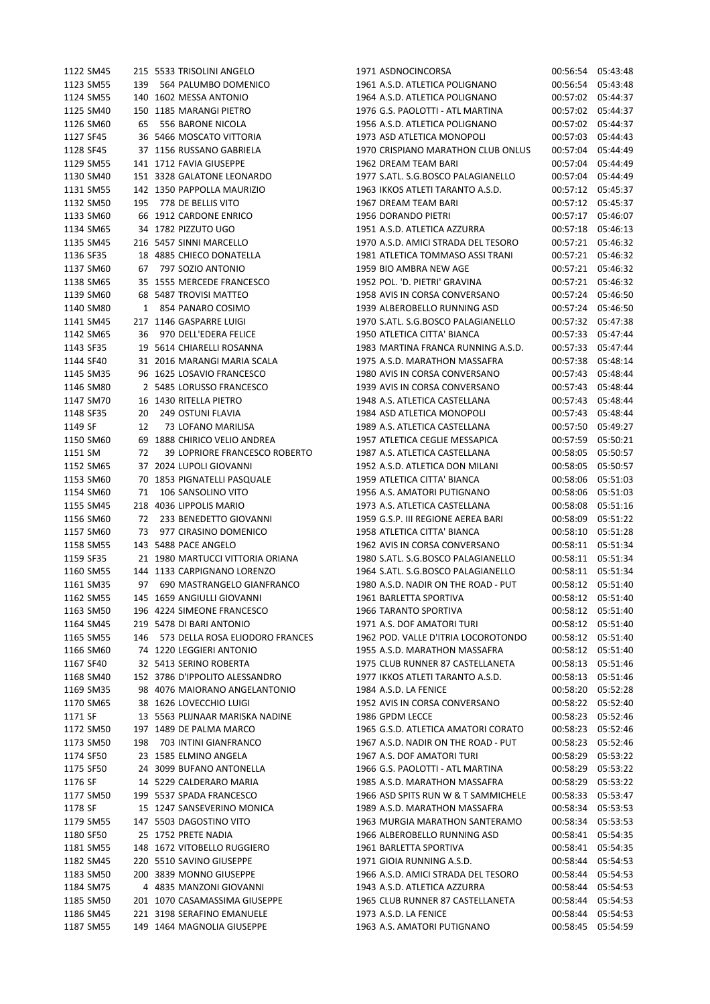| 1122 SM45              |     | 215 5533 TRISOLINI ANGELO                        | 1971 ASDNOCINCORSA                  | 00:56:54          | 05:43:48          |
|------------------------|-----|--------------------------------------------------|-------------------------------------|-------------------|-------------------|
| 1123 SM55              | 139 | 564 PALUMBO DOMENICO                             | 1961 A.S.D. ATLETICA POLIGNANO      | 00:56:54          | 05:43:48          |
| 1124 SM55              |     | 140 1602 MESSA ANTONIO                           | 1964 A.S.D. ATLETICA POLIGNANO      | 00:57:02          | 05:44:37          |
| 1125 SM40              |     | 150 1185 MARANGI PIETRO                          | 1976 G.S. PAOLOTTI - ATL MARTINA    | 00:57:02          | 05:44:37          |
| 1126 SM60              | 65  | 556 BARONE NICOLA                                | 1956 A.S.D. ATLETICA POLIGNANO      |                   | 00:57:02 05:44:37 |
| 1127 SF45              |     | 36 5466 MOSCATO VITTORIA                         | 1973 ASD ATLETICA MONOPOLI          | 00:57:03          | 05:44:43          |
| 1128 SF45              |     | 37 1156 RUSSANO GABRIELA                         | 1970 CRISPIANO MARATHON CLUB ONLUS  | 00:57:04          | 05:44:49          |
| 1129 SM55              |     | 141 1712 FAVIA GIUSEPPE                          | 1962 DREAM TEAM BARI                | 00:57:04          | 05:44:49          |
| 1130 SM40              |     | 151 3328 GALATONE LEONARDO                       | 1977 S.ATL. S.G.BOSCO PALAGIANELLO  | 00:57:04          | 05:44:49          |
| 1131 SM55              |     | 142 1350 PAPPOLLA MAURIZIO                       | 1963 IKKOS ATLETI TARANTO A.S.D.    | 00:57:12          | 05:45:37          |
| 1132 SM50              | 195 | 778 DE BELLIS VITO                               | 1967 DREAM TEAM BARI                | 00:57:12          | 05:45:37          |
| 1133 SM60              |     | 66 1912 CARDONE ENRICO                           | 1956 DORANDO PIETRI                 | 00:57:17          | 05:46:07          |
| 1134 SM65              |     | 34 1782 PIZZUTO UGO                              | 1951 A.S.D. ATLETICA AZZURRA        | 00:57:18          | 05:46:13          |
| 1135 SM45              |     | 216 5457 SINNI MARCELLO                          | 1970 A.S.D. AMICI STRADA DEL TESORO | 00:57:21          | 05:46:32          |
| 1136 SF35              |     | 18 4885 CHIECO DONATELLA                         | 1981 ATLETICA TOMMASO ASSI TRANI    | 00:57:21          | 05:46:32          |
| 1137 SM60              | 67  | 797 SOZIO ANTONIO                                | 1959 BIO AMBRA NEW AGE              | 00:57:21          | 05:46:32          |
| 1138 SM65              |     | 35 1555 MERCEDE FRANCESCO                        | 1952 POL. 'D. PIETRI' GRAVINA       | 00:57:21          | 05:46:32          |
| 1139 SM60              |     | 68 5487 TROVISI MATTEO                           | 1958 AVIS IN CORSA CONVERSANO       | 00:57:24          | 05:46:50          |
| 1140 SM80              | 1   | 854 PANARO COSIMO                                | 1939 ALBEROBELLO RUNNING ASD        | 00:57:24          | 05:46:50          |
|                        |     |                                                  |                                     |                   |                   |
| 1141 SM45<br>1142 SM65 |     | 217 1146 GASPARRE LUIGI<br>970 DELL'EDERA FELICE | 1970 S.ATL. S.G.BOSCO PALAGIANELLO  | 00:57:32          | 05:47:38          |
|                        | 36  |                                                  | 1950 ATLETICA CITTA' BIANCA         | 00:57:33          | 05:47:44          |
| 1143 SF35              |     | 19 5614 CHIARELLI ROSANNA                        | 1983 MARTINA FRANCA RUNNING A.S.D.  | 00:57:33          | 05:47:44          |
| 1144 SF40              |     | 31 2016 MARANGI MARIA SCALA                      | 1975 A.S.D. MARATHON MASSAFRA       | 00:57:38          | 05:48:14          |
| 1145 SM35              |     | 96 1625 LOSAVIO FRANCESCO                        | 1980 AVIS IN CORSA CONVERSANO       | 00:57:43 05:48:44 |                   |
| 1146 SM80              |     | 2 5485 LORUSSO FRANCESCO                         | 1939 AVIS IN CORSA CONVERSANO       | 00:57:43          | 05:48:44          |
| 1147 SM70              |     | 16 1430 RITELLA PIETRO                           | 1948 A.S. ATLETICA CASTELLANA       | 00:57:43          | 05:48:44          |
| 1148 SF35              | 20  | 249 OSTUNI FLAVIA                                | 1984 ASD ATLETICA MONOPOLI          | 00:57:43          | 05:48:44          |
| 1149 SF                | 12  | 73 LOFANO MARILISA                               | 1989 A.S. ATLETICA CASTELLANA       | 00:57:50          | 05:49:27          |
| 1150 SM60              |     | 69 1888 CHIRICO VELIO ANDREA                     | 1957 ATLETICA CEGLIE MESSAPICA      | 00:57:59          | 05:50:21          |
| 1151 SM                | 72  | 39 LOPRIORE FRANCESCO ROBERTO                    | 1987 A.S. ATLETICA CASTELLANA       | 00:58:05          | 05:50:57          |
| 1152 SM65              |     | 37 2024 LUPOLI GIOVANNI                          | 1952 A.S.D. ATLETICA DON MILANI     | 00:58:05          | 05:50:57          |
| 1153 SM60              |     | 70 1853 PIGNATELLI PASQUALE                      | 1959 ATLETICA CITTA' BIANCA         | 00:58:06          | 05:51:03          |
| 1154 SM60              | 71  | 106 SANSOLINO VITO                               | 1956 A.S. AMATORI PUTIGNANO         | 00:58:06          | 05:51:03          |
| 1155 SM45              |     | 218 4036 LIPPOLIS MARIO                          | 1973 A.S. ATLETICA CASTELLANA       | 00:58:08          | 05:51:16          |
| 1156 SM60              | 72  | 233 BENEDETTO GIOVANNI                           | 1959 G.S.P. III REGIONE AEREA BARI  | 00:58:09          | 05:51:22          |
| 1157 SM60              | 73  | 977 CIRASINO DOMENICO                            | 1958 ATLETICA CITTA' BIANCA         | 00:58:10          | 05:51:28          |
| 1158 SM55              |     | 143 5488 PACE ANGELO                             | 1962 AVIS IN CORSA CONVERSANO       |                   | 00:58:11 05:51:34 |
| 1159 SF35              |     | 21 1980 MARTUCCI VITTORIA ORIANA                 | 1980 S.ATL. S.G.BOSCO PALAGIANELLO  |                   | 00:58:11 05:51:34 |
| 1160 SM55              |     | 144 1133 CARPIGNANO LORENZO                      | 1964 S.ATL. S.G.BOSCO PALAGIANELLO  | 00:58:11          | 05:51:34          |
| 1161 SM35              | 97  | 690 MASTRANGELO GIANFRANCO                       | 1980 A.S.D. NADIR ON THE ROAD - PUT | 00:58:12          | 05:51:40          |
| 1162 SM55              |     | 145 1659 ANGIULLI GIOVANNI                       | 1961 BARLETTA SPORTIVA              | 00:58:12          | 05:51:40          |
| 1163 SM50              |     | 196 4224 SIMEONE FRANCESCO                       | 1966 TARANTO SPORTIVA               | 00:58:12 05:51:40 |                   |
| 1164 SM45              |     | 219 5478 DI BARI ANTONIO                         | 1971 A.S. DOF AMATORI TURI          | 00:58:12 05:51:40 |                   |
| 1165 SM55              | 146 | 573 DELLA ROSA ELIODORO FRANCES                  | 1962 POD. VALLE D'ITRIA LOCOROTONDO |                   | 00:58:12 05:51:40 |
| 1166 SM60              |     | 74 1220 LEGGIERI ANTONIO                         | 1955 A.S.D. MARATHON MASSAFRA       |                   | 00:58:12 05:51:40 |
| 1167 SF40              |     | 32 5413 SERINO ROBERTA                           | 1975 CLUB RUNNER 87 CASTELLANETA    | 00:58:13          | 05:51:46          |
| 1168 SM40              |     | 152 3786 D'IPPOLITO ALESSANDRO                   | 1977 IKKOS ATLETI TARANTO A.S.D.    | 00:58:13          | 05:51:46          |
| 1169 SM35              |     | 98 4076 MAIORANO ANGELANTONIO                    | 1984 A.S.D. LA FENICE               | 00:58:20          | 05:52:28          |
|                        |     |                                                  |                                     |                   | 00:58:22 05:52:40 |
| 1170 SM65              |     | 38 1626 LOVECCHIO LUIGI                          | 1952 AVIS IN CORSA CONVERSANO       |                   |                   |
| 1171 SF                |     | 13 5563 PLIJNAAR MARISKA NADINE                  | 1986 GPDM LECCE                     |                   | 00:58:23 05:52:46 |
| 1172 SM50              |     | 197 1489 DE PALMA MARCO                          | 1965 G.S.D. ATLETICA AMATORI CORATO |                   | 00:58:23 05:52:46 |
| 1173 SM50              | 198 | 703 INTINI GIANFRANCO                            | 1967 A.S.D. NADIR ON THE ROAD - PUT | 00:58:23          | 05:52:46          |
| 1174 SF50              |     | 23 1585 ELMINO ANGELA                            | 1967 A.S. DOF AMATORI TURI          | 00:58:29          | 05:53:22          |
| 1175 SF50              |     | 24 3099 BUFANO ANTONELLA                         | 1966 G.S. PAOLOTTI - ATL MARTINA    | 00:58:29          | 05:53:22          |
| 1176 SF                |     | 14 5229 CALDERARO MARIA                          | 1985 A.S.D. MARATHON MASSAFRA       |                   | 00:58:29 05:53:22 |
| 1177 SM50              |     | 199 5537 SPADA FRANCESCO                         | 1966 ASD SPITS RUN W & T SAMMICHELE |                   | 00:58:33 05:53:47 |
| 1178 SF                |     | 15 1247 SANSEVERINO MONICA                       | 1989 A.S.D. MARATHON MASSAFRA       |                   | 00:58:34 05:53:53 |
| 1179 SM55              |     | 147 5503 DAGOSTINO VITO                          | 1963 MURGIA MARATHON SANTERAMO      | 00:58:34          | 05:53:53          |
| 1180 SF50              |     | 25 1752 PRETE NADIA                              | 1966 ALBEROBELLO RUNNING ASD        |                   | 00:58:41 05:54:35 |
| 1181 SM55              |     | 148 1672 VITOBELLO RUGGIERO                      | 1961 BARLETTA SPORTIVA              | 00:58:41          | 05:54:35          |
| 1182 SM45              |     | 220 5510 SAVINO GIUSEPPE                         | 1971 GIOIA RUNNING A.S.D.           | 00:58:44          | 05:54:53          |
| 1183 SM50              |     | 200 3839 MONNO GIUSEPPE                          | 1966 A.S.D. AMICI STRADA DEL TESORO |                   | 00:58:44 05:54:53 |
| 1184 SM75              |     | 4 4835 MANZONI GIOVANNI                          | 1943 A.S.D. ATLETICA AZZURRA        | 00:58:44          | 05:54:53          |
| 1185 SM50              |     | 201 1070 CASAMASSIMA GIUSEPPE                    | 1965 CLUB RUNNER 87 CASTELLANETA    | 00:58:44          | 05:54:53          |
| 1186 SM45              |     | 221 3198 SERAFINO EMANUELE                       | 1973 A.S.D. LA FENICE               | 00:58:44          | 05:54:53          |
| 1187 SM55              |     | 149 1464 MAGNOLIA GIUSEPPE                       | 1963 A.S. AMATORI PUTIGNANO         |                   | 00:58:45 05:54:59 |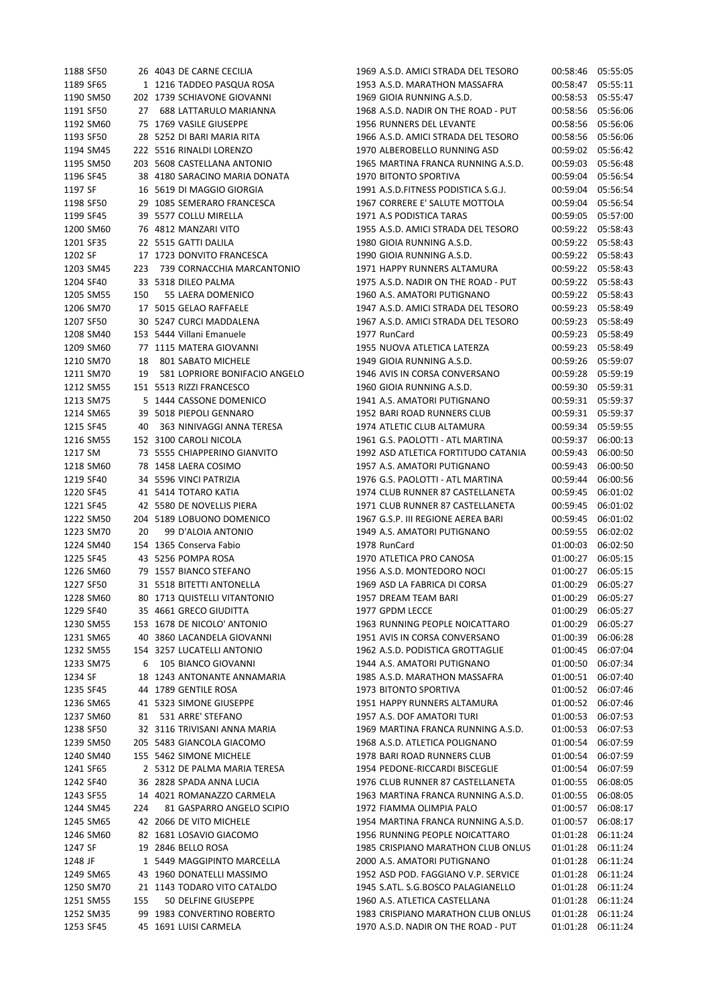| 1188 SF50 |     | 26 4043 DE CARNE CECILIA      | 1969 A.S.D. AMICI STRADA DEL TESORO | 00:58:46          | 05:55:05 |
|-----------|-----|-------------------------------|-------------------------------------|-------------------|----------|
| 1189 SF65 |     | 1 1216 TADDEO PASQUA ROSA     | 1953 A.S.D. MARATHON MASSAFRA       | 00:58:47          | 05:55:11 |
| 1190 SM50 |     | 202 1739 SCHIAVONE GIOVANNI   | 1969 GIOIA RUNNING A.S.D.           | 00:58:53          | 05:55:47 |
| 1191 SF50 |     | 27 688 LATTARULO MARIANNA     | 1968 A.S.D. NADIR ON THE ROAD - PUT | 00:58:56          | 05:56:06 |
| 1192 SM60 |     | 75 1769 VASILE GIUSEPPE       | 1956 RUNNERS DEL LEVANTE            | 00:58:56          | 05:56:06 |
|           |     | 28 5252 DI BARI MARIA RITA    | 1966 A.S.D. AMICI STRADA DEL TESORO | 00:58:56          | 05:56:06 |
| 1193 SF50 |     |                               |                                     |                   |          |
| 1194 SM45 |     | 222 5516 RINALDI LORENZO      | 1970 ALBEROBELLO RUNNING ASD        | 00:59:02          | 05:56:42 |
| 1195 SM50 |     | 203 5608 CASTELLANA ANTONIO   | 1965 MARTINA FRANCA RUNNING A.S.D.  | 00:59:03          | 05:56:48 |
| 1196 SF45 |     | 38 4180 SARACINO MARIA DONATA | 1970 BITONTO SPORTIVA               | 00:59:04          | 05:56:54 |
| 1197 SF   |     | 16 5619 DI MAGGIO GIORGIA     | 1991 A.S.D.FITNESS PODISTICA S.G.J. | 00:59:04          | 05:56:54 |
| 1198 SF50 |     | 29 1085 SEMERARO FRANCESCA    | 1967 CORRERE E' SALUTE MOTTOLA      | 00:59:04          | 05:56:54 |
| 1199 SF45 |     | 39 5577 COLLU MIRELLA         | 1971 A.S PODISTICA TARAS            | 00:59:05 05:57:00 |          |
| 1200 SM60 |     | 76 4812 MANZARI VITO          | 1955 A.S.D. AMICI STRADA DEL TESORO | 00:59:22 05:58:43 |          |
| 1201 SF35 |     | 22 5515 GATTI DALILA          | 1980 GIOIA RUNNING A.S.D.           | 00:59:22 05:58:43 |          |
| 1202 SF   |     | 17 1723 DONVITO FRANCESCA     | 1990 GIOIA RUNNING A.S.D.           | 00:59:22 05:58:43 |          |
| 1203 SM45 | 223 | 739 CORNACCHIA MARCANTONIO    | 1971 HAPPY RUNNERS ALTAMURA         | 00:59:22          | 05:58:43 |
|           |     |                               |                                     |                   |          |
| 1204 SF40 |     | 33 5318 DILEO PALMA           | 1975 A.S.D. NADIR ON THE ROAD - PUT | 00:59:22 05:58:43 |          |
| 1205 SM55 | 150 | 55 LAERA DOMENICO             | 1960 A.S. AMATORI PUTIGNANO         | 00:59:22 05:58:43 |          |
| 1206 SM70 |     | 17 5015 GELAO RAFFAELE        | 1947 A.S.D. AMICI STRADA DEL TESORO | 00:59:23 05:58:49 |          |
| 1207 SF50 |     | 30 5247 CURCI MADDALENA       | 1967 A.S.D. AMICI STRADA DEL TESORO | 00:59:23          | 05:58:49 |
| 1208 SM40 |     | 153 5444 Villani Emanuele     | 1977 RunCard                        | 00:59:23 05:58:49 |          |
| 1209 SM60 |     | 77 1115 MATERA GIOVANNI       | 1955 NUOVA ATLETICA LATERZA         | 00:59:23          | 05:58:49 |
| 1210 SM70 | 18  | 801 SABATO MICHELE            | 1949 GIOIA RUNNING A.S.D.           | 00:59:26          | 05:59:07 |
| 1211 SM70 | 19  | 581 LOPRIORE BONIFACIO ANGELO | 1946 AVIS IN CORSA CONVERSANO       | 00:59:28 05:59:19 |          |
| 1212 SM55 |     | 151 5513 RIZZI FRANCESCO      | 1960 GIOIA RUNNING A.S.D.           | 00:59:30 05:59:31 |          |
| 1213 SM75 |     | 5 1444 CASSONE DOMENICO       | 1941 A.S. AMATORI PUTIGNANO         | 00:59:31          | 05:59:37 |
|           |     |                               |                                     |                   |          |
| 1214 SM65 |     | 39 5018 PIEPOLI GENNARO       | 1952 BARI ROAD RUNNERS CLUB         | 00:59:31 05:59:37 |          |
| 1215 SF45 | 40  | 363 NINIVAGGI ANNA TERESA     | 1974 ATLETIC CLUB ALTAMURA          | 00:59:34          | 05:59:55 |
| 1216 SM55 |     | 152 3100 CAROLI NICOLA        | 1961 G.S. PAOLOTTI - ATL MARTINA    | 00:59:37          | 06:00:13 |
| 1217 SM   |     | 73 5555 CHIAPPERINO GIANVITO  | 1992 ASD ATLETICA FORTITUDO CATANIA | 00:59:43          | 06:00:50 |
| 1218 SM60 |     | 78 1458 LAERA COSIMO          | 1957 A.S. AMATORI PUTIGNANO         | 00:59:43          | 06:00:50 |
| 1219 SF40 |     | 34 5596 VINCI PATRIZIA        | 1976 G.S. PAOLOTTI - ATL MARTINA    | 00:59:44          | 06:00:56 |
| 1220 SF45 |     | 41 5414 TOTARO KATIA          | 1974 CLUB RUNNER 87 CASTELLANETA    | 00:59:45          | 06:01:02 |
| 1221 SF45 |     | 42 5580 DE NOVELLIS PIERA     | 1971 CLUB RUNNER 87 CASTELLANETA    | 00:59:45          | 06:01:02 |
| 1222 SM50 |     | 204 5189 LOBUONO DOMENICO     | 1967 G.S.P. III REGIONE AEREA BARI  | 00:59:45          | 06:01:02 |
| 1223 SM70 | 20  | 99 D'ALOIA ANTONIO            | 1949 A.S. AMATORI PUTIGNANO         | 00:59:55          | 06:02:02 |
|           |     |                               | 1978 RunCard                        |                   |          |
| 1224 SM40 |     | 154 1365 Conserva Fabio       |                                     | 01:00:03          | 06:02:50 |
| 1225 SF45 |     | 43 5256 POMPA ROSA            | 1970 ATLETICA PRO CANOSA            | 01:00:27          | 06:05:15 |
| 1226 SM60 |     | 79 1557 BIANCO STEFANO        | 1956 A.S.D. MONTEDORO NOCI          | 01:00:27          | 06:05:15 |
| 1227 SF50 |     | 31 5518 BITETTI ANTONELLA     | 1969 ASD LA FABRICA DI CORSA        | 01:00:29          | 06:05:27 |
| 1228 SM60 |     | 80 1713 QUISTELLI VITANTONIO  | 1957 DREAM TEAM BARI                | 01:00:29          | 06:05:27 |
| 1229 SF40 |     | 35 4661 GRECO GIUDITTA        | 1977 GPDM LECCE                     | 01:00:29          | 06:05:27 |
| 1230 SM55 |     | 153 1678 DE NICOLO' ANTONIO   | 1963 RUNNING PEOPLE NOICATTARO      | 01:00:29          | 06:05:27 |
| 1231 SM65 |     | 40 3860 LACANDELA GIOVANNI    | 1951 AVIS IN CORSA CONVERSANO       | 01:00:39          | 06:06:28 |
| 1232 SM55 |     | 154 3257 LUCATELLI ANTONIO    | 1962 A.S.D. PODISTICA GROTTAGLIE    | 01:00:45          | 06:07:04 |
| 1233 SM75 | 6   | 105 BIANCO GIOVANNI           | 1944 A.S. AMATORI PUTIGNANO         | 01:00:50          | 06:07:34 |
| 1234 SF   |     | 18 1243 ANTONANTE ANNAMARIA   | 1985 A.S.D. MARATHON MASSAFRA       | 01:00:51          | 06:07:40 |
|           |     |                               | 1973 BITONTO SPORTIVA               |                   |          |
| 1235 SF45 |     | 44 1789 GENTILE ROSA          |                                     | 01:00:52          | 06:07:46 |
| 1236 SM65 |     | 41 5323 SIMONE GIUSEPPE       | 1951 HAPPY RUNNERS ALTAMURA         | 01:00:52          | 06:07:46 |
| 1237 SM60 | 81  | 531 ARRE' STEFANO             | 1957 A.S. DOF AMATORI TURI          | 01:00:53          | 06:07:53 |
| 1238 SF50 |     | 32 3116 TRIVISANI ANNA MARIA  | 1969 MARTINA FRANCA RUNNING A.S.D.  | 01:00:53          | 06:07:53 |
| 1239 SM50 |     | 205 5483 GIANCOLA GIACOMO     | 1968 A.S.D. ATLETICA POLIGNANO      | 01:00:54          | 06:07:59 |
| 1240 SM40 |     | 155 5462 SIMONE MICHELE       | 1978 BARI ROAD RUNNERS CLUB         | 01:00:54          | 06:07:59 |
| 1241 SF65 |     | 2 5312 DE PALMA MARIA TERESA  | 1954 PEDONE-RICCARDI BISCEGLIE      | 01:00:54          | 06:07:59 |
| 1242 SF40 |     | 36 2828 SPADA ANNA LUCIA      | 1976 CLUB RUNNER 87 CASTELLANETA    | 01:00:55          | 06:08:05 |
| 1243 SF55 |     | 14 4021 ROMANAZZO CARMELA     | 1963 MARTINA FRANCA RUNNING A.S.D.  | 01:00:55          | 06:08:05 |
|           | 224 |                               |                                     | 01:00:57          | 06:08:17 |
| 1244 SM45 |     | 81 GASPARRO ANGELO SCIPIO     | 1972 FIAMMA OLIMPIA PALO            |                   |          |
| 1245 SM65 |     | 42 2066 DE VITO MICHELE       | 1954 MARTINA FRANCA RUNNING A.S.D.  | 01:00:57          | 06:08:17 |
| 1246 SM60 |     | 82 1681 LOSAVIO GIACOMO       | 1956 RUNNING PEOPLE NOICATTARO      | 01:01:28          | 06:11:24 |
| 1247 SF   |     | 19 2846 BELLO ROSA            | 1985 CRISPIANO MARATHON CLUB ONLUS  | 01:01:28          | 06:11:24 |
| 1248 JF   |     | 1 5449 MAGGIPINTO MARCELLA    | 2000 A.S. AMATORI PUTIGNANO         | 01:01:28          | 06:11:24 |
| 1249 SM65 |     | 43 1960 DONATELLI MASSIMO     | 1952 ASD POD. FAGGIANO V.P. SERVICE | 01:01:28          | 06:11:24 |
| 1250 SM70 |     | 21 1143 TODARO VITO CATALDO   | 1945 S.ATL. S.G.BOSCO PALAGIANELLO  | 01:01:28          | 06:11:24 |
| 1251 SM55 | 155 | 50 DELFINE GIUSEPPE           | 1960 A.S. ATLETICA CASTELLANA       | 01:01:28          | 06:11:24 |
| 1252 SM35 |     | 99 1983 CONVERTINO ROBERTO    | 1983 CRISPIANO MARATHON CLUB ONLUS  | 01:01:28          | 06:11:24 |
| 1253 SF45 |     | 45 1691 LUISI CARMELA         | 1970 A.S.D. NADIR ON THE ROAD - PUT | 01:01:28          | 06:11:24 |
|           |     |                               |                                     |                   |          |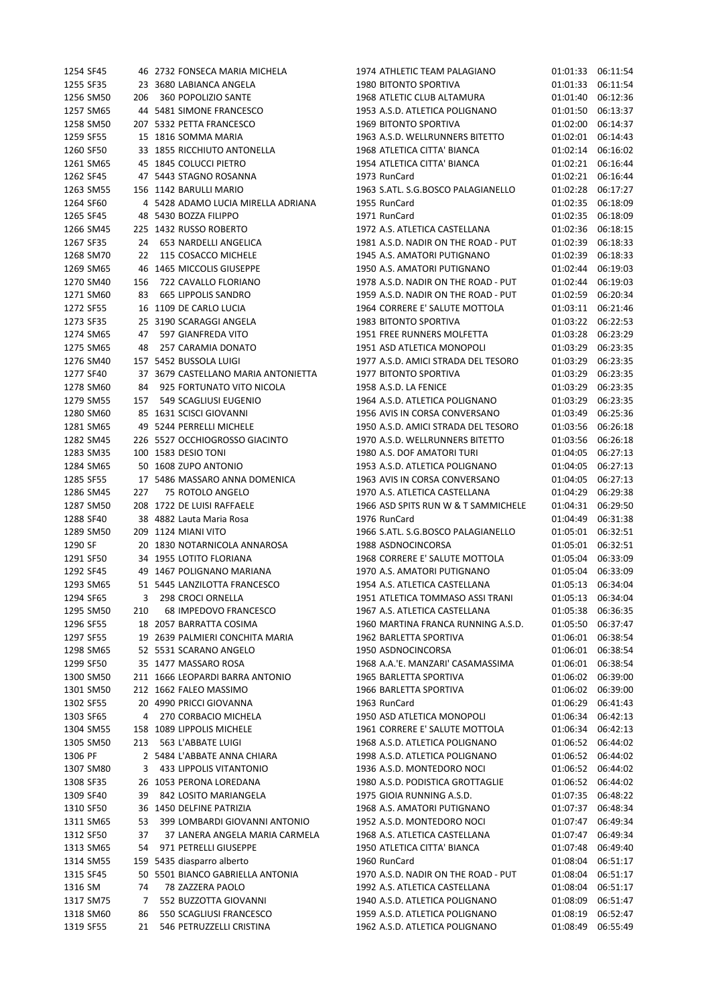| 1254 SF45              |     | 46 2732 FONSECA MARIA MICHELA                             | 1974 ATHLETIC TEAM PALAGIANO                                        | 01:01:33 06:11:54             |                      |
|------------------------|-----|-----------------------------------------------------------|---------------------------------------------------------------------|-------------------------------|----------------------|
| 1255 SF35              |     | 23 3680 LABIANCA ANGELA                                   | 1980 BITONTO SPORTIVA                                               | 01:01:33                      | 06:11:54             |
| 1256 SM50              | 206 | 360 POPOLIZIO SANTE                                       | 1968 ATLETIC CLUB ALTAMURA                                          | 01:01:40                      | 06:12:36             |
| 1257 SM65              |     | 44 5481 SIMONE FRANCESCO                                  | 1953 A.S.D. ATLETICA POLIGNANO                                      | 01:01:50                      | 06:13:37             |
| 1258 SM50              |     | 207 5332 PETTA FRANCESCO                                  | 1969 BITONTO SPORTIVA                                               | 01:02:00                      | 06:14:37             |
| 1259 SF55              |     | 15 1816 SOMMA MARIA                                       | 1963 A.S.D. WELLRUNNERS BITETTO                                     | 01:02:01 06:14:43             |                      |
| 1260 SF50              |     | 33 1855 RICCHIUTO ANTONELLA                               | 1968 ATLETICA CITTA' BIANCA                                         | 01:02:14 06:16:02             |                      |
| 1261 SM65              |     | 45 1845 COLUCCI PIETRO                                    | 1954 ATLETICA CITTA' BIANCA                                         | 01:02:21                      | 06:16:44             |
| 1262 SF45              |     | 47 5443 STAGNO ROSANNA                                    | 1973 RunCard                                                        | 01:02:21 06:16:44             |                      |
| 1263 SM55              |     | 156 1142 BARULLI MARIO                                    | 1963 S.ATL. S.G.BOSCO PALAGIANELLO                                  | 01:02:28                      | 06:17:27             |
| 1264 SF60              |     | 4 5428 ADAMO LUCIA MIRELLA ADRIANA                        | 1955 RunCard                                                        | 01:02:35 06:18:09             |                      |
| 1265 SF45              |     | 48 5430 BOZZA FILIPPO                                     | 1971 RunCard                                                        | 01:02:35 06:18:09             |                      |
| 1266 SM45              |     | 225 1432 RUSSO ROBERTO                                    | 1972 A.S. ATLETICA CASTELLANA                                       | 01:02:36 06:18:15             |                      |
| 1267 SF35              |     | 24 653 NARDELLI ANGELICA                                  | 1981 A.S.D. NADIR ON THE ROAD - PUT                                 | 01:02:39                      | 06:18:33             |
| 1268 SM70              | 22  | 115 COSACCO MICHELE                                       | 1945 A.S. AMATORI PUTIGNANO                                         | 01:02:39                      | 06:18:33             |
| 1269 SM65              |     | 46 1465 MICCOLIS GIUSEPPE                                 | 1950 A.S. AMATORI PUTIGNANO                                         | 01:02:44                      | 06:19:03             |
| 1270 SM40              | 156 | 722 CAVALLO FLORIANO                                      | 1978 A.S.D. NADIR ON THE ROAD - PUT                                 | 01:02:44                      | 06:19:03             |
| 1271 SM60              | 83  | <b>665 LIPPOLIS SANDRO</b>                                | 1959 A.S.D. NADIR ON THE ROAD - PUT                                 | 01:02:59                      | 06:20:34             |
| 1272 SF55              |     | 16 1109 DE CARLO LUCIA                                    | 1964 CORRERE E' SALUTE MOTTOLA                                      | 01:03:11 06:21:46             |                      |
| 1273 SF35              |     | 25 3190 SCARAGGI ANGELA                                   | <b>1983 BITONTO SPORTIVA</b>                                        | 01:03:22 06:22:53             |                      |
| 1274 SM65              | 47  | 597 GIANFREDA VITO                                        | 1951 FREE RUNNERS MOLFETTA                                          | 01:03:28                      | 06:23:29             |
| 1275 SM65              | 48  | 257 CARAMIA DONATO                                        | 1951 ASD ATLETICA MONOPOLI                                          | 01:03:29                      | 06:23:35             |
| 1276 SM40              |     | 157 5452 BUSSOLA LUIGI                                    | 1977 A.S.D. AMICI STRADA DEL TESORO                                 | 01:03:29                      | 06:23:35             |
| 1277 SF40              |     | 37 3679 CASTELLANO MARIA ANTONIETTA                       | 1977 BITONTO SPORTIVA                                               | 01:03:29                      | 06:23:35             |
| 1278 SM60              | 84  | 925 FORTUNATO VITO NICOLA                                 | 1958 A.S.D. LA FENICE                                               | 01:03:29                      | 06:23:35             |
| 1279 SM55              | 157 | 549 SCAGLIUSI EUGENIO                                     | 1964 A.S.D. ATLETICA POLIGNANO                                      | 01:03:29                      | 06:23:35             |
| 1280 SM60              |     | 85 1631 SCISCI GIOVANNI                                   | 1956 AVIS IN CORSA CONVERSANO                                       | 01:03:49                      | 06:25:36             |
| 1281 SM65              |     | 49 5244 PERRELLI MICHELE                                  | 1950 A.S.D. AMICI STRADA DEL TESORO                                 | 01:03:56                      | 06:26:18             |
| 1282 SM45              |     | 226 5527 OCCHIOGROSSO GIACINTO                            | 1970 A.S.D. WELLRUNNERS BITETTO                                     | 01:03:56                      | 06:26:18             |
| 1283 SM35              |     | 100 1583 DESIO TONI                                       | 1980 A.S. DOF AMATORI TURI                                          | 01:04:05                      | 06:27:13             |
| 1284 SM65              |     | 50 1608 ZUPO ANTONIO                                      | 1953 A.S.D. ATLETICA POLIGNANO                                      | 01:04:05                      | 06:27:13             |
| 1285 SF55              |     | 17 5486 MASSARO ANNA DOMENICA                             | 1963 AVIS IN CORSA CONVERSANO                                       | 01:04:05                      | 06:27:13             |
| 1286 SM45              | 227 | 75 ROTOLO ANGELO                                          | 1970 A.S. ATLETICA CASTELLANA                                       | 01:04:29                      | 06:29:38             |
| 1287 SM50              |     | 208 1722 DE LUISI RAFFAELE                                | 1966 ASD SPITS RUN W & T SAMMICHELE                                 | 01:04:31                      | 06:29:50             |
| 1288 SF40              |     | 38 4882 Lauta Maria Rosa                                  | 1976 RunCard                                                        | 01:04:49                      | 06:31:38             |
| 1289 SM50              |     | 209 1124 MIANI VITO                                       | 1966 S.ATL. S.G.BOSCO PALAGIANELLO                                  | 01:05:01                      | 06:32:51             |
| 1290 SF                |     | 20 1830 NOTARNICOLA ANNAROSA                              | 1988 ASDNOCINCORSA                                                  | 01:05:01 06:32:51             |                      |
| 1291 SF50              |     | 34 1955 LOTITO FLORIANA                                   | 1968 CORRERE E' SALUTE MOTTOLA                                      | 01:05:04 06:33:09             |                      |
| 1292 SF45              |     | 49 1467 POLIGNANO MARIANA                                 | 1970 A.S. AMATORI PUTIGNANO                                         | 01:05:04                      | 06:33:09             |
| 1293 SM65              |     | 51 5445 LANZILOTTA FRANCESCO                              | 1954 A.S. ATLETICA CASTELLANA                                       | 01:05:13 06:34:04             |                      |
| 1294 SF65              |     | 3 298 CROCI ORNELLA                                       | 1951 ATLETICA TOMMASO ASSI TRANI                                    |                               | 01:05:13 06:34:04    |
| 1295 SM50              | 210 | 68 IMPEDOVO FRANCESCO                                     | 1967 A.S. ATLETICA CASTELLANA<br>1960 MARTINA FRANCA RUNNING A.S.D. | 01:05:38 06:36:35             |                      |
| 1296 SF55              |     | 18 2057 BARRATTA COSIMA                                   |                                                                     | 01:05:50                      | 06:37:47             |
| 1297 SF55              |     | 19 2639 PALMIERI CONCHITA MARIA                           | 1962 BARLETTA SPORTIVA                                              | 01:06:01 06:38:54             |                      |
| 1298 SM65              |     | 52 5531 SCARANO ANGELO                                    | 1950 ASDNOCINCORSA                                                  | 01:06:01 06:38:54             |                      |
| 1299 SF50              |     | 35 1477 MASSARO ROSA                                      | 1968 A.A.'E. MANZARI' CASAMASSIMA                                   | 01:06:01 06:38:54             |                      |
| 1300 SM50<br>1301 SM50 |     | 211 1666 LEOPARDI BARRA ANTONIO<br>212 1662 FALEO MASSIMO | 1965 BARLETTA SPORTIVA<br>1966 BARLETTA SPORTIVA                    | 01:06:02 06:39:00<br>01:06:02 | 06:39:00             |
|                        |     |                                                           |                                                                     |                               | 06:41:43             |
| 1302 SF55<br>1303 SF65 | 4   | 20 4990 PRICCI GIOVANNA<br>270 CORBACIO MICHELA           | 1963 RunCard<br>1950 ASD ATLETICA MONOPOLI                          | 01:06:29<br>01:06:34          | 06:42:13             |
|                        |     | 158 1089 LIPPOLIS MICHELE                                 | 1961 CORRERE E' SALUTE MOTTOLA                                      | 01:06:34                      |                      |
| 1304 SM55<br>1305 SM50 | 213 | 563 L'ABBATE LUIGI                                        | 1968 A.S.D. ATLETICA POLIGNANO                                      | 01:06:52                      | 06:42:13<br>06:44:02 |
| 1306 PF                |     | 2 5484 L'ABBATE ANNA CHIARA                               | 1998 A.S.D. ATLETICA POLIGNANO                                      | 01:06:52                      | 06:44:02             |
| 1307 SM80              | 3   | 433 LIPPOLIS VITANTONIO                                   | 1936 A.S.D. MONTEDORO NOCI                                          | 01:06:52                      | 06:44:02             |
| 1308 SF35              |     | 26 1053 PERONA LOREDANA                                   | 1980 A.S.D. PODISTICA GROTTAGLIE                                    | 01:06:52                      | 06:44:02             |
| 1309 SF40              | 39  | 842 LOSITO MARIANGELA                                     | 1975 GIOIA RUNNING A.S.D.                                           | 01:07:35 06:48:22             |                      |
| 1310 SF50              |     | 36 1450 DELFINE PATRIZIA                                  | 1968 A.S. AMATORI PUTIGNANO                                         | 01:07:37                      | 06:48:34             |
| 1311 SM65              | 53  | 399 LOMBARDI GIOVANNI ANTONIO                             | 1952 A.S.D. MONTEDORO NOCI                                          | 01:07:47                      | 06:49:34             |
| 1312 SF50              | 37  | 37 LANERA ANGELA MARIA CARMELA                            | 1968 A.S. ATLETICA CASTELLANA                                       | 01:07:47                      | 06:49:34             |
| 1313 SM65              | 54  | 971 PETRELLI GIUSEPPE                                     | 1950 ATLETICA CITTA' BIANCA                                         | 01:07:48                      | 06:49:40             |
| 1314 SM55              |     | 159 5435 diasparro alberto                                | 1960 RunCard                                                        | 01:08:04                      | 06:51:17             |
| 1315 SF45              |     | 50 5501 BIANCO GABRIELLA ANTONIA                          | 1970 A.S.D. NADIR ON THE ROAD - PUT                                 | 01:08:04                      | 06:51:17             |
| 1316 SM                | 74  | 78 ZAZZERA PAOLO                                          | 1992 A.S. ATLETICA CASTELLANA                                       | 01:08:04                      | 06:51:17             |
| 1317 SM75              | 7   | 552 BUZZOTTA GIOVANNI                                     | 1940 A.S.D. ATLETICA POLIGNANO                                      | 01:08:09                      | 06:51:47             |
| 1318 SM60              | 86  | 550 SCAGLIUSI FRANCESCO                                   | 1959 A.S.D. ATLETICA POLIGNANO                                      | 01:08:19                      | 06:52:47             |
| 1319 SF55              | 21  | 546 PETRUZZELLI CRISTINA                                  | 1962 A.S.D. ATLETICA POLIGNANO                                      | 01:08:49                      | 06:55:49             |
|                        |     |                                                           |                                                                     |                               |                      |